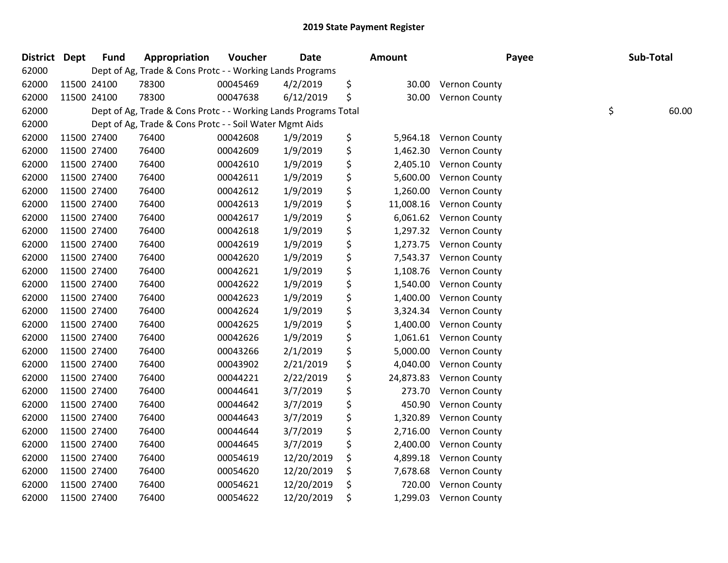| District Dept | <b>Fund</b> | Appropriation                                                   | Voucher  | Date       | Amount          |                        | Payee | Sub-Total   |
|---------------|-------------|-----------------------------------------------------------------|----------|------------|-----------------|------------------------|-------|-------------|
| 62000         |             | Dept of Ag, Trade & Cons Protc - - Working Lands Programs       |          |            |                 |                        |       |             |
| 62000         | 11500 24100 | 78300                                                           | 00045469 | 4/2/2019   | \$<br>30.00     | <b>Vernon County</b>   |       |             |
| 62000         | 11500 24100 | 78300                                                           | 00047638 | 6/12/2019  | \$<br>30.00     | <b>Vernon County</b>   |       |             |
| 62000         |             | Dept of Ag, Trade & Cons Protc - - Working Lands Programs Total |          |            |                 |                        |       | \$<br>60.00 |
| 62000         |             | Dept of Ag, Trade & Cons Protc - - Soil Water Mgmt Aids         |          |            |                 |                        |       |             |
| 62000         | 11500 27400 | 76400                                                           | 00042608 | 1/9/2019   | \$<br>5,964.18  | <b>Vernon County</b>   |       |             |
| 62000         | 11500 27400 | 76400                                                           | 00042609 | 1/9/2019   | \$<br>1,462.30  | Vernon County          |       |             |
| 62000         | 11500 27400 | 76400                                                           | 00042610 | 1/9/2019   | \$<br>2,405.10  | Vernon County          |       |             |
| 62000         | 11500 27400 | 76400                                                           | 00042611 | 1/9/2019   | \$<br>5,600.00  | Vernon County          |       |             |
| 62000         | 11500 27400 | 76400                                                           | 00042612 | 1/9/2019   | \$<br>1,260.00  | Vernon County          |       |             |
| 62000         | 11500 27400 | 76400                                                           | 00042613 | 1/9/2019   | \$<br>11,008.16 | Vernon County          |       |             |
| 62000         | 11500 27400 | 76400                                                           | 00042617 | 1/9/2019   | \$<br>6,061.62  | <b>Vernon County</b>   |       |             |
| 62000         | 11500 27400 | 76400                                                           | 00042618 | 1/9/2019   | \$              | 1,297.32 Vernon County |       |             |
| 62000         | 11500 27400 | 76400                                                           | 00042619 | 1/9/2019   | \$<br>1,273.75  | <b>Vernon County</b>   |       |             |
| 62000         | 11500 27400 | 76400                                                           | 00042620 | 1/9/2019   | \$<br>7,543.37  | Vernon County          |       |             |
| 62000         | 11500 27400 | 76400                                                           | 00042621 | 1/9/2019   | \$<br>1,108.76  | Vernon County          |       |             |
| 62000         | 11500 27400 | 76400                                                           | 00042622 | 1/9/2019   | \$<br>1,540.00  | Vernon County          |       |             |
| 62000         | 11500 27400 | 76400                                                           | 00042623 | 1/9/2019   | \$<br>1,400.00  | Vernon County          |       |             |
| 62000         | 11500 27400 | 76400                                                           | 00042624 | 1/9/2019   | \$<br>3,324.34  | <b>Vernon County</b>   |       |             |
| 62000         | 11500 27400 | 76400                                                           | 00042625 | 1/9/2019   | \$<br>1,400.00  | Vernon County          |       |             |
| 62000         | 11500 27400 | 76400                                                           | 00042626 | 1/9/2019   | \$<br>1,061.61  | Vernon County          |       |             |
| 62000         | 11500 27400 | 76400                                                           | 00043266 | 2/1/2019   | \$<br>5,000.00  | Vernon County          |       |             |
| 62000         | 11500 27400 | 76400                                                           | 00043902 | 2/21/2019  | \$<br>4,040.00  | <b>Vernon County</b>   |       |             |
| 62000         | 11500 27400 | 76400                                                           | 00044221 | 2/22/2019  | \$<br>24,873.83 | Vernon County          |       |             |
| 62000         | 11500 27400 | 76400                                                           | 00044641 | 3/7/2019   | \$<br>273.70    | Vernon County          |       |             |
| 62000         | 11500 27400 | 76400                                                           | 00044642 | 3/7/2019   | \$<br>450.90    | Vernon County          |       |             |
| 62000         | 11500 27400 | 76400                                                           | 00044643 | 3/7/2019   | \$<br>1,320.89  | Vernon County          |       |             |
| 62000         | 11500 27400 | 76400                                                           | 00044644 | 3/7/2019   | \$<br>2,716.00  | Vernon County          |       |             |
| 62000         | 11500 27400 | 76400                                                           | 00044645 | 3/7/2019   | \$<br>2,400.00  | Vernon County          |       |             |
| 62000         | 11500 27400 | 76400                                                           | 00054619 | 12/20/2019 | \$<br>4,899.18  | Vernon County          |       |             |
| 62000         | 11500 27400 | 76400                                                           | 00054620 | 12/20/2019 | \$<br>7,678.68  | Vernon County          |       |             |
| 62000         | 11500 27400 | 76400                                                           | 00054621 | 12/20/2019 | \$<br>720.00    | Vernon County          |       |             |
| 62000         | 11500 27400 | 76400                                                           | 00054622 | 12/20/2019 | \$<br>1,299.03  | <b>Vernon County</b>   |       |             |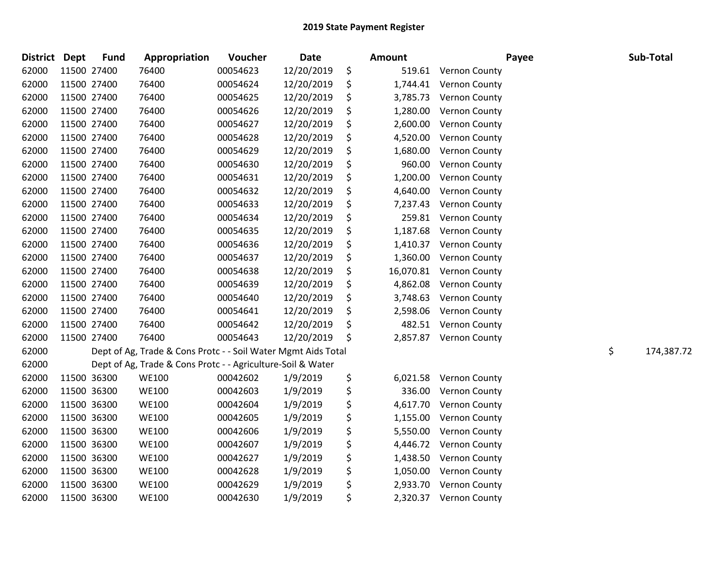| <b>District</b> | <b>Dept</b> | <b>Fund</b> | Appropriation                                                 | Voucher  | <b>Date</b> | Amount          | Payee                | Sub-Total        |
|-----------------|-------------|-------------|---------------------------------------------------------------|----------|-------------|-----------------|----------------------|------------------|
| 62000           |             | 11500 27400 | 76400                                                         | 00054623 | 12/20/2019  | \$<br>519.61    | Vernon County        |                  |
| 62000           |             | 11500 27400 | 76400                                                         | 00054624 | 12/20/2019  | \$<br>1,744.41  | Vernon County        |                  |
| 62000           | 11500 27400 |             | 76400                                                         | 00054625 | 12/20/2019  | \$<br>3,785.73  | Vernon County        |                  |
| 62000           | 11500 27400 |             | 76400                                                         | 00054626 | 12/20/2019  | \$<br>1,280.00  | Vernon County        |                  |
| 62000           | 11500 27400 |             | 76400                                                         | 00054627 | 12/20/2019  | \$<br>2,600.00  | Vernon County        |                  |
| 62000           |             | 11500 27400 | 76400                                                         | 00054628 | 12/20/2019  | \$<br>4,520.00  | Vernon County        |                  |
| 62000           |             | 11500 27400 | 76400                                                         | 00054629 | 12/20/2019  | \$<br>1,680.00  | Vernon County        |                  |
| 62000           |             | 11500 27400 | 76400                                                         | 00054630 | 12/20/2019  | \$<br>960.00    | Vernon County        |                  |
| 62000           |             | 11500 27400 | 76400                                                         | 00054631 | 12/20/2019  | \$<br>1,200.00  | Vernon County        |                  |
| 62000           | 11500 27400 |             | 76400                                                         | 00054632 | 12/20/2019  | \$<br>4,640.00  | Vernon County        |                  |
| 62000           |             | 11500 27400 | 76400                                                         | 00054633 | 12/20/2019  | \$<br>7,237.43  | Vernon County        |                  |
| 62000           |             | 11500 27400 | 76400                                                         | 00054634 | 12/20/2019  | \$<br>259.81    | Vernon County        |                  |
| 62000           |             | 11500 27400 | 76400                                                         | 00054635 | 12/20/2019  | \$<br>1,187.68  | <b>Vernon County</b> |                  |
| 62000           |             | 11500 27400 | 76400                                                         | 00054636 | 12/20/2019  | \$<br>1,410.37  | Vernon County        |                  |
| 62000           | 11500 27400 |             | 76400                                                         | 00054637 | 12/20/2019  | \$<br>1,360.00  | Vernon County        |                  |
| 62000           |             | 11500 27400 | 76400                                                         | 00054638 | 12/20/2019  | \$<br>16,070.81 | Vernon County        |                  |
| 62000           |             | 11500 27400 | 76400                                                         | 00054639 | 12/20/2019  | \$<br>4,862.08  | Vernon County        |                  |
| 62000           |             | 11500 27400 | 76400                                                         | 00054640 | 12/20/2019  | \$<br>3,748.63  | Vernon County        |                  |
| 62000           |             | 11500 27400 | 76400                                                         | 00054641 | 12/20/2019  | \$<br>2,598.06  | Vernon County        |                  |
| 62000           | 11500 27400 |             | 76400                                                         | 00054642 | 12/20/2019  | \$<br>482.51    | <b>Vernon County</b> |                  |
| 62000           |             | 11500 27400 | 76400                                                         | 00054643 | 12/20/2019  | \$<br>2,857.87  | Vernon County        |                  |
| 62000           |             |             | Dept of Ag, Trade & Cons Protc - - Soil Water Mgmt Aids Total |          |             |                 |                      | \$<br>174,387.72 |
| 62000           |             |             | Dept of Ag, Trade & Cons Protc - - Agriculture-Soil & Water   |          |             |                 |                      |                  |
| 62000           |             | 11500 36300 | <b>WE100</b>                                                  | 00042602 | 1/9/2019    | \$<br>6,021.58  | <b>Vernon County</b> |                  |
| 62000           | 11500 36300 |             | <b>WE100</b>                                                  | 00042603 | 1/9/2019    | \$<br>336.00    | <b>Vernon County</b> |                  |
| 62000           |             | 11500 36300 | <b>WE100</b>                                                  | 00042604 | 1/9/2019    | \$<br>4,617.70  | Vernon County        |                  |
| 62000           |             | 11500 36300 | <b>WE100</b>                                                  | 00042605 | 1/9/2019    | \$<br>1,155.00  | Vernon County        |                  |
| 62000           |             | 11500 36300 | <b>WE100</b>                                                  | 00042606 | 1/9/2019    | \$<br>5,550.00  | Vernon County        |                  |
| 62000           |             | 11500 36300 | <b>WE100</b>                                                  | 00042607 | 1/9/2019    | \$<br>4,446.72  | Vernon County        |                  |
| 62000           |             | 11500 36300 | <b>WE100</b>                                                  | 00042627 | 1/9/2019    | \$<br>1,438.50  | Vernon County        |                  |
| 62000           |             | 11500 36300 | <b>WE100</b>                                                  | 00042628 | 1/9/2019    | \$<br>1,050.00  | Vernon County        |                  |
| 62000           |             | 11500 36300 | <b>WE100</b>                                                  | 00042629 | 1/9/2019    | \$<br>2,933.70  | Vernon County        |                  |
| 62000           |             | 11500 36300 | <b>WE100</b>                                                  | 00042630 | 1/9/2019    | \$<br>2,320.37  | Vernon County        |                  |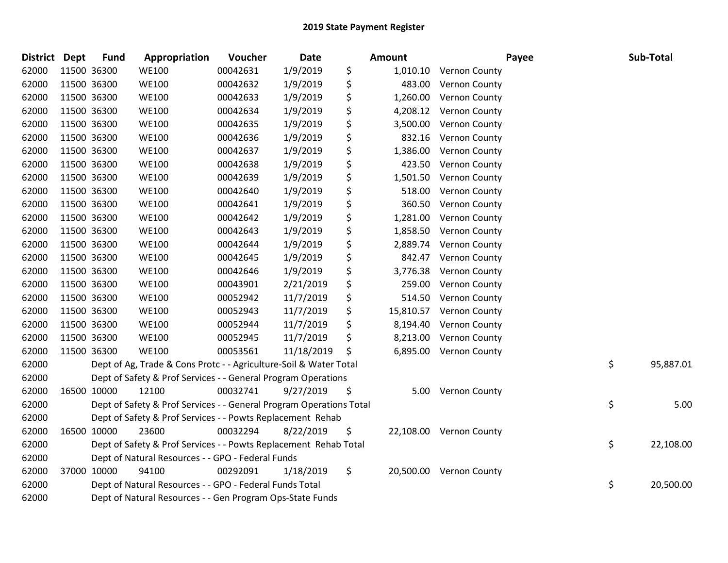| District Dept |             | <b>Fund</b> | Appropriation                                                       | Voucher  | Date       | <b>Amount</b>   |                         | Payee | Sub-Total |
|---------------|-------------|-------------|---------------------------------------------------------------------|----------|------------|-----------------|-------------------------|-------|-----------|
| 62000         | 11500 36300 |             | <b>WE100</b>                                                        | 00042631 | 1/9/2019   | \$<br>1,010.10  | <b>Vernon County</b>    |       |           |
| 62000         | 11500 36300 |             | <b>WE100</b>                                                        | 00042632 | 1/9/2019   | \$<br>483.00    | <b>Vernon County</b>    |       |           |
| 62000         | 11500 36300 |             | <b>WE100</b>                                                        | 00042633 | 1/9/2019   | \$<br>1,260.00  | Vernon County           |       |           |
| 62000         | 11500 36300 |             | <b>WE100</b>                                                        | 00042634 | 1/9/2019   | \$<br>4,208.12  | Vernon County           |       |           |
| 62000         | 11500 36300 |             | <b>WE100</b>                                                        | 00042635 | 1/9/2019   | \$<br>3,500.00  | Vernon County           |       |           |
| 62000         | 11500 36300 |             | <b>WE100</b>                                                        | 00042636 | 1/9/2019   | \$<br>832.16    | Vernon County           |       |           |
| 62000         | 11500 36300 |             | <b>WE100</b>                                                        | 00042637 | 1/9/2019   | \$<br>1,386.00  | Vernon County           |       |           |
| 62000         | 11500 36300 |             | <b>WE100</b>                                                        | 00042638 | 1/9/2019   | \$<br>423.50    | Vernon County           |       |           |
| 62000         | 11500 36300 |             | <b>WE100</b>                                                        | 00042639 | 1/9/2019   | \$<br>1,501.50  | Vernon County           |       |           |
| 62000         | 11500 36300 |             | <b>WE100</b>                                                        | 00042640 | 1/9/2019   | \$<br>518.00    | Vernon County           |       |           |
| 62000         | 11500 36300 |             | <b>WE100</b>                                                        | 00042641 | 1/9/2019   | \$<br>360.50    | Vernon County           |       |           |
| 62000         | 11500 36300 |             | <b>WE100</b>                                                        | 00042642 | 1/9/2019   | \$<br>1,281.00  | Vernon County           |       |           |
| 62000         | 11500 36300 |             | <b>WE100</b>                                                        | 00042643 | 1/9/2019   | \$<br>1,858.50  | <b>Vernon County</b>    |       |           |
| 62000         | 11500 36300 |             | <b>WE100</b>                                                        | 00042644 | 1/9/2019   | \$<br>2,889.74  | Vernon County           |       |           |
| 62000         | 11500 36300 |             | <b>WE100</b>                                                        | 00042645 | 1/9/2019   | \$<br>842.47    | <b>Vernon County</b>    |       |           |
| 62000         | 11500 36300 |             | <b>WE100</b>                                                        | 00042646 | 1/9/2019   | \$<br>3,776.38  | <b>Vernon County</b>    |       |           |
| 62000         | 11500 36300 |             | <b>WE100</b>                                                        | 00043901 | 2/21/2019  | \$<br>259.00    | Vernon County           |       |           |
| 62000         | 11500 36300 |             | <b>WE100</b>                                                        | 00052942 | 11/7/2019  | \$<br>514.50    | <b>Vernon County</b>    |       |           |
| 62000         | 11500 36300 |             | <b>WE100</b>                                                        | 00052943 | 11/7/2019  | \$<br>15,810.57 | Vernon County           |       |           |
| 62000         | 11500 36300 |             | <b>WE100</b>                                                        | 00052944 | 11/7/2019  | \$<br>8,194.40  | Vernon County           |       |           |
| 62000         | 11500 36300 |             | <b>WE100</b>                                                        | 00052945 | 11/7/2019  | \$<br>8,213.00  | Vernon County           |       |           |
| 62000         | 11500 36300 |             | <b>WE100</b>                                                        | 00053561 | 11/18/2019 | \$<br>6,895.00  | <b>Vernon County</b>    |       |           |
| 62000         |             |             | Dept of Ag, Trade & Cons Protc - - Agriculture-Soil & Water Total   |          |            |                 |                         | \$    | 95,887.01 |
| 62000         |             |             | Dept of Safety & Prof Services - - General Program Operations       |          |            |                 |                         |       |           |
| 62000         | 16500 10000 |             | 12100                                                               | 00032741 | 9/27/2019  | \$<br>5.00      | <b>Vernon County</b>    |       |           |
| 62000         |             |             | Dept of Safety & Prof Services - - General Program Operations Total |          |            |                 |                         | \$    | 5.00      |
| 62000         |             |             | Dept of Safety & Prof Services - - Powts Replacement Rehab          |          |            |                 |                         |       |           |
| 62000         | 16500 10000 |             | 23600                                                               | 00032294 | 8/22/2019  | \$              | 22,108.00 Vernon County |       |           |
| 62000         |             |             | Dept of Safety & Prof Services - - Powts Replacement Rehab Total    |          |            |                 |                         | \$    | 22,108.00 |
| 62000         |             |             | Dept of Natural Resources - - GPO - Federal Funds                   |          |            |                 |                         |       |           |
| 62000         | 37000 10000 |             | 94100                                                               | 00292091 | 1/18/2019  | \$              | 20,500.00 Vernon County |       |           |
| 62000         |             |             | Dept of Natural Resources - - GPO - Federal Funds Total             |          |            |                 |                         | \$    | 20,500.00 |
| 62000         |             |             | Dept of Natural Resources - - Gen Program Ops-State Funds           |          |            |                 |                         |       |           |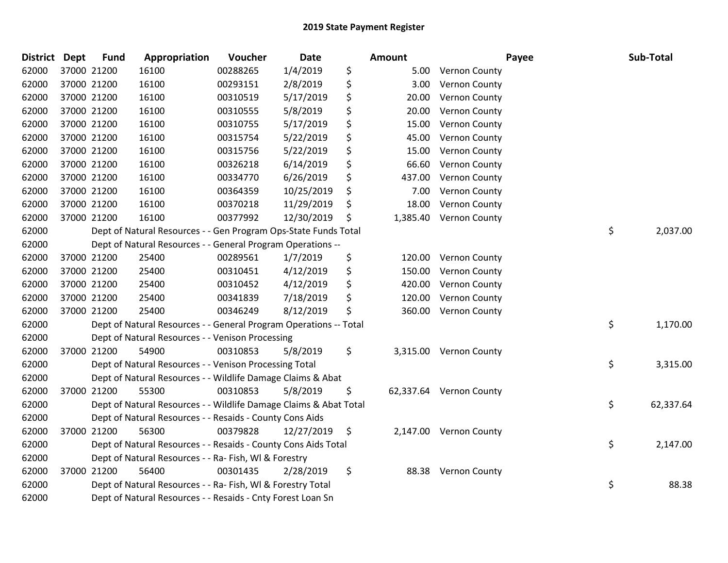| <b>District</b> | <b>Dept</b> | <b>Fund</b> | Appropriation                                                     | Voucher  | Date       | Amount         |                         | Payee | Sub-Total |
|-----------------|-------------|-------------|-------------------------------------------------------------------|----------|------------|----------------|-------------------------|-------|-----------|
| 62000           |             | 37000 21200 | 16100                                                             | 00288265 | 1/4/2019   | \$             | 5.00 Vernon County      |       |           |
| 62000           |             | 37000 21200 | 16100                                                             | 00293151 | 2/8/2019   | \$<br>3.00     | <b>Vernon County</b>    |       |           |
| 62000           |             | 37000 21200 | 16100                                                             | 00310519 | 5/17/2019  | \$<br>20.00    | <b>Vernon County</b>    |       |           |
| 62000           |             | 37000 21200 | 16100                                                             | 00310555 | 5/8/2019   | \$<br>20.00    | Vernon County           |       |           |
| 62000           |             | 37000 21200 | 16100                                                             | 00310755 | 5/17/2019  | \$<br>15.00    | Vernon County           |       |           |
| 62000           |             | 37000 21200 | 16100                                                             | 00315754 | 5/22/2019  | \$<br>45.00    | Vernon County           |       |           |
| 62000           |             | 37000 21200 | 16100                                                             | 00315756 | 5/22/2019  | \$<br>15.00    | Vernon County           |       |           |
| 62000           |             | 37000 21200 | 16100                                                             | 00326218 | 6/14/2019  | \$<br>66.60    | Vernon County           |       |           |
| 62000           |             | 37000 21200 | 16100                                                             | 00334770 | 6/26/2019  | \$<br>437.00   | Vernon County           |       |           |
| 62000           |             | 37000 21200 | 16100                                                             | 00364359 | 10/25/2019 | \$<br>7.00     | <b>Vernon County</b>    |       |           |
| 62000           |             | 37000 21200 | 16100                                                             | 00370218 | 11/29/2019 | \$<br>18.00    | Vernon County           |       |           |
| 62000           |             | 37000 21200 | 16100                                                             | 00377992 | 12/30/2019 | \$<br>1,385.40 | <b>Vernon County</b>    |       |           |
| 62000           |             |             | Dept of Natural Resources - - Gen Program Ops-State Funds Total   |          |            |                |                         | \$    | 2,037.00  |
| 62000           |             |             | Dept of Natural Resources - - General Program Operations --       |          |            |                |                         |       |           |
| 62000           |             | 37000 21200 | 25400                                                             | 00289561 | 1/7/2019   | \$<br>120.00   | <b>Vernon County</b>    |       |           |
| 62000           |             | 37000 21200 | 25400                                                             | 00310451 | 4/12/2019  | \$<br>150.00   | <b>Vernon County</b>    |       |           |
| 62000           |             | 37000 21200 | 25400                                                             | 00310452 | 4/12/2019  | \$<br>420.00   | Vernon County           |       |           |
| 62000           |             | 37000 21200 | 25400                                                             | 00341839 | 7/18/2019  | \$<br>120.00   | <b>Vernon County</b>    |       |           |
| 62000           |             | 37000 21200 | 25400                                                             | 00346249 | 8/12/2019  | \$<br>360.00   | <b>Vernon County</b>    |       |           |
| 62000           |             |             | Dept of Natural Resources - - General Program Operations -- Total |          |            |                |                         | \$    | 1,170.00  |
| 62000           |             |             | Dept of Natural Resources - - Venison Processing                  |          |            |                |                         |       |           |
| 62000           |             | 37000 21200 | 54900                                                             | 00310853 | 5/8/2019   | \$             | 3,315.00 Vernon County  |       |           |
| 62000           |             |             | Dept of Natural Resources - - Venison Processing Total            |          |            |                |                         | \$    | 3,315.00  |
| 62000           |             |             | Dept of Natural Resources - - Wildlife Damage Claims & Abat       |          |            |                |                         |       |           |
| 62000           |             | 37000 21200 | 55300                                                             | 00310853 | 5/8/2019   | \$             | 62,337.64 Vernon County |       |           |
| 62000           |             |             | Dept of Natural Resources - - Wildlife Damage Claims & Abat Total |          |            |                |                         | \$    | 62,337.64 |
| 62000           |             |             | Dept of Natural Resources - - Resaids - County Cons Aids          |          |            |                |                         |       |           |
| 62000           |             | 37000 21200 | 56300                                                             | 00379828 | 12/27/2019 | \$             | 2,147.00 Vernon County  |       |           |
| 62000           |             |             | Dept of Natural Resources - - Resaids - County Cons Aids Total    |          |            |                |                         | \$    | 2,147.00  |
| 62000           |             |             | Dept of Natural Resources - - Ra- Fish, WI & Forestry             |          |            |                |                         |       |           |
| 62000           |             | 37000 21200 | 56400                                                             | 00301435 | 2/28/2019  | \$             | 88.38 Vernon County     |       |           |
| 62000           |             |             | Dept of Natural Resources - - Ra- Fish, WI & Forestry Total       |          |            |                |                         | \$    | 88.38     |
| 62000           |             |             | Dept of Natural Resources - - Resaids - Cnty Forest Loan Sn       |          |            |                |                         |       |           |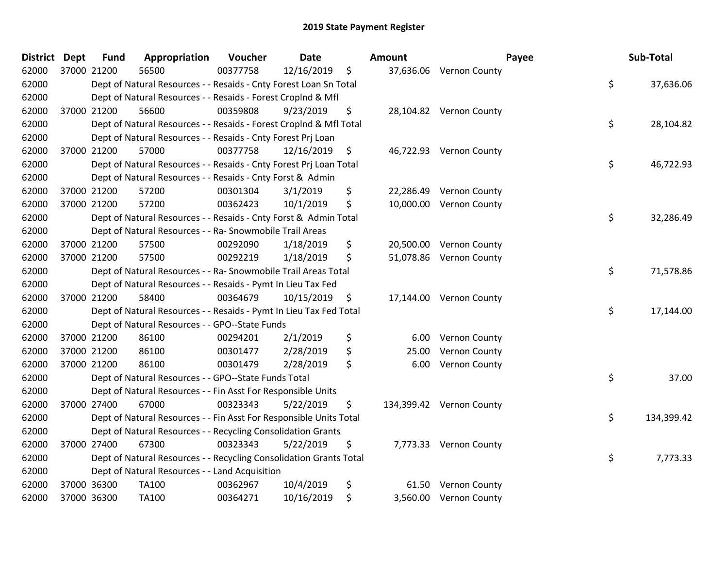| <b>District</b> | <b>Dept</b> | <b>Fund</b> | Appropriation                                                      | Voucher  | <b>Date</b> |         | <b>Amount</b> |                          | Payee | Sub-Total  |       |
|-----------------|-------------|-------------|--------------------------------------------------------------------|----------|-------------|---------|---------------|--------------------------|-------|------------|-------|
| 62000           |             | 37000 21200 | 56500                                                              | 00377758 | 12/16/2019  | $\zeta$ |               | 37,636.06 Vernon County  |       |            |       |
| 62000           |             |             | Dept of Natural Resources - - Resaids - Cnty Forest Loan Sn Total  |          |             |         |               |                          | \$    | 37,636.06  |       |
| 62000           |             |             | Dept of Natural Resources - - Resaids - Forest Croplnd & Mfl       |          |             |         |               |                          |       |            |       |
| 62000           |             | 37000 21200 | 56600                                                              | 00359808 | 9/23/2019   | \$      |               | 28,104.82 Vernon County  |       |            |       |
| 62000           |             |             | Dept of Natural Resources - - Resaids - Forest Croplnd & Mfl Total |          |             |         |               |                          | \$    | 28,104.82  |       |
| 62000           |             |             | Dept of Natural Resources - - Resaids - Cnty Forest Prj Loan       |          |             |         |               |                          |       |            |       |
| 62000           |             | 37000 21200 | 57000                                                              | 00377758 | 12/16/2019  | \$      |               | 46,722.93 Vernon County  |       |            |       |
| 62000           |             |             | Dept of Natural Resources - - Resaids - Cnty Forest Prj Loan Total |          |             |         |               |                          | \$    | 46,722.93  |       |
| 62000           |             |             | Dept of Natural Resources - - Resaids - Cnty Forst & Admin         |          |             |         |               |                          |       |            |       |
| 62000           |             | 37000 21200 | 57200                                                              | 00301304 | 3/1/2019    | \$      |               | 22,286.49 Vernon County  |       |            |       |
| 62000           |             | 37000 21200 | 57200                                                              | 00362423 | 10/1/2019   | \$      |               | 10,000.00 Vernon County  |       |            |       |
| 62000           |             |             | Dept of Natural Resources - - Resaids - Cnty Forst & Admin Total   |          |             |         |               |                          | \$    | 32,286.49  |       |
| 62000           |             |             | Dept of Natural Resources - - Ra- Snowmobile Trail Areas           |          |             |         |               |                          |       |            |       |
| 62000           |             | 37000 21200 | 57500                                                              | 00292090 | 1/18/2019   | \$      |               | 20,500.00 Vernon County  |       |            |       |
| 62000           |             | 37000 21200 | 57500                                                              | 00292219 | 1/18/2019   | \$      |               | 51,078.86 Vernon County  |       |            |       |
| 62000           |             |             | Dept of Natural Resources - - Ra- Snowmobile Trail Areas Total     |          |             |         |               |                          | \$    | 71,578.86  |       |
| 62000           |             |             | Dept of Natural Resources - - Resaids - Pymt In Lieu Tax Fed       |          |             |         |               |                          |       |            |       |
| 62000           |             | 37000 21200 | 58400                                                              | 00364679 | 10/15/2019  | \$      |               | 17,144.00 Vernon County  |       |            |       |
| 62000           |             |             | Dept of Natural Resources - - Resaids - Pymt In Lieu Tax Fed Total |          |             |         |               |                          | \$    | 17,144.00  |       |
| 62000           |             |             | Dept of Natural Resources - - GPO--State Funds                     |          |             |         |               |                          |       |            |       |
| 62000           |             | 37000 21200 | 86100                                                              | 00294201 | 2/1/2019    | \$      | 6.00          | Vernon County            |       |            |       |
| 62000           |             | 37000 21200 | 86100                                                              | 00301477 | 2/28/2019   | \$      | 25.00         | Vernon County            |       |            |       |
| 62000           |             | 37000 21200 | 86100                                                              | 00301479 | 2/28/2019   | \$      | 6.00          | Vernon County            |       |            |       |
| 62000           |             |             | Dept of Natural Resources - - GPO--State Funds Total               |          |             |         |               |                          | \$    |            | 37.00 |
| 62000           |             |             | Dept of Natural Resources - - Fin Asst For Responsible Units       |          |             |         |               |                          |       |            |       |
| 62000           |             | 37000 27400 | 67000                                                              | 00323343 | 5/22/2019   | \$      |               | 134,399.42 Vernon County |       |            |       |
| 62000           |             |             | Dept of Natural Resources - - Fin Asst For Responsible Units Total |          |             |         |               |                          | \$    | 134,399.42 |       |
| 62000           |             |             | Dept of Natural Resources - - Recycling Consolidation Grants       |          |             |         |               |                          |       |            |       |
| 62000           |             | 37000 27400 | 67300                                                              | 00323343 | 5/22/2019   | \$      |               | 7,773.33 Vernon County   |       |            |       |
| 62000           |             |             | Dept of Natural Resources - - Recycling Consolidation Grants Total |          |             |         |               |                          | \$    | 7,773.33   |       |
| 62000           |             |             | Dept of Natural Resources - - Land Acquisition                     |          |             |         |               |                          |       |            |       |
| 62000           |             | 37000 36300 | <b>TA100</b>                                                       | 00362967 | 10/4/2019   | \$      |               | 61.50 Vernon County      |       |            |       |
| 62000           |             | 37000 36300 | <b>TA100</b>                                                       | 00364271 | 10/16/2019  | \$      |               | 3,560.00 Vernon County   |       |            |       |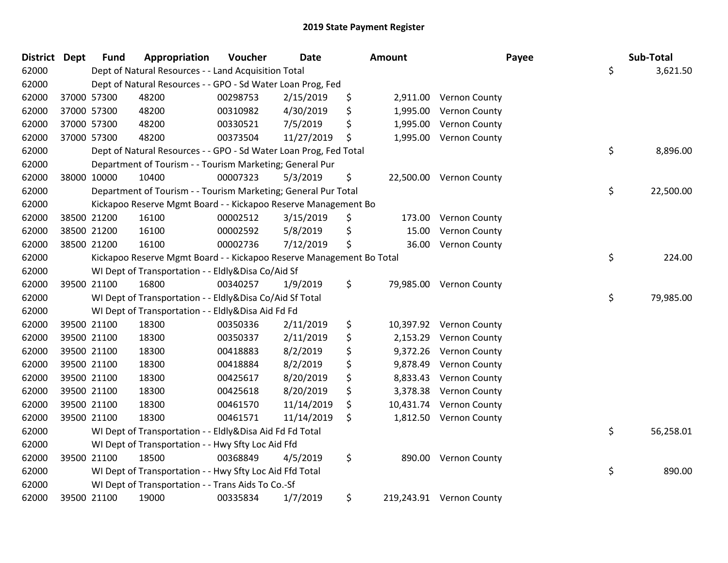| District Dept |             | <b>Fund</b> | Appropriation                                                        | Voucher  | <b>Date</b> | Amount          | Payee                    | Sub-Total       |
|---------------|-------------|-------------|----------------------------------------------------------------------|----------|-------------|-----------------|--------------------------|-----------------|
| 62000         |             |             | Dept of Natural Resources - - Land Acquisition Total                 |          |             |                 |                          | \$<br>3,621.50  |
| 62000         |             |             | Dept of Natural Resources - - GPO - Sd Water Loan Prog, Fed          |          |             |                 |                          |                 |
| 62000         | 37000 57300 |             | 48200                                                                | 00298753 | 2/15/2019   | \$              | 2,911.00 Vernon County   |                 |
| 62000         |             | 37000 57300 | 48200                                                                | 00310982 | 4/30/2019   | \$<br>1,995.00  | Vernon County            |                 |
| 62000         |             | 37000 57300 | 48200                                                                | 00330521 | 7/5/2019    | \$<br>1,995.00  | Vernon County            |                 |
| 62000         |             | 37000 57300 | 48200                                                                | 00373504 | 11/27/2019  | \$<br>1,995.00  | Vernon County            |                 |
| 62000         |             |             | Dept of Natural Resources - - GPO - Sd Water Loan Prog, Fed Total    |          |             |                 |                          | \$<br>8,896.00  |
| 62000         |             |             | Department of Tourism - - Tourism Marketing; General Pur             |          |             |                 |                          |                 |
| 62000         |             | 38000 10000 | 10400                                                                | 00007323 | 5/3/2019    | \$              | 22,500.00 Vernon County  |                 |
| 62000         |             |             | Department of Tourism - - Tourism Marketing; General Pur Total       |          |             |                 |                          | \$<br>22,500.00 |
| 62000         |             |             | Kickapoo Reserve Mgmt Board - - Kickapoo Reserve Management Bo       |          |             |                 |                          |                 |
| 62000         |             | 38500 21200 | 16100                                                                | 00002512 | 3/15/2019   | \$<br>173.00    | <b>Vernon County</b>     |                 |
| 62000         |             | 38500 21200 | 16100                                                                | 00002592 | 5/8/2019    | \$<br>15.00     | Vernon County            |                 |
| 62000         |             | 38500 21200 | 16100                                                                | 00002736 | 7/12/2019   | \$<br>36.00     | Vernon County            |                 |
| 62000         |             |             | Kickapoo Reserve Mgmt Board - - Kickapoo Reserve Management Bo Total |          |             |                 |                          | \$<br>224.00    |
| 62000         |             |             | WI Dept of Transportation - - Eldly&Disa Co/Aid Sf                   |          |             |                 |                          |                 |
| 62000         |             | 39500 21100 | 16800                                                                | 00340257 | 1/9/2019    | \$<br>79,985.00 | <b>Vernon County</b>     |                 |
| 62000         |             |             | WI Dept of Transportation - - Eldly&Disa Co/Aid Sf Total             |          |             |                 |                          | \$<br>79,985.00 |
| 62000         |             |             | WI Dept of Transportation - - Eldly&Disa Aid Fd Fd                   |          |             |                 |                          |                 |
| 62000         |             | 39500 21100 | 18300                                                                | 00350336 | 2/11/2019   | \$<br>10,397.92 | Vernon County            |                 |
| 62000         |             | 39500 21100 | 18300                                                                | 00350337 | 2/11/2019   | \$<br>2,153.29  | Vernon County            |                 |
| 62000         | 39500 21100 |             | 18300                                                                | 00418883 | 8/2/2019    | \$<br>9,372.26  | <b>Vernon County</b>     |                 |
| 62000         | 39500 21100 |             | 18300                                                                | 00418884 | 8/2/2019    | \$<br>9,878.49  | <b>Vernon County</b>     |                 |
| 62000         |             | 39500 21100 | 18300                                                                | 00425617 | 8/20/2019   | \$<br>8,833.43  | Vernon County            |                 |
| 62000         |             | 39500 21100 | 18300                                                                | 00425618 | 8/20/2019   | \$<br>3,378.38  | Vernon County            |                 |
| 62000         |             | 39500 21100 | 18300                                                                | 00461570 | 11/14/2019  | \$<br>10,431.74 | Vernon County            |                 |
| 62000         |             | 39500 21100 | 18300                                                                | 00461571 | 11/14/2019  | \$<br>1,812.50  | <b>Vernon County</b>     |                 |
| 62000         |             |             | WI Dept of Transportation - - Eldly&Disa Aid Fd Fd Total             |          |             |                 |                          | \$<br>56,258.01 |
| 62000         |             |             | WI Dept of Transportation - - Hwy Sfty Loc Aid Ffd                   |          |             |                 |                          |                 |
| 62000         |             | 39500 21100 | 18500                                                                | 00368849 | 4/5/2019    | \$              | 890.00 Vernon County     |                 |
| 62000         |             |             | WI Dept of Transportation - - Hwy Sfty Loc Aid Ffd Total             |          |             |                 |                          | \$<br>890.00    |
| 62000         |             |             | WI Dept of Transportation - - Trans Aids To Co.-Sf                   |          |             |                 |                          |                 |
| 62000         |             | 39500 21100 | 19000                                                                | 00335834 | 1/7/2019    | \$              | 219,243.91 Vernon County |                 |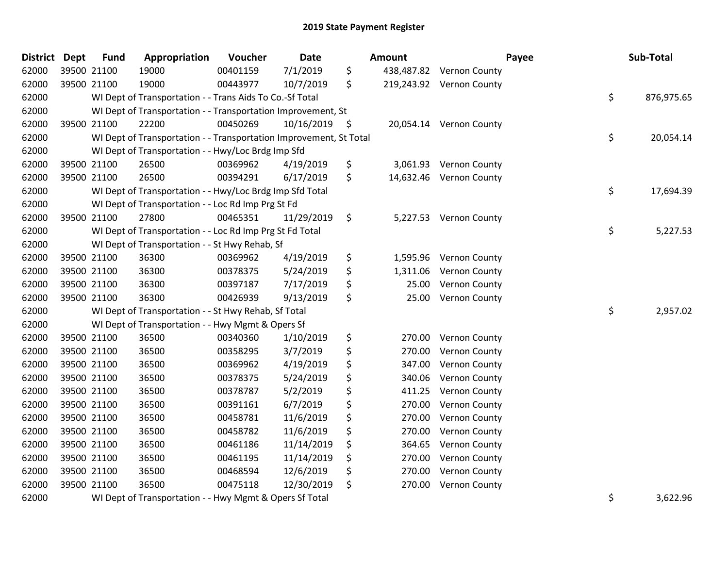| <b>District Dept</b> |             | <b>Fund</b> | Appropriation                                                      | Voucher  | <b>Date</b> |      | <b>Amount</b> |                          | Payee | Sub-Total  |
|----------------------|-------------|-------------|--------------------------------------------------------------------|----------|-------------|------|---------------|--------------------------|-------|------------|
| 62000                | 39500 21100 |             | 19000                                                              | 00401159 | 7/1/2019    | \$   |               | 438,487.82 Vernon County |       |            |
| 62000                |             | 39500 21100 | 19000                                                              | 00443977 | 10/7/2019   | \$   |               | 219,243.92 Vernon County |       |            |
| 62000                |             |             | WI Dept of Transportation - - Trans Aids To Co.-Sf Total           |          |             |      |               |                          | \$    | 876,975.65 |
| 62000                |             |             | WI Dept of Transportation - - Transportation Improvement, St       |          |             |      |               |                          |       |            |
| 62000                |             | 39500 21100 | 22200                                                              | 00450269 | 10/16/2019  | - \$ |               | 20,054.14 Vernon County  |       |            |
| 62000                |             |             | WI Dept of Transportation - - Transportation Improvement, St Total |          |             |      |               |                          | \$    | 20,054.14  |
| 62000                |             |             | WI Dept of Transportation - - Hwy/Loc Brdg Imp Sfd                 |          |             |      |               |                          |       |            |
| 62000                |             | 39500 21100 | 26500                                                              | 00369962 | 4/19/2019   | \$   | 3,061.93      | <b>Vernon County</b>     |       |            |
| 62000                |             | 39500 21100 | 26500                                                              | 00394291 | 6/17/2019   | \$   | 14,632.46     | <b>Vernon County</b>     |       |            |
| 62000                |             |             | WI Dept of Transportation - - Hwy/Loc Brdg Imp Sfd Total           |          |             |      |               |                          | \$    | 17,694.39  |
| 62000                |             |             | WI Dept of Transportation - - Loc Rd Imp Prg St Fd                 |          |             |      |               |                          |       |            |
| 62000                |             | 39500 21100 | 27800                                                              | 00465351 | 11/29/2019  | \$   |               | 5,227.53 Vernon County   |       |            |
| 62000                |             |             | WI Dept of Transportation - - Loc Rd Imp Prg St Fd Total           |          |             |      |               |                          | \$    | 5,227.53   |
| 62000                |             |             | WI Dept of Transportation - - St Hwy Rehab, Sf                     |          |             |      |               |                          |       |            |
| 62000                |             | 39500 21100 | 36300                                                              | 00369962 | 4/19/2019   | \$   | 1,595.96      | <b>Vernon County</b>     |       |            |
| 62000                |             | 39500 21100 | 36300                                                              | 00378375 | 5/24/2019   | \$   | 1,311.06      | <b>Vernon County</b>     |       |            |
| 62000                |             | 39500 21100 | 36300                                                              | 00397187 | 7/17/2019   | \$   | 25.00         | Vernon County            |       |            |
| 62000                | 39500 21100 |             | 36300                                                              | 00426939 | 9/13/2019   | \$   | 25.00         | <b>Vernon County</b>     |       |            |
| 62000                |             |             | WI Dept of Transportation - - St Hwy Rehab, Sf Total               |          |             |      |               |                          | \$    | 2,957.02   |
| 62000                |             |             | WI Dept of Transportation - - Hwy Mgmt & Opers Sf                  |          |             |      |               |                          |       |            |
| 62000                |             | 39500 21100 | 36500                                                              | 00340360 | 1/10/2019   | \$   | 270.00        | Vernon County            |       |            |
| 62000                |             | 39500 21100 | 36500                                                              | 00358295 | 3/7/2019    | \$   | 270.00        | Vernon County            |       |            |
| 62000                |             | 39500 21100 | 36500                                                              | 00369962 | 4/19/2019   | \$   | 347.00        | Vernon County            |       |            |
| 62000                |             | 39500 21100 | 36500                                                              | 00378375 | 5/24/2019   | \$   | 340.06        | Vernon County            |       |            |
| 62000                |             | 39500 21100 | 36500                                                              | 00378787 | 5/2/2019    | \$   | 411.25        | Vernon County            |       |            |
| 62000                |             | 39500 21100 | 36500                                                              | 00391161 | 6/7/2019    | \$   | 270.00        | Vernon County            |       |            |
| 62000                |             | 39500 21100 | 36500                                                              | 00458781 | 11/6/2019   | \$   | 270.00        | Vernon County            |       |            |
| 62000                |             | 39500 21100 | 36500                                                              | 00458782 | 11/6/2019   | \$   | 270.00        | Vernon County            |       |            |
| 62000                |             | 39500 21100 | 36500                                                              | 00461186 | 11/14/2019  | \$   | 364.65        | Vernon County            |       |            |
| 62000                |             | 39500 21100 | 36500                                                              | 00461195 | 11/14/2019  | \$   | 270.00        | Vernon County            |       |            |
| 62000                |             | 39500 21100 | 36500                                                              | 00468594 | 12/6/2019   | \$   | 270.00        | Vernon County            |       |            |
| 62000                | 39500 21100 |             | 36500                                                              | 00475118 | 12/30/2019  | \$   | 270.00        | Vernon County            |       |            |
| 62000                |             |             | WI Dept of Transportation - - Hwy Mgmt & Opers Sf Total            |          |             |      |               |                          | \$    | 3,622.96   |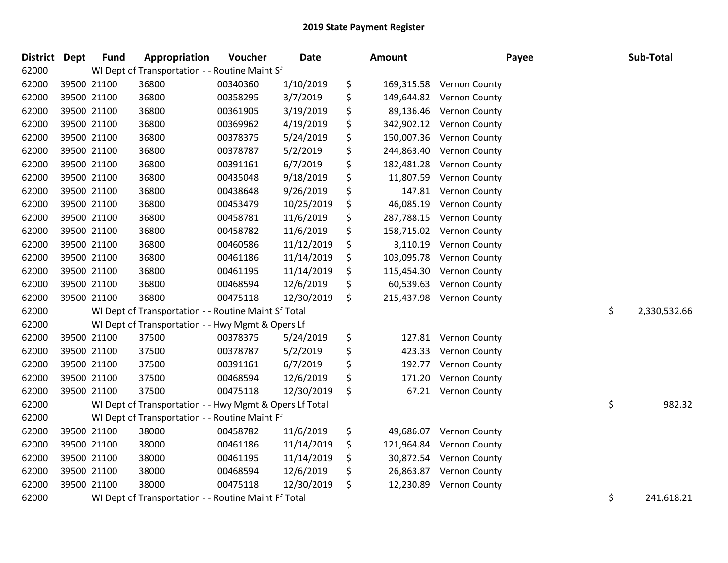| <b>District</b> | <b>Dept</b> | <b>Fund</b> | Appropriation                                           | Voucher  | <b>Date</b> | Amount           | Payee                    | Sub-Total          |
|-----------------|-------------|-------------|---------------------------------------------------------|----------|-------------|------------------|--------------------------|--------------------|
| 62000           |             |             | WI Dept of Transportation - - Routine Maint Sf          |          |             |                  |                          |                    |
| 62000           |             | 39500 21100 | 36800                                                   | 00340360 | 1/10/2019   | \$               | 169,315.58 Vernon County |                    |
| 62000           |             | 39500 21100 | 36800                                                   | 00358295 | 3/7/2019    | \$<br>149,644.82 | Vernon County            |                    |
| 62000           |             | 39500 21100 | 36800                                                   | 00361905 | 3/19/2019   | \$<br>89,136.46  | Vernon County            |                    |
| 62000           |             | 39500 21100 | 36800                                                   | 00369962 | 4/19/2019   | \$<br>342,902.12 | Vernon County            |                    |
| 62000           |             | 39500 21100 | 36800                                                   | 00378375 | 5/24/2019   | \$<br>150,007.36 | Vernon County            |                    |
| 62000           |             | 39500 21100 | 36800                                                   | 00378787 | 5/2/2019    | \$<br>244,863.40 | Vernon County            |                    |
| 62000           |             | 39500 21100 | 36800                                                   | 00391161 | 6/7/2019    | \$<br>182,481.28 | Vernon County            |                    |
| 62000           |             | 39500 21100 | 36800                                                   | 00435048 | 9/18/2019   | \$<br>11,807.59  | Vernon County            |                    |
| 62000           |             | 39500 21100 | 36800                                                   | 00438648 | 9/26/2019   | \$<br>147.81     | Vernon County            |                    |
| 62000           |             | 39500 21100 | 36800                                                   | 00453479 | 10/25/2019  | \$<br>46,085.19  | Vernon County            |                    |
| 62000           |             | 39500 21100 | 36800                                                   | 00458781 | 11/6/2019   | \$<br>287,788.15 | <b>Vernon County</b>     |                    |
| 62000           |             | 39500 21100 | 36800                                                   | 00458782 | 11/6/2019   | \$<br>158,715.02 | Vernon County            |                    |
| 62000           |             | 39500 21100 | 36800                                                   | 00460586 | 11/12/2019  | \$<br>3,110.19   | Vernon County            |                    |
| 62000           |             | 39500 21100 | 36800                                                   | 00461186 | 11/14/2019  | \$<br>103,095.78 | Vernon County            |                    |
| 62000           |             | 39500 21100 | 36800                                                   | 00461195 | 11/14/2019  | \$<br>115,454.30 | Vernon County            |                    |
| 62000           |             | 39500 21100 | 36800                                                   | 00468594 | 12/6/2019   | \$<br>60,539.63  | Vernon County            |                    |
| 62000           |             | 39500 21100 | 36800                                                   | 00475118 | 12/30/2019  | \$<br>215,437.98 | <b>Vernon County</b>     |                    |
| 62000           |             |             | WI Dept of Transportation - - Routine Maint Sf Total    |          |             |                  |                          | \$<br>2,330,532.66 |
| 62000           |             |             | WI Dept of Transportation - - Hwy Mgmt & Opers Lf       |          |             |                  |                          |                    |
| 62000           |             | 39500 21100 | 37500                                                   | 00378375 | 5/24/2019   | \$<br>127.81     | <b>Vernon County</b>     |                    |
| 62000           |             | 39500 21100 | 37500                                                   | 00378787 | 5/2/2019    | \$<br>423.33     | <b>Vernon County</b>     |                    |
| 62000           |             | 39500 21100 | 37500                                                   | 00391161 | 6/7/2019    | \$<br>192.77     | Vernon County            |                    |
| 62000           |             | 39500 21100 | 37500                                                   | 00468594 | 12/6/2019   | \$<br>171.20     | Vernon County            |                    |
| 62000           |             | 39500 21100 | 37500                                                   | 00475118 | 12/30/2019  | \$<br>67.21      | <b>Vernon County</b>     |                    |
| 62000           |             |             | WI Dept of Transportation - - Hwy Mgmt & Opers Lf Total |          |             |                  |                          | \$<br>982.32       |
| 62000           |             |             | WI Dept of Transportation - - Routine Maint Ff          |          |             |                  |                          |                    |
| 62000           |             | 39500 21100 | 38000                                                   | 00458782 | 11/6/2019   | \$<br>49,686.07  | Vernon County            |                    |
| 62000           |             | 39500 21100 | 38000                                                   | 00461186 | 11/14/2019  | \$<br>121,964.84 | Vernon County            |                    |
| 62000           |             | 39500 21100 | 38000                                                   | 00461195 | 11/14/2019  | \$<br>30,872.54  | Vernon County            |                    |
| 62000           |             | 39500 21100 | 38000                                                   | 00468594 | 12/6/2019   | \$<br>26,863.87  | Vernon County            |                    |
| 62000           |             | 39500 21100 | 38000                                                   | 00475118 | 12/30/2019  | \$<br>12,230.89  | Vernon County            |                    |
| 62000           |             |             | WI Dept of Transportation - - Routine Maint Ff Total    |          |             |                  |                          | \$<br>241,618.21   |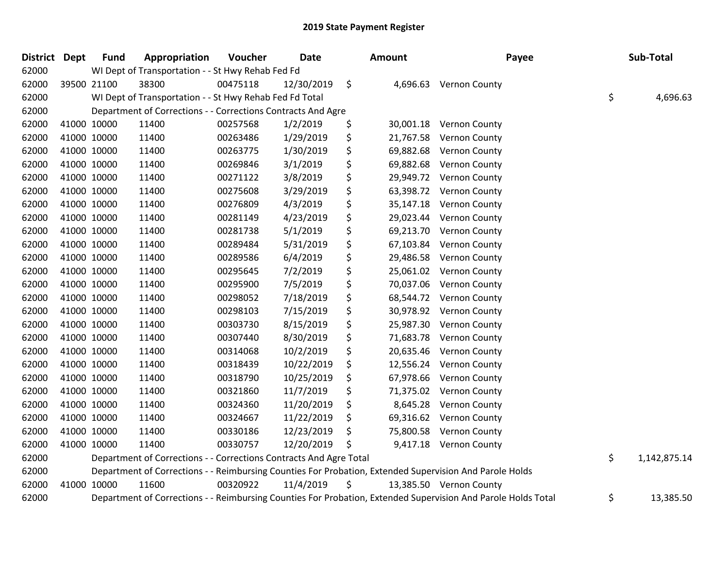| District Dept | <b>Fund</b> | Appropriation                                                      | Voucher  | Date       | Amount          | Payee                                                                                                         | Sub-Total          |
|---------------|-------------|--------------------------------------------------------------------|----------|------------|-----------------|---------------------------------------------------------------------------------------------------------------|--------------------|
| 62000         |             | WI Dept of Transportation - - St Hwy Rehab Fed Fd                  |          |            |                 |                                                                                                               |                    |
| 62000         | 39500 21100 | 38300                                                              | 00475118 | 12/30/2019 | \$<br>4,696.63  | <b>Vernon County</b>                                                                                          |                    |
| 62000         |             | WI Dept of Transportation - - St Hwy Rehab Fed Fd Total            |          |            |                 |                                                                                                               | \$<br>4,696.63     |
| 62000         |             | Department of Corrections - - Corrections Contracts And Agre       |          |            |                 |                                                                                                               |                    |
| 62000         | 41000 10000 | 11400                                                              | 00257568 | 1/2/2019   | \$<br>30,001.18 | <b>Vernon County</b>                                                                                          |                    |
| 62000         | 41000 10000 | 11400                                                              | 00263486 | 1/29/2019  | \$<br>21,767.58 | <b>Vernon County</b>                                                                                          |                    |
| 62000         | 41000 10000 | 11400                                                              | 00263775 | 1/30/2019  | \$<br>69,882.68 | <b>Vernon County</b>                                                                                          |                    |
| 62000         | 41000 10000 | 11400                                                              | 00269846 | 3/1/2019   | \$<br>69,882.68 | <b>Vernon County</b>                                                                                          |                    |
| 62000         | 41000 10000 | 11400                                                              | 00271122 | 3/8/2019   | \$<br>29,949.72 | <b>Vernon County</b>                                                                                          |                    |
| 62000         | 41000 10000 | 11400                                                              | 00275608 | 3/29/2019  | \$<br>63,398.72 | <b>Vernon County</b>                                                                                          |                    |
| 62000         | 41000 10000 | 11400                                                              | 00276809 | 4/3/2019   | \$<br>35,147.18 | <b>Vernon County</b>                                                                                          |                    |
| 62000         | 41000 10000 | 11400                                                              | 00281149 | 4/23/2019  | \$<br>29,023.44 | <b>Vernon County</b>                                                                                          |                    |
| 62000         | 41000 10000 | 11400                                                              | 00281738 | 5/1/2019   | \$<br>69,213.70 | <b>Vernon County</b>                                                                                          |                    |
| 62000         | 41000 10000 | 11400                                                              | 00289484 | 5/31/2019  | \$<br>67,103.84 | <b>Vernon County</b>                                                                                          |                    |
| 62000         | 41000 10000 | 11400                                                              | 00289586 | 6/4/2019   | \$<br>29,486.58 | <b>Vernon County</b>                                                                                          |                    |
| 62000         | 41000 10000 | 11400                                                              | 00295645 | 7/2/2019   | \$<br>25,061.02 | <b>Vernon County</b>                                                                                          |                    |
| 62000         | 41000 10000 | 11400                                                              | 00295900 | 7/5/2019   | \$<br>70,037.06 | <b>Vernon County</b>                                                                                          |                    |
| 62000         | 41000 10000 | 11400                                                              | 00298052 | 7/18/2019  | \$<br>68,544.72 | <b>Vernon County</b>                                                                                          |                    |
| 62000         | 41000 10000 | 11400                                                              | 00298103 | 7/15/2019  | \$<br>30,978.92 | Vernon County                                                                                                 |                    |
| 62000         | 41000 10000 | 11400                                                              | 00303730 | 8/15/2019  | \$<br>25,987.30 | <b>Vernon County</b>                                                                                          |                    |
| 62000         | 41000 10000 | 11400                                                              | 00307440 | 8/30/2019  | \$<br>71,683.78 | <b>Vernon County</b>                                                                                          |                    |
| 62000         | 41000 10000 | 11400                                                              | 00314068 | 10/2/2019  | \$<br>20,635.46 | <b>Vernon County</b>                                                                                          |                    |
| 62000         | 41000 10000 | 11400                                                              | 00318439 | 10/22/2019 | \$<br>12,556.24 | <b>Vernon County</b>                                                                                          |                    |
| 62000         | 41000 10000 | 11400                                                              | 00318790 | 10/25/2019 | \$<br>67,978.66 | <b>Vernon County</b>                                                                                          |                    |
| 62000         | 41000 10000 | 11400                                                              | 00321860 | 11/7/2019  | \$<br>71,375.02 | <b>Vernon County</b>                                                                                          |                    |
| 62000         | 41000 10000 | 11400                                                              | 00324360 | 11/20/2019 | \$<br>8,645.28  | <b>Vernon County</b>                                                                                          |                    |
| 62000         | 41000 10000 | 11400                                                              | 00324667 | 11/22/2019 | \$<br>69,316.62 | <b>Vernon County</b>                                                                                          |                    |
| 62000         | 41000 10000 | 11400                                                              | 00330186 | 12/23/2019 | \$<br>75,800.58 | <b>Vernon County</b>                                                                                          |                    |
| 62000         | 41000 10000 | 11400                                                              | 00330757 | 12/20/2019 | \$              | 9,417.18 Vernon County                                                                                        |                    |
| 62000         |             | Department of Corrections - - Corrections Contracts And Agre Total |          |            |                 |                                                                                                               | \$<br>1,142,875.14 |
| 62000         |             |                                                                    |          |            |                 | Department of Corrections - - Reimbursing Counties For Probation, Extended Supervision And Parole Holds       |                    |
| 62000         | 41000 10000 | 11600                                                              | 00320922 | 11/4/2019  | \$              | 13,385.50 Vernon County                                                                                       |                    |
| 62000         |             |                                                                    |          |            |                 | Department of Corrections - - Reimbursing Counties For Probation, Extended Supervision And Parole Holds Total | \$<br>13,385.50    |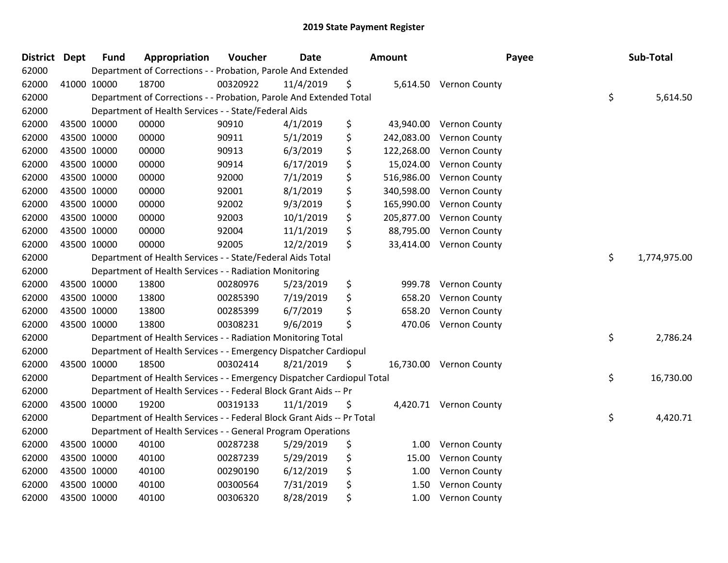| <b>District</b> | <b>Dept</b> | <b>Fund</b> | Appropriation                                                          | Voucher  | <b>Date</b> | Amount           | Payee                   | Sub-Total          |
|-----------------|-------------|-------------|------------------------------------------------------------------------|----------|-------------|------------------|-------------------------|--------------------|
| 62000           |             |             | Department of Corrections - - Probation, Parole And Extended           |          |             |                  |                         |                    |
| 62000           | 41000 10000 |             | 18700                                                                  | 00320922 | 11/4/2019   | \$               | 5,614.50 Vernon County  |                    |
| 62000           |             |             | Department of Corrections - - Probation, Parole And Extended Total     |          |             |                  |                         | \$<br>5,614.50     |
| 62000           |             |             | Department of Health Services - - State/Federal Aids                   |          |             |                  |                         |                    |
| 62000           | 43500 10000 |             | 00000                                                                  | 90910    | 4/1/2019    | \$<br>43,940.00  | <b>Vernon County</b>    |                    |
| 62000           | 43500 10000 |             | 00000                                                                  | 90911    | 5/1/2019    | \$<br>242,083.00 | Vernon County           |                    |
| 62000           | 43500 10000 |             | 00000                                                                  | 90913    | 6/3/2019    | \$<br>122,268.00 | Vernon County           |                    |
| 62000           | 43500 10000 |             | 00000                                                                  | 90914    | 6/17/2019   | \$<br>15,024.00  | Vernon County           |                    |
| 62000           | 43500 10000 |             | 00000                                                                  | 92000    | 7/1/2019    | \$<br>516,986.00 | Vernon County           |                    |
| 62000           | 43500 10000 |             | 00000                                                                  | 92001    | 8/1/2019    | \$<br>340,598.00 | Vernon County           |                    |
| 62000           | 43500 10000 |             | 00000                                                                  | 92002    | 9/3/2019    | \$<br>165,990.00 | Vernon County           |                    |
| 62000           | 43500 10000 |             | 00000                                                                  | 92003    | 10/1/2019   | \$<br>205,877.00 | Vernon County           |                    |
| 62000           | 43500 10000 |             | 00000                                                                  | 92004    | 11/1/2019   | \$<br>88,795.00  | Vernon County           |                    |
| 62000           | 43500 10000 |             | 00000                                                                  | 92005    | 12/2/2019   | \$<br>33,414.00  | Vernon County           |                    |
| 62000           |             |             | Department of Health Services - - State/Federal Aids Total             |          |             |                  |                         | \$<br>1,774,975.00 |
| 62000           |             |             | Department of Health Services - - Radiation Monitoring                 |          |             |                  |                         |                    |
| 62000           | 43500 10000 |             | 13800                                                                  | 00280976 | 5/23/2019   | \$<br>999.78     | Vernon County           |                    |
| 62000           | 43500 10000 |             | 13800                                                                  | 00285390 | 7/19/2019   | \$<br>658.20     | Vernon County           |                    |
| 62000           | 43500 10000 |             | 13800                                                                  | 00285399 | 6/7/2019    | \$<br>658.20     | Vernon County           |                    |
| 62000           | 43500 10000 |             | 13800                                                                  | 00308231 | 9/6/2019    | \$<br>470.06     | <b>Vernon County</b>    |                    |
| 62000           |             |             | Department of Health Services - - Radiation Monitoring Total           |          |             |                  |                         | \$<br>2,786.24     |
| 62000           |             |             | Department of Health Services - - Emergency Dispatcher Cardiopul       |          |             |                  |                         |                    |
| 62000           | 43500 10000 |             | 18500                                                                  | 00302414 | 8/21/2019   | \$               | 16,730.00 Vernon County |                    |
| 62000           |             |             | Department of Health Services - - Emergency Dispatcher Cardiopul Total |          |             |                  |                         | \$<br>16,730.00    |
| 62000           |             |             | Department of Health Services - - Federal Block Grant Aids -- Pr       |          |             |                  |                         |                    |
| 62000           | 43500 10000 |             | 19200                                                                  | 00319133 | 11/1/2019   | \$               | 4,420.71 Vernon County  |                    |
| 62000           |             |             | Department of Health Services - - Federal Block Grant Aids -- Pr Total |          |             |                  |                         | \$<br>4,420.71     |
| 62000           |             |             | Department of Health Services - - General Program Operations           |          |             |                  |                         |                    |
| 62000           | 43500 10000 |             | 40100                                                                  | 00287238 | 5/29/2019   | \$<br>1.00       | Vernon County           |                    |
| 62000           | 43500 10000 |             | 40100                                                                  | 00287239 | 5/29/2019   | \$<br>15.00      | Vernon County           |                    |
| 62000           | 43500 10000 |             | 40100                                                                  | 00290190 | 6/12/2019   | \$<br>1.00       | Vernon County           |                    |
| 62000           |             | 43500 10000 | 40100                                                                  | 00300564 | 7/31/2019   | \$<br>1.50       | Vernon County           |                    |
| 62000           | 43500 10000 |             | 40100                                                                  | 00306320 | 8/28/2019   | \$<br>1.00       | Vernon County           |                    |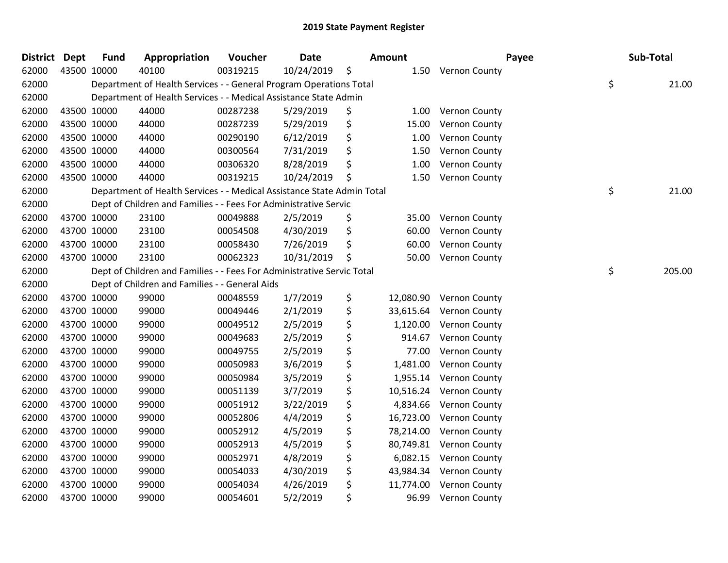| <b>District</b> | Dept | <b>Fund</b> | Appropriation                                                          | Voucher  | <b>Date</b> | <b>Amount</b>   | Payee                   | Sub-Total    |
|-----------------|------|-------------|------------------------------------------------------------------------|----------|-------------|-----------------|-------------------------|--------------|
| 62000           |      | 43500 10000 | 40100                                                                  | 00319215 | 10/24/2019  | \$              | 1.50 Vernon County      |              |
| 62000           |      |             | Department of Health Services - - General Program Operations Total     |          |             |                 |                         | \$<br>21.00  |
| 62000           |      |             | Department of Health Services - - Medical Assistance State Admin       |          |             |                 |                         |              |
| 62000           |      | 43500 10000 | 44000                                                                  | 00287238 | 5/29/2019   | \$              | 1.00 Vernon County      |              |
| 62000           |      | 43500 10000 | 44000                                                                  | 00287239 | 5/29/2019   | \$<br>15.00     | <b>Vernon County</b>    |              |
| 62000           |      | 43500 10000 | 44000                                                                  | 00290190 | 6/12/2019   | \$<br>1.00      | <b>Vernon County</b>    |              |
| 62000           |      | 43500 10000 | 44000                                                                  | 00300564 | 7/31/2019   | \$<br>1.50      | Vernon County           |              |
| 62000           |      | 43500 10000 | 44000                                                                  | 00306320 | 8/28/2019   | \$<br>1.00      | Vernon County           |              |
| 62000           |      | 43500 10000 | 44000                                                                  | 00319215 | 10/24/2019  | \$<br>1.50      | <b>Vernon County</b>    |              |
| 62000           |      |             | Department of Health Services - - Medical Assistance State Admin Total |          |             |                 |                         | \$<br>21.00  |
| 62000           |      |             | Dept of Children and Families - - Fees For Administrative Servic       |          |             |                 |                         |              |
| 62000           |      | 43700 10000 | 23100                                                                  | 00049888 | 2/5/2019    | \$<br>35.00     | <b>Vernon County</b>    |              |
| 62000           |      | 43700 10000 | 23100                                                                  | 00054508 | 4/30/2019   | \$<br>60.00     | <b>Vernon County</b>    |              |
| 62000           |      | 43700 10000 | 23100                                                                  | 00058430 | 7/26/2019   | \$<br>60.00     | <b>Vernon County</b>    |              |
| 62000           |      | 43700 10000 | 23100                                                                  | 00062323 | 10/31/2019  | \$<br>50.00     | <b>Vernon County</b>    |              |
| 62000           |      |             | Dept of Children and Families - - Fees For Administrative Servic Total |          |             |                 |                         | \$<br>205.00 |
| 62000           |      |             | Dept of Children and Families - - General Aids                         |          |             |                 |                         |              |
| 62000           |      | 43700 10000 | 99000                                                                  | 00048559 | 1/7/2019    | \$              | 12,080.90 Vernon County |              |
| 62000           |      | 43700 10000 | 99000                                                                  | 00049446 | 2/1/2019    | \$<br>33,615.64 | <b>Vernon County</b>    |              |
| 62000           |      | 43700 10000 | 99000                                                                  | 00049512 | 2/5/2019    | \$<br>1,120.00  | Vernon County           |              |
| 62000           |      | 43700 10000 | 99000                                                                  | 00049683 | 2/5/2019    | \$<br>914.67    | Vernon County           |              |
| 62000           |      | 43700 10000 | 99000                                                                  | 00049755 | 2/5/2019    | \$<br>77.00     | Vernon County           |              |
| 62000           |      | 43700 10000 | 99000                                                                  | 00050983 | 3/6/2019    | \$<br>1,481.00  | <b>Vernon County</b>    |              |
| 62000           |      | 43700 10000 | 99000                                                                  | 00050984 | 3/5/2019    | \$<br>1,955.14  | Vernon County           |              |
| 62000           |      | 43700 10000 | 99000                                                                  | 00051139 | 3/7/2019    | \$<br>10,516.24 | Vernon County           |              |
| 62000           |      | 43700 10000 | 99000                                                                  | 00051912 | 3/22/2019   | \$<br>4,834.66  | Vernon County           |              |
| 62000           |      | 43700 10000 | 99000                                                                  | 00052806 | 4/4/2019    | \$<br>16,723.00 | Vernon County           |              |
| 62000           |      | 43700 10000 | 99000                                                                  | 00052912 | 4/5/2019    | \$<br>78,214.00 | <b>Vernon County</b>    |              |
| 62000           |      | 43700 10000 | 99000                                                                  | 00052913 | 4/5/2019    | \$<br>80,749.81 | Vernon County           |              |
| 62000           |      | 43700 10000 | 99000                                                                  | 00052971 | 4/8/2019    | \$<br>6,082.15  | Vernon County           |              |
| 62000           |      | 43700 10000 | 99000                                                                  | 00054033 | 4/30/2019   | \$<br>43,984.34 | Vernon County           |              |
| 62000           |      | 43700 10000 | 99000                                                                  | 00054034 | 4/26/2019   | \$<br>11,774.00 | <b>Vernon County</b>    |              |
| 62000           |      | 43700 10000 | 99000                                                                  | 00054601 | 5/2/2019    | \$<br>96.99     | <b>Vernon County</b>    |              |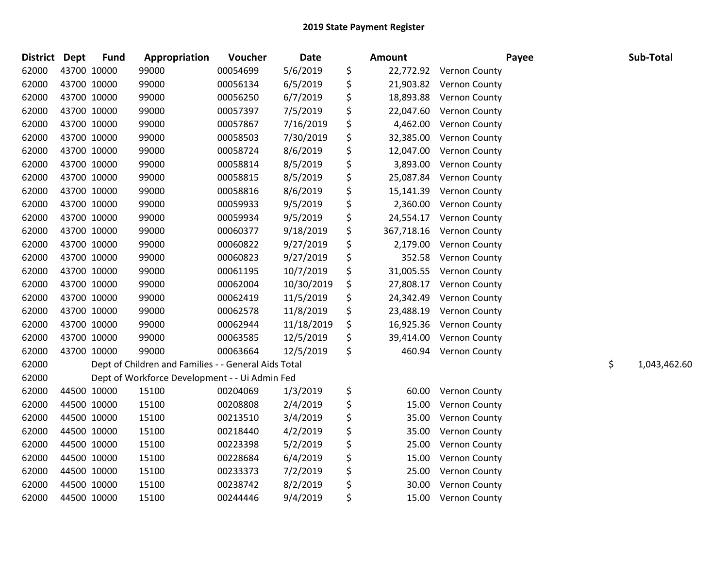| <b>District</b> | <b>Dept</b> | <b>Fund</b> | Appropriation                                        | Voucher  | <b>Date</b> | <b>Amount</b>    | Payee                | Sub-Total          |
|-----------------|-------------|-------------|------------------------------------------------------|----------|-------------|------------------|----------------------|--------------------|
| 62000           |             | 43700 10000 | 99000                                                | 00054699 | 5/6/2019    | \$<br>22,772.92  | Vernon County        |                    |
| 62000           |             | 43700 10000 | 99000                                                | 00056134 | 6/5/2019    | \$<br>21,903.82  | <b>Vernon County</b> |                    |
| 62000           |             | 43700 10000 | 99000                                                | 00056250 | 6/7/2019    | \$<br>18,893.88  | Vernon County        |                    |
| 62000           |             | 43700 10000 | 99000                                                | 00057397 | 7/5/2019    | \$<br>22,047.60  | <b>Vernon County</b> |                    |
| 62000           |             | 43700 10000 | 99000                                                | 00057867 | 7/16/2019   | \$<br>4,462.00   | Vernon County        |                    |
| 62000           |             | 43700 10000 | 99000                                                | 00058503 | 7/30/2019   | \$<br>32,385.00  | <b>Vernon County</b> |                    |
| 62000           |             | 43700 10000 | 99000                                                | 00058724 | 8/6/2019    | \$<br>12,047.00  | Vernon County        |                    |
| 62000           |             | 43700 10000 | 99000                                                | 00058814 | 8/5/2019    | \$<br>3,893.00   | Vernon County        |                    |
| 62000           |             | 43700 10000 | 99000                                                | 00058815 | 8/5/2019    | \$<br>25,087.84  | Vernon County        |                    |
| 62000           |             | 43700 10000 | 99000                                                | 00058816 | 8/6/2019    | \$<br>15,141.39  | <b>Vernon County</b> |                    |
| 62000           |             | 43700 10000 | 99000                                                | 00059933 | 9/5/2019    | \$<br>2,360.00   | Vernon County        |                    |
| 62000           |             | 43700 10000 | 99000                                                | 00059934 | 9/5/2019    | \$<br>24,554.17  | Vernon County        |                    |
| 62000           |             | 43700 10000 | 99000                                                | 00060377 | 9/18/2019   | \$<br>367,718.16 | Vernon County        |                    |
| 62000           |             | 43700 10000 | 99000                                                | 00060822 | 9/27/2019   | \$<br>2,179.00   | <b>Vernon County</b> |                    |
| 62000           |             | 43700 10000 | 99000                                                | 00060823 | 9/27/2019   | \$<br>352.58     | Vernon County        |                    |
| 62000           |             | 43700 10000 | 99000                                                | 00061195 | 10/7/2019   | \$<br>31,005.55  | Vernon County        |                    |
| 62000           |             | 43700 10000 | 99000                                                | 00062004 | 10/30/2019  | \$<br>27,808.17  | Vernon County        |                    |
| 62000           |             | 43700 10000 | 99000                                                | 00062419 | 11/5/2019   | \$<br>24,342.49  | Vernon County        |                    |
| 62000           |             | 43700 10000 | 99000                                                | 00062578 | 11/8/2019   | \$<br>23,488.19  | Vernon County        |                    |
| 62000           |             | 43700 10000 | 99000                                                | 00062944 | 11/18/2019  | \$<br>16,925.36  | Vernon County        |                    |
| 62000           |             | 43700 10000 | 99000                                                | 00063585 | 12/5/2019   | \$<br>39,414.00  | Vernon County        |                    |
| 62000           |             | 43700 10000 | 99000                                                | 00063664 | 12/5/2019   | \$<br>460.94     | <b>Vernon County</b> |                    |
| 62000           |             |             | Dept of Children and Families - - General Aids Total |          |             |                  |                      | \$<br>1,043,462.60 |
| 62000           |             |             | Dept of Workforce Development - - Ui Admin Fed       |          |             |                  |                      |                    |
| 62000           |             | 44500 10000 | 15100                                                | 00204069 | 1/3/2019    | \$<br>60.00      | Vernon County        |                    |
| 62000           |             | 44500 10000 | 15100                                                | 00208808 | 2/4/2019    | \$<br>15.00      | Vernon County        |                    |
| 62000           |             | 44500 10000 | 15100                                                | 00213510 | 3/4/2019    | \$<br>35.00      | Vernon County        |                    |
| 62000           |             | 44500 10000 | 15100                                                | 00218440 | 4/2/2019    | \$<br>35.00      | Vernon County        |                    |
| 62000           |             | 44500 10000 | 15100                                                | 00223398 | 5/2/2019    | \$<br>25.00      | Vernon County        |                    |
| 62000           |             | 44500 10000 | 15100                                                | 00228684 | 6/4/2019    | \$<br>15.00      | Vernon County        |                    |
| 62000           |             | 44500 10000 | 15100                                                | 00233373 | 7/2/2019    | \$<br>25.00      | Vernon County        |                    |
| 62000           |             | 44500 10000 | 15100                                                | 00238742 | 8/2/2019    | \$<br>30.00      | Vernon County        |                    |
| 62000           |             | 44500 10000 | 15100                                                | 00244446 | 9/4/2019    | \$<br>15.00      | Vernon County        |                    |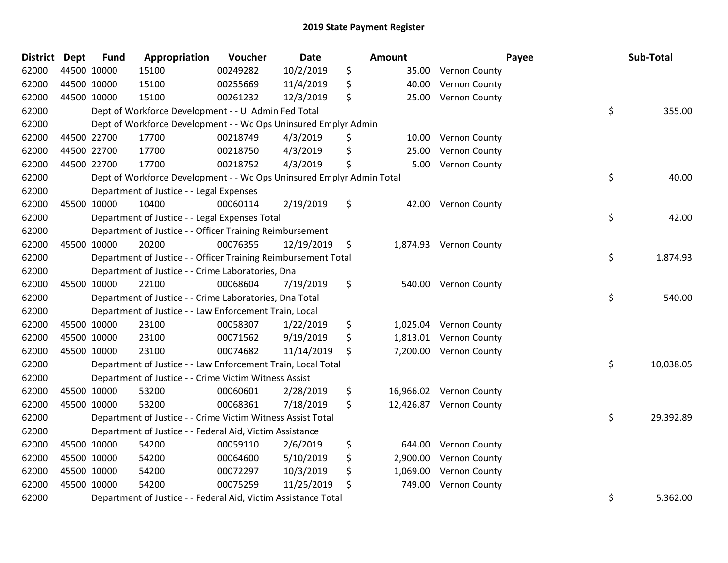| <b>District</b> | <b>Dept</b> | <b>Fund</b> | Appropriation                                                         | Voucher  | <b>Date</b> |    | Amount    |                        | Payee | Sub-Total |
|-----------------|-------------|-------------|-----------------------------------------------------------------------|----------|-------------|----|-----------|------------------------|-------|-----------|
| 62000           | 44500 10000 |             | 15100                                                                 | 00249282 | 10/2/2019   | \$ | 35.00     | Vernon County          |       |           |
| 62000           | 44500 10000 |             | 15100                                                                 | 00255669 | 11/4/2019   | \$ | 40.00     | Vernon County          |       |           |
| 62000           | 44500 10000 |             | 15100                                                                 | 00261232 | 12/3/2019   | \$ | 25.00     | Vernon County          |       |           |
| 62000           |             |             | Dept of Workforce Development - - Ui Admin Fed Total                  |          |             |    |           |                        | \$    | 355.00    |
| 62000           |             |             | Dept of Workforce Development - - Wc Ops Uninsured Emplyr Admin       |          |             |    |           |                        |       |           |
| 62000           | 44500 22700 |             | 17700                                                                 | 00218749 | 4/3/2019    | \$ | 10.00     | Vernon County          |       |           |
| 62000           | 44500 22700 |             | 17700                                                                 | 00218750 | 4/3/2019    | \$ | 25.00     | Vernon County          |       |           |
| 62000           | 44500 22700 |             | 17700                                                                 | 00218752 | 4/3/2019    | \$ | 5.00      | Vernon County          |       |           |
| 62000           |             |             | Dept of Workforce Development - - Wc Ops Uninsured Emplyr Admin Total |          |             |    |           |                        | \$    | 40.00     |
| 62000           |             |             | Department of Justice - - Legal Expenses                              |          |             |    |           |                        |       |           |
| 62000           | 45500 10000 |             | 10400                                                                 | 00060114 | 2/19/2019   | \$ | 42.00     | <b>Vernon County</b>   |       |           |
| 62000           |             |             | Department of Justice - - Legal Expenses Total                        |          |             |    |           |                        | \$    | 42.00     |
| 62000           |             |             | Department of Justice - - Officer Training Reimbursement              |          |             |    |           |                        |       |           |
| 62000           | 45500 10000 |             | 20200                                                                 | 00076355 | 12/19/2019  | -Ş |           | 1,874.93 Vernon County |       |           |
| 62000           |             |             | Department of Justice - - Officer Training Reimbursement Total        |          |             |    |           |                        | \$    | 1,874.93  |
| 62000           |             |             | Department of Justice - - Crime Laboratories, Dna                     |          |             |    |           |                        |       |           |
| 62000           | 45500 10000 |             | 22100                                                                 | 00068604 | 7/19/2019   | \$ | 540.00    | Vernon County          |       |           |
| 62000           |             |             | Department of Justice - - Crime Laboratories, Dna Total               |          |             |    |           |                        | \$    | 540.00    |
| 62000           |             |             | Department of Justice - - Law Enforcement Train, Local                |          |             |    |           |                        |       |           |
| 62000           | 45500 10000 |             | 23100                                                                 | 00058307 | 1/22/2019   | \$ | 1,025.04  | <b>Vernon County</b>   |       |           |
| 62000           | 45500 10000 |             | 23100                                                                 | 00071562 | 9/19/2019   | \$ | 1,813.01  | Vernon County          |       |           |
| 62000           | 45500 10000 |             | 23100                                                                 | 00074682 | 11/14/2019  | \$ | 7,200.00  | <b>Vernon County</b>   |       |           |
| 62000           |             |             | Department of Justice - - Law Enforcement Train, Local Total          |          |             |    |           |                        | \$    | 10,038.05 |
| 62000           |             |             | Department of Justice - - Crime Victim Witness Assist                 |          |             |    |           |                        |       |           |
| 62000           | 45500 10000 |             | 53200                                                                 | 00060601 | 2/28/2019   | \$ | 16,966.02 | Vernon County          |       |           |
| 62000           | 45500 10000 |             | 53200                                                                 | 00068361 | 7/18/2019   | \$ | 12,426.87 | <b>Vernon County</b>   |       |           |
| 62000           |             |             | Department of Justice - - Crime Victim Witness Assist Total           |          |             |    |           |                        | \$    | 29,392.89 |
| 62000           |             |             | Department of Justice - - Federal Aid, Victim Assistance              |          |             |    |           |                        |       |           |
| 62000           | 45500 10000 |             | 54200                                                                 | 00059110 | 2/6/2019    | \$ | 644.00    | Vernon County          |       |           |
| 62000           | 45500 10000 |             | 54200                                                                 | 00064600 | 5/10/2019   | \$ | 2,900.00  | Vernon County          |       |           |
| 62000           | 45500 10000 |             | 54200                                                                 | 00072297 | 10/3/2019   | \$ | 1,069.00  | Vernon County          |       |           |
| 62000           | 45500 10000 |             | 54200                                                                 | 00075259 | 11/25/2019  | \$ | 749.00    | Vernon County          |       |           |
| 62000           |             |             | Department of Justice - - Federal Aid, Victim Assistance Total        |          |             |    |           |                        | \$    | 5,362.00  |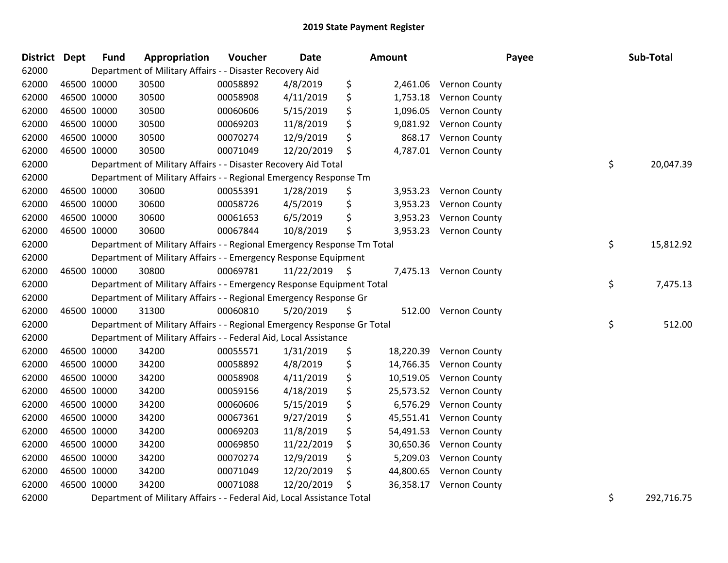| <b>District</b> | <b>Dept</b> | <b>Fund</b> | Appropriation                                                           | Voucher  | Date            |    | <b>Amount</b> | Payee                   |    | Sub-Total     |
|-----------------|-------------|-------------|-------------------------------------------------------------------------|----------|-----------------|----|---------------|-------------------------|----|---------------|
| 62000           |             |             | Department of Military Affairs - - Disaster Recovery Aid                |          |                 |    |               |                         |    |               |
| 62000           |             | 46500 10000 | 30500                                                                   | 00058892 | 4/8/2019        | \$ |               | 2,461.06 Vernon County  |    |               |
| 62000           |             | 46500 10000 | 30500                                                                   | 00058908 | 4/11/2019       | \$ | 1,753.18      | <b>Vernon County</b>    |    |               |
| 62000           |             | 46500 10000 | 30500                                                                   | 00060606 | 5/15/2019       | \$ | 1,096.05      | <b>Vernon County</b>    |    |               |
| 62000           |             | 46500 10000 | 30500                                                                   | 00069203 | 11/8/2019       | \$ | 9,081.92      | <b>Vernon County</b>    |    |               |
| 62000           |             | 46500 10000 | 30500                                                                   | 00070274 | 12/9/2019       | \$ | 868.17        | Vernon County           |    |               |
| 62000           |             | 46500 10000 | 30500                                                                   | 00071049 | 12/20/2019      | \$ |               | 4,787.01 Vernon County  |    |               |
| 62000           |             |             | Department of Military Affairs - - Disaster Recovery Aid Total          |          |                 |    |               |                         | \$ | 20,047.39     |
| 62000           |             |             | Department of Military Affairs - - Regional Emergency Response Tm       |          |                 |    |               |                         |    |               |
| 62000           |             | 46500 10000 | 30600                                                                   | 00055391 | 1/28/2019       | \$ | 3,953.23      | <b>Vernon County</b>    |    |               |
| 62000           | 46500 10000 |             | 30600                                                                   | 00058726 | 4/5/2019        | \$ | 3,953.23      | <b>Vernon County</b>    |    |               |
| 62000           |             | 46500 10000 | 30600                                                                   | 00061653 | 6/5/2019        | \$ | 3,953.23      | <b>Vernon County</b>    |    |               |
| 62000           |             | 46500 10000 | 30600                                                                   | 00067844 | 10/8/2019       | \$ | 3,953.23      | <b>Vernon County</b>    |    |               |
| 62000           |             |             | Department of Military Affairs - - Regional Emergency Response Tm Total |          |                 |    |               |                         | \$ | 15,812.92     |
| 62000           |             |             | Department of Military Affairs - - Emergency Response Equipment         |          |                 |    |               |                         |    |               |
| 62000           |             | 46500 10000 | 30800                                                                   | 00069781 | $11/22/2019$ \$ |    |               | 7,475.13 Vernon County  |    |               |
| 62000           |             |             | Department of Military Affairs - - Emergency Response Equipment Total   |          |                 |    |               |                         | \$ | 7,475.13      |
| 62000           |             |             | Department of Military Affairs - - Regional Emergency Response Gr       |          |                 |    |               |                         |    |               |
| 62000           |             | 46500 10000 | 31300                                                                   | 00060810 | 5/20/2019       | \$ |               | 512.00 Vernon County    |    |               |
| 62000           |             |             | Department of Military Affairs - - Regional Emergency Response Gr Total |          |                 |    |               |                         | \$ | 512.00        |
| 62000           |             |             | Department of Military Affairs - - Federal Aid, Local Assistance        |          |                 |    |               |                         |    |               |
| 62000           |             | 46500 10000 | 34200                                                                   | 00055571 | 1/31/2019       | \$ | 18,220.39     | <b>Vernon County</b>    |    |               |
| 62000           |             | 46500 10000 | 34200                                                                   | 00058892 | 4/8/2019        | \$ | 14,766.35     | <b>Vernon County</b>    |    |               |
| 62000           |             | 46500 10000 | 34200                                                                   | 00058908 | 4/11/2019       | \$ | 10,519.05     | <b>Vernon County</b>    |    |               |
| 62000           |             | 46500 10000 | 34200                                                                   | 00059156 | 4/18/2019       | \$ | 25,573.52     | <b>Vernon County</b>    |    |               |
| 62000           |             | 46500 10000 | 34200                                                                   | 00060606 | 5/15/2019       | \$ | 6,576.29      | Vernon County           |    |               |
| 62000           |             | 46500 10000 | 34200                                                                   | 00067361 | 9/27/2019       | \$ | 45,551.41     | <b>Vernon County</b>    |    |               |
| 62000           |             | 46500 10000 | 34200                                                                   | 00069203 | 11/8/2019       | \$ | 54,491.53     | <b>Vernon County</b>    |    |               |
| 62000           |             | 46500 10000 | 34200                                                                   | 00069850 | 11/22/2019      | \$ | 30,650.36     | <b>Vernon County</b>    |    |               |
| 62000           |             | 46500 10000 | 34200                                                                   | 00070274 | 12/9/2019       | \$ | 5,209.03      | <b>Vernon County</b>    |    |               |
| 62000           |             | 46500 10000 | 34200                                                                   | 00071049 | 12/20/2019      | Ş. | 44,800.65     | <b>Vernon County</b>    |    |               |
| 62000           |             | 46500 10000 | 34200                                                                   | 00071088 | 12/20/2019      | \$ |               | 36,358.17 Vernon County |    |               |
| 0.000           |             |             | Department of Militan: Affairs Forland Aid Local Assistance Total       |          |                 |    |               |                         | ∼  | $202.7977777$ |

Department of Military Affairs - - Federal Aid, Local Assistance Total \$ 292,716.75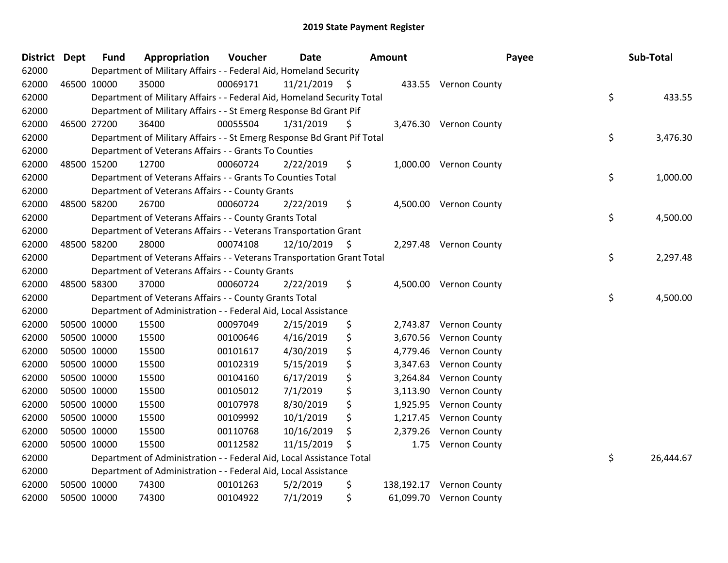| District Dept | <b>Fund</b> | Appropriation                                                           | Voucher  | <b>Date</b>   | Amount           | Payee                   | <b>Sub-Total</b> |
|---------------|-------------|-------------------------------------------------------------------------|----------|---------------|------------------|-------------------------|------------------|
| 62000         |             | Department of Military Affairs - - Federal Aid, Homeland Security       |          |               |                  |                         |                  |
| 62000         | 46500 10000 | 35000                                                                   | 00069171 | 11/21/2019 \$ |                  | 433.55 Vernon County    |                  |
| 62000         |             | Department of Military Affairs - - Federal Aid, Homeland Security Total |          |               |                  |                         | \$<br>433.55     |
| 62000         |             | Department of Military Affairs - - St Emerg Response Bd Grant Pif       |          |               |                  |                         |                  |
| 62000         | 46500 27200 | 36400                                                                   | 00055504 | 1/31/2019     | \$               | 3,476.30 Vernon County  |                  |
| 62000         |             | Department of Military Affairs - - St Emerg Response Bd Grant Pif Total |          |               |                  |                         | \$<br>3,476.30   |
| 62000         |             | Department of Veterans Affairs - - Grants To Counties                   |          |               |                  |                         |                  |
| 62000         | 48500 15200 | 12700                                                                   | 00060724 | 2/22/2019     | \$               | 1,000.00 Vernon County  |                  |
| 62000         |             | Department of Veterans Affairs - - Grants To Counties Total             |          |               |                  |                         | \$<br>1,000.00   |
| 62000         |             | Department of Veterans Affairs - - County Grants                        |          |               |                  |                         |                  |
| 62000         | 48500 58200 | 26700                                                                   | 00060724 | 2/22/2019     | \$               | 4,500.00 Vernon County  |                  |
| 62000         |             | Department of Veterans Affairs - - County Grants Total                  |          |               |                  |                         | \$<br>4,500.00   |
| 62000         |             | Department of Veterans Affairs - - Veterans Transportation Grant        |          |               |                  |                         |                  |
| 62000         | 48500 58200 | 28000                                                                   | 00074108 | 12/10/2019 \$ |                  | 2,297.48 Vernon County  |                  |
| 62000         |             | Department of Veterans Affairs - - Veterans Transportation Grant Total  |          |               |                  |                         | \$<br>2,297.48   |
| 62000         |             | Department of Veterans Affairs - - County Grants                        |          |               |                  |                         |                  |
| 62000         | 48500 58300 | 37000                                                                   | 00060724 | 2/22/2019     | \$<br>4,500.00   | <b>Vernon County</b>    |                  |
| 62000         |             | Department of Veterans Affairs - - County Grants Total                  |          |               |                  |                         | \$<br>4,500.00   |
| 62000         |             | Department of Administration - - Federal Aid, Local Assistance          |          |               |                  |                         |                  |
| 62000         | 50500 10000 | 15500                                                                   | 00097049 | 2/15/2019     | \$<br>2,743.87   | <b>Vernon County</b>    |                  |
| 62000         | 50500 10000 | 15500                                                                   | 00100646 | 4/16/2019     | \$<br>3,670.56   | Vernon County           |                  |
| 62000         | 50500 10000 | 15500                                                                   | 00101617 | 4/30/2019     | \$<br>4,779.46   | <b>Vernon County</b>    |                  |
| 62000         | 50500 10000 | 15500                                                                   | 00102319 | 5/15/2019     | \$<br>3,347.63   | <b>Vernon County</b>    |                  |
| 62000         | 50500 10000 | 15500                                                                   | 00104160 | 6/17/2019     | \$<br>3,264.84   | <b>Vernon County</b>    |                  |
| 62000         | 50500 10000 | 15500                                                                   | 00105012 | 7/1/2019      | \$<br>3,113.90   | Vernon County           |                  |
| 62000         | 50500 10000 | 15500                                                                   | 00107978 | 8/30/2019     | \$<br>1,925.95   | Vernon County           |                  |
| 62000         | 50500 10000 | 15500                                                                   | 00109992 | 10/1/2019     | \$<br>1,217.45   | Vernon County           |                  |
| 62000         | 50500 10000 | 15500                                                                   | 00110768 | 10/16/2019    | \$<br>2,379.26   | <b>Vernon County</b>    |                  |
| 62000         | 50500 10000 | 15500                                                                   | 00112582 | 11/15/2019    | \$<br>1.75       | <b>Vernon County</b>    |                  |
| 62000         |             | Department of Administration - - Federal Aid, Local Assistance Total    |          |               |                  |                         | \$<br>26,444.67  |
| 62000         |             | Department of Administration - - Federal Aid, Local Assistance          |          |               |                  |                         |                  |
| 62000         | 50500 10000 | 74300                                                                   | 00101263 | 5/2/2019      | \$<br>138,192.17 | <b>Vernon County</b>    |                  |
| 62000         | 50500 10000 | 74300                                                                   | 00104922 | 7/1/2019      | \$               | 61,099.70 Vernon County |                  |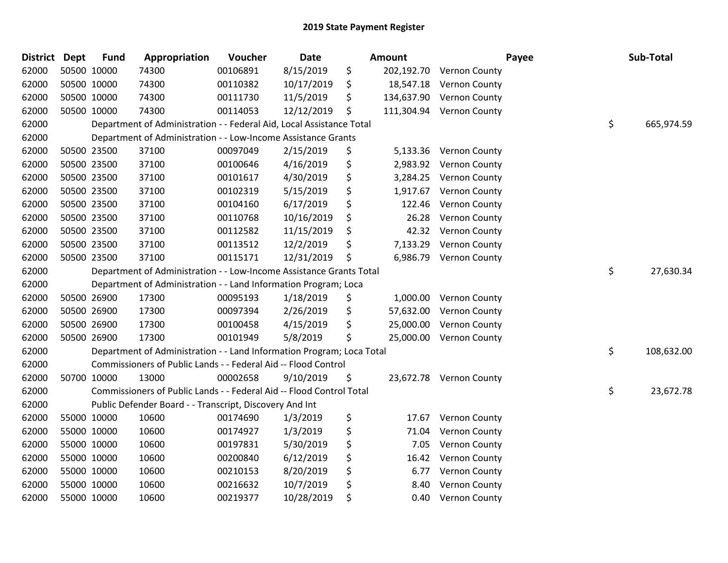| <b>District</b> | <b>Dept</b> | <b>Fund</b> | Appropriation                                                         | Voucher  | Date       | Amount           | Payee                   | Sub-Total        |
|-----------------|-------------|-------------|-----------------------------------------------------------------------|----------|------------|------------------|-------------------------|------------------|
| 62000           |             | 50500 10000 | 74300                                                                 | 00106891 | 8/15/2019  | \$<br>202,192.70 | <b>Vernon County</b>    |                  |
| 62000           |             | 50500 10000 | 74300                                                                 | 00110382 | 10/17/2019 | \$<br>18,547.18  | <b>Vernon County</b>    |                  |
| 62000           |             | 50500 10000 | 74300                                                                 | 00111730 | 11/5/2019  | \$<br>134,637.90 | <b>Vernon County</b>    |                  |
| 62000           | 50500 10000 |             | 74300                                                                 | 00114053 | 12/12/2019 | \$<br>111,304.94 | <b>Vernon County</b>    |                  |
| 62000           |             |             | Department of Administration - - Federal Aid, Local Assistance Total  |          |            |                  |                         | \$<br>665,974.59 |
| 62000           |             |             | Department of Administration - - Low-Income Assistance Grants         |          |            |                  |                         |                  |
| 62000           |             | 50500 23500 | 37100                                                                 | 00097049 | 2/15/2019  | \$<br>5,133.36   | Vernon County           |                  |
| 62000           |             | 50500 23500 | 37100                                                                 | 00100646 | 4/16/2019  | \$<br>2,983.92   | <b>Vernon County</b>    |                  |
| 62000           |             | 50500 23500 | 37100                                                                 | 00101617 | 4/30/2019  | \$<br>3,284.25   | <b>Vernon County</b>    |                  |
| 62000           |             | 50500 23500 | 37100                                                                 | 00102319 | 5/15/2019  | \$<br>1,917.67   | Vernon County           |                  |
| 62000           |             | 50500 23500 | 37100                                                                 | 00104160 | 6/17/2019  | \$<br>122.46     | Vernon County           |                  |
| 62000           |             | 50500 23500 | 37100                                                                 | 00110768 | 10/16/2019 | \$<br>26.28      | Vernon County           |                  |
| 62000           |             | 50500 23500 | 37100                                                                 | 00112582 | 11/15/2019 | \$<br>42.32      | <b>Vernon County</b>    |                  |
| 62000           | 50500 23500 |             | 37100                                                                 | 00113512 | 12/2/2019  | \$<br>7,133.29   | Vernon County           |                  |
| 62000           |             | 50500 23500 | 37100                                                                 | 00115171 | 12/31/2019 | \$<br>6,986.79   | Vernon County           |                  |
| 62000           |             |             | Department of Administration - - Low-Income Assistance Grants Total   |          |            |                  |                         | \$<br>27,630.34  |
| 62000           |             |             | Department of Administration - - Land Information Program; Loca       |          |            |                  |                         |                  |
| 62000           |             | 50500 26900 | 17300                                                                 | 00095193 | 1/18/2019  | \$<br>1,000.00   | <b>Vernon County</b>    |                  |
| 62000           |             | 50500 26900 | 17300                                                                 | 00097394 | 2/26/2019  | \$<br>57,632.00  | <b>Vernon County</b>    |                  |
| 62000           |             | 50500 26900 | 17300                                                                 | 00100458 | 4/15/2019  | \$<br>25,000.00  | <b>Vernon County</b>    |                  |
| 62000           |             | 50500 26900 | 17300                                                                 | 00101949 | 5/8/2019   | \$<br>25,000.00  | <b>Vernon County</b>    |                  |
| 62000           |             |             | Department of Administration - - Land Information Program; Loca Total |          |            |                  |                         | \$<br>108,632.00 |
| 62000           |             |             | Commissioners of Public Lands - - Federal Aid -- Flood Control        |          |            |                  |                         |                  |
| 62000           |             | 50700 10000 | 13000                                                                 | 00002658 | 9/10/2019  | \$               | 23,672.78 Vernon County |                  |
| 62000           |             |             | Commissioners of Public Lands - - Federal Aid -- Flood Control Total  |          |            |                  |                         | \$<br>23,672.78  |
| 62000           |             |             | Public Defender Board - - Transcript, Discovery And Int               |          |            |                  |                         |                  |
| 62000           |             | 55000 10000 | 10600                                                                 | 00174690 | 1/3/2019   | \$<br>17.67      | Vernon County           |                  |
| 62000           |             | 55000 10000 | 10600                                                                 | 00174927 | 1/3/2019   | \$<br>71.04      | Vernon County           |                  |
| 62000           |             | 55000 10000 | 10600                                                                 | 00197831 | 5/30/2019  | \$<br>7.05       | Vernon County           |                  |
| 62000           |             | 55000 10000 | 10600                                                                 | 00200840 | 6/12/2019  | \$<br>16.42      | Vernon County           |                  |
| 62000           |             | 55000 10000 | 10600                                                                 | 00210153 | 8/20/2019  | \$<br>6.77       | Vernon County           |                  |
| 62000           |             | 55000 10000 | 10600                                                                 | 00216632 | 10/7/2019  | \$<br>8.40       | Vernon County           |                  |
| 62000           |             | 55000 10000 | 10600                                                                 | 00219377 | 10/28/2019 | \$<br>0.40       | Vernon County           |                  |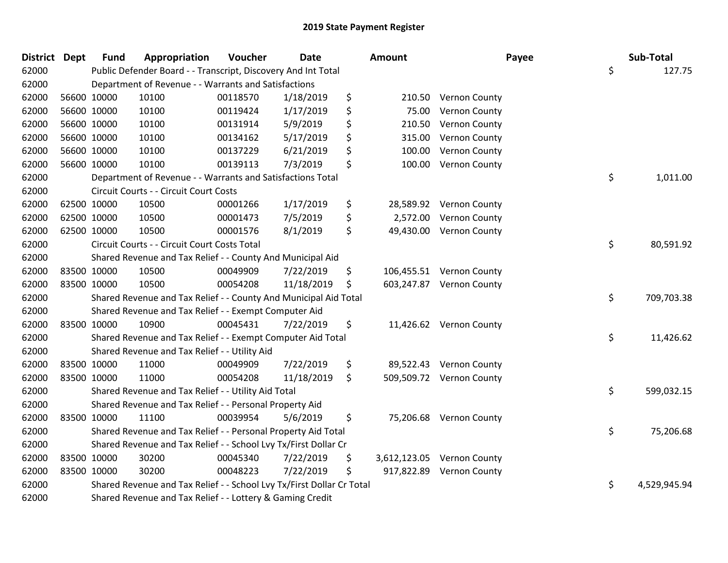| District Dept | <b>Fund</b> | Appropriation                                                         | Voucher  | <b>Date</b> | Amount           |                            | Payee | Sub-Total    |
|---------------|-------------|-----------------------------------------------------------------------|----------|-------------|------------------|----------------------------|-------|--------------|
| 62000         |             | Public Defender Board - - Transcript, Discovery And Int Total         |          |             |                  |                            | \$    | 127.75       |
| 62000         |             | Department of Revenue - - Warrants and Satisfactions                  |          |             |                  |                            |       |              |
| 62000         | 56600 10000 | 10100                                                                 | 00118570 | 1/18/2019   | \$<br>210.50     | <b>Vernon County</b>       |       |              |
| 62000         | 56600 10000 | 10100                                                                 | 00119424 | 1/17/2019   | \$<br>75.00      | Vernon County              |       |              |
| 62000         | 56600 10000 | 10100                                                                 | 00131914 | 5/9/2019    | \$<br>210.50     | Vernon County              |       |              |
| 62000         | 56600 10000 | 10100                                                                 | 00134162 | 5/17/2019   | \$<br>315.00     | Vernon County              |       |              |
| 62000         | 56600 10000 | 10100                                                                 | 00137229 | 6/21/2019   | \$<br>100.00     | Vernon County              |       |              |
| 62000         | 56600 10000 | 10100                                                                 | 00139113 | 7/3/2019    | \$<br>100.00     | Vernon County              |       |              |
| 62000         |             | Department of Revenue - - Warrants and Satisfactions Total            |          |             |                  |                            | \$    | 1,011.00     |
| 62000         |             | Circuit Courts - - Circuit Court Costs                                |          |             |                  |                            |       |              |
| 62000         | 62500 10000 | 10500                                                                 | 00001266 | 1/17/2019   | \$               | 28,589.92 Vernon County    |       |              |
| 62000         | 62500 10000 | 10500                                                                 | 00001473 | 7/5/2019    | \$<br>2,572.00   | Vernon County              |       |              |
| 62000         | 62500 10000 | 10500                                                                 | 00001576 | 8/1/2019    | \$               | 49,430.00 Vernon County    |       |              |
| 62000         |             | Circuit Courts - - Circuit Court Costs Total                          |          |             |                  |                            | \$    | 80,591.92    |
| 62000         |             | Shared Revenue and Tax Relief - - County And Municipal Aid            |          |             |                  |                            |       |              |
| 62000         | 83500 10000 | 10500                                                                 | 00049909 | 7/22/2019   | \$               | 106,455.51 Vernon County   |       |              |
| 62000         | 83500 10000 | 10500                                                                 | 00054208 | 11/18/2019  | \$               | 603,247.87 Vernon County   |       |              |
| 62000         |             | Shared Revenue and Tax Relief - - County And Municipal Aid Total      |          |             |                  |                            | \$    | 709,703.38   |
| 62000         |             | Shared Revenue and Tax Relief - - Exempt Computer Aid                 |          |             |                  |                            |       |              |
| 62000         | 83500 10000 | 10900                                                                 | 00045431 | 7/22/2019   | \$               | 11,426.62 Vernon County    |       |              |
| 62000         |             | Shared Revenue and Tax Relief - - Exempt Computer Aid Total           |          |             |                  |                            | \$    | 11,426.62    |
| 62000         |             | Shared Revenue and Tax Relief - - Utility Aid                         |          |             |                  |                            |       |              |
| 62000         | 83500 10000 | 11000                                                                 | 00049909 | 7/22/2019   | \$               | 89,522.43 Vernon County    |       |              |
| 62000         | 83500 10000 | 11000                                                                 | 00054208 | 11/18/2019  | \$<br>509,509.72 | <b>Vernon County</b>       |       |              |
| 62000         |             | Shared Revenue and Tax Relief - - Utility Aid Total                   |          |             |                  |                            | \$    | 599,032.15   |
| 62000         |             | Shared Revenue and Tax Relief - - Personal Property Aid               |          |             |                  |                            |       |              |
| 62000         | 83500 10000 | 11100                                                                 | 00039954 | 5/6/2019    | \$               | 75,206.68 Vernon County    |       |              |
| 62000         |             | Shared Revenue and Tax Relief - - Personal Property Aid Total         |          |             |                  |                            | \$    | 75,206.68    |
| 62000         |             | Shared Revenue and Tax Relief - - School Lvy Tx/First Dollar Cr       |          |             |                  |                            |       |              |
| 62000         | 83500 10000 | 30200                                                                 | 00045340 | 7/22/2019   | \$               | 3,612,123.05 Vernon County |       |              |
| 62000         | 83500 10000 | 30200                                                                 | 00048223 | 7/22/2019   | \$               | 917,822.89 Vernon County   |       |              |
| 62000         |             | Shared Revenue and Tax Relief - - School Lvy Tx/First Dollar Cr Total |          |             |                  |                            | \$    | 4,529,945.94 |
| 62000         |             | Shared Revenue and Tax Relief - - Lottery & Gaming Credit             |          |             |                  |                            |       |              |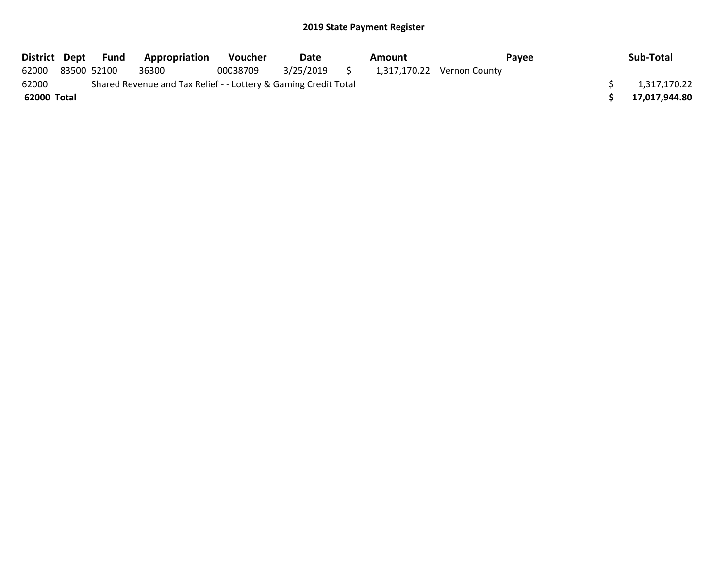|             |             | District Dept Fund | Appropriation                                                   | <b>Voucher</b> | Date         | Amount |                            | Pavee | Sub-Total     |
|-------------|-------------|--------------------|-----------------------------------------------------------------|----------------|--------------|--------|----------------------------|-------|---------------|
| 62000       | 83500 52100 |                    | 36300                                                           | 00038709       | 3/25/2019 \$ |        | 1,317,170.22 Vernon County |       |               |
| 62000       |             |                    | Shared Revenue and Tax Relief - - Lottery & Gaming Credit Total |                |              |        |                            |       | 1,317,170.22  |
| 62000 Total |             |                    |                                                                 |                |              |        |                            |       | 17,017,944.80 |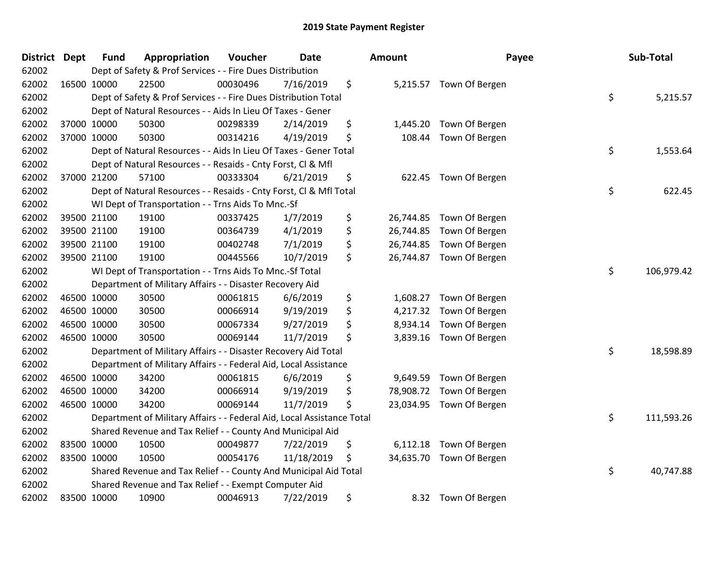| <b>District</b> | <b>Dept</b> | <b>Fund</b> | Appropriation                                                          | Voucher  | <b>Date</b> | <b>Amount</b>  | Payee                    | Sub-Total        |
|-----------------|-------------|-------------|------------------------------------------------------------------------|----------|-------------|----------------|--------------------------|------------------|
| 62002           |             |             | Dept of Safety & Prof Services - - Fire Dues Distribution              |          |             |                |                          |                  |
| 62002           | 16500 10000 |             | 22500                                                                  | 00030496 | 7/16/2019   | \$             | 5,215.57 Town Of Bergen  |                  |
| 62002           |             |             | Dept of Safety & Prof Services - - Fire Dues Distribution Total        |          |             |                |                          | \$<br>5,215.57   |
| 62002           |             |             | Dept of Natural Resources - - Aids In Lieu Of Taxes - Gener            |          |             |                |                          |                  |
| 62002           |             | 37000 10000 | 50300                                                                  | 00298339 | 2/14/2019   | \$<br>1,445.20 | Town Of Bergen           |                  |
| 62002           |             | 37000 10000 | 50300                                                                  | 00314216 | 4/19/2019   | \$<br>108.44   | Town Of Bergen           |                  |
| 62002           |             |             | Dept of Natural Resources - - Aids In Lieu Of Taxes - Gener Total      |          |             |                |                          | \$<br>1,553.64   |
| 62002           |             |             | Dept of Natural Resources - - Resaids - Cnty Forst, Cl & Mfl           |          |             |                |                          |                  |
| 62002           |             | 37000 21200 | 57100                                                                  | 00333304 | 6/21/2019   | \$             | 622.45 Town Of Bergen    |                  |
| 62002           |             |             | Dept of Natural Resources - - Resaids - Cnty Forst, Cl & Mfl Total     |          |             |                |                          | \$<br>622.45     |
| 62002           |             |             | WI Dept of Transportation - - Trns Aids To Mnc.-Sf                     |          |             |                |                          |                  |
| 62002           |             | 39500 21100 | 19100                                                                  | 00337425 | 1/7/2019    | \$             | 26,744.85 Town Of Bergen |                  |
| 62002           |             | 39500 21100 | 19100                                                                  | 00364739 | 4/1/2019    | \$             | 26,744.85 Town Of Bergen |                  |
| 62002           |             | 39500 21100 | 19100                                                                  | 00402748 | 7/1/2019    | \$             | 26,744.85 Town Of Bergen |                  |
| 62002           |             | 39500 21100 | 19100                                                                  | 00445566 | 10/7/2019   | \$             | 26,744.87 Town Of Bergen |                  |
| 62002           |             |             | WI Dept of Transportation - - Trns Aids To Mnc.-Sf Total               |          |             |                |                          | \$<br>106,979.42 |
| 62002           |             |             | Department of Military Affairs - - Disaster Recovery Aid               |          |             |                |                          |                  |
| 62002           |             | 46500 10000 | 30500                                                                  | 00061815 | 6/6/2019    | \$             | 1,608.27 Town Of Bergen  |                  |
| 62002           |             | 46500 10000 | 30500                                                                  | 00066914 | 9/19/2019   | \$<br>4,217.32 | Town Of Bergen           |                  |
| 62002           |             | 46500 10000 | 30500                                                                  | 00067334 | 9/27/2019   | \$<br>8,934.14 | Town Of Bergen           |                  |
| 62002           | 46500 10000 |             | 30500                                                                  | 00069144 | 11/7/2019   | \$             | 3,839.16 Town Of Bergen  |                  |
| 62002           |             |             | Department of Military Affairs - - Disaster Recovery Aid Total         |          |             |                |                          | \$<br>18,598.89  |
| 62002           |             |             | Department of Military Affairs - - Federal Aid, Local Assistance       |          |             |                |                          |                  |
| 62002           |             | 46500 10000 | 34200                                                                  | 00061815 | 6/6/2019    | \$<br>9,649.59 | Town Of Bergen           |                  |
| 62002           | 46500 10000 |             | 34200                                                                  | 00066914 | 9/19/2019   | \$             | 78,908.72 Town Of Bergen |                  |
| 62002           |             | 46500 10000 | 34200                                                                  | 00069144 | 11/7/2019   | \$             | 23,034.95 Town Of Bergen |                  |
| 62002           |             |             | Department of Military Affairs - - Federal Aid, Local Assistance Total |          |             |                |                          | \$<br>111,593.26 |
| 62002           |             |             | Shared Revenue and Tax Relief - - County And Municipal Aid             |          |             |                |                          |                  |
| 62002           |             | 83500 10000 | 10500                                                                  | 00049877 | 7/22/2019   | \$<br>6,112.18 | Town Of Bergen           |                  |
| 62002           | 83500 10000 |             | 10500                                                                  | 00054176 | 11/18/2019  | \$             | 34,635.70 Town Of Bergen |                  |
| 62002           |             |             | Shared Revenue and Tax Relief - - County And Municipal Aid Total       |          |             |                |                          | \$<br>40,747.88  |
| 62002           |             |             | Shared Revenue and Tax Relief - - Exempt Computer Aid                  |          |             |                |                          |                  |
| 62002           | 83500 10000 |             | 10900                                                                  | 00046913 | 7/22/2019   | \$<br>8.32     | Town Of Bergen           |                  |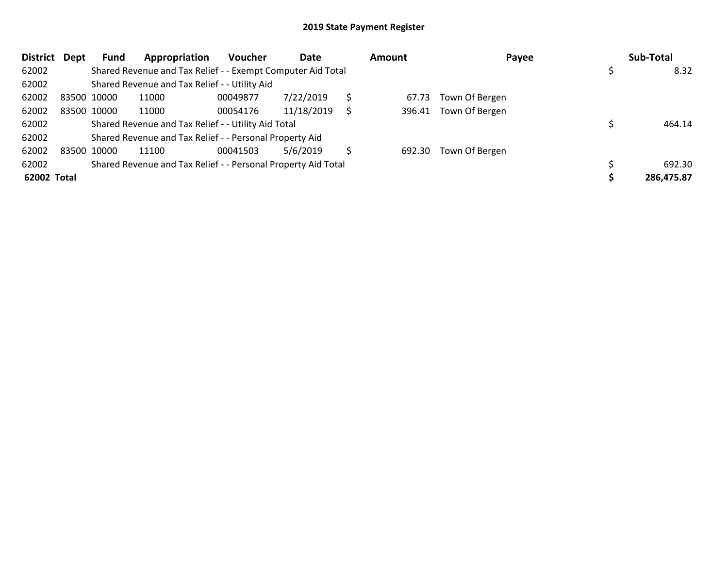| <b>District</b> | Dept | Fund        | Appropriation                                                 | <b>Voucher</b> | Date       | Amount | Payee                 | Sub-Total  |
|-----------------|------|-------------|---------------------------------------------------------------|----------------|------------|--------|-----------------------|------------|
| 62002           |      |             | Shared Revenue and Tax Relief - - Exempt Computer Aid Total   |                |            |        |                       | 8.32       |
| 62002           |      |             | Shared Revenue and Tax Relief - - Utility Aid                 |                |            |        |                       |            |
| 62002           |      | 83500 10000 | 11000                                                         | 00049877       | 7/22/2019  | 67.73  | Town Of Bergen        |            |
| 62002           |      | 83500 10000 | 11000                                                         | 00054176       | 11/18/2019 |        | 396.41 Town Of Bergen |            |
| 62002           |      |             | Shared Revenue and Tax Relief - - Utility Aid Total           |                |            |        |                       | 464.14     |
| 62002           |      |             | Shared Revenue and Tax Relief - - Personal Property Aid       |                |            |        |                       |            |
| 62002           |      | 83500 10000 | 11100                                                         | 00041503       | 5/6/2019   | 692.30 | Town Of Bergen        |            |
| 62002           |      |             | Shared Revenue and Tax Relief - - Personal Property Aid Total |                |            |        |                       | 692.30     |
| 62002 Total     |      |             |                                                               |                |            |        |                       | 286,475.87 |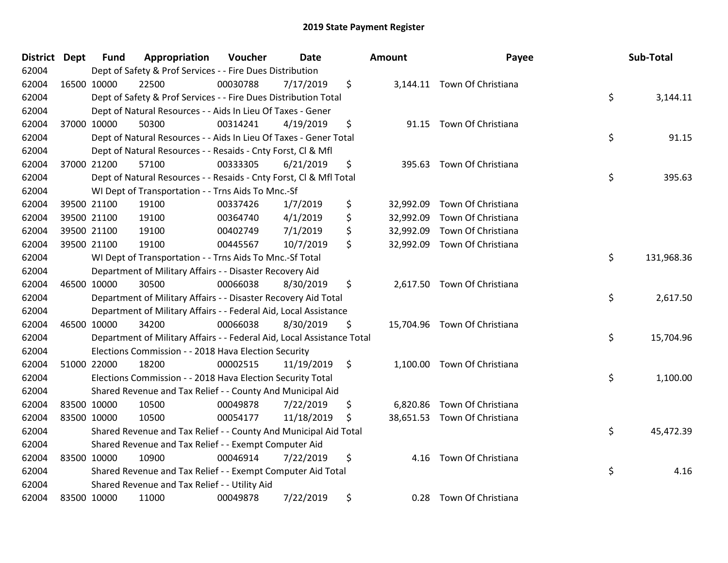| District Dept |             | <b>Fund</b> | Appropriation                                                          | Voucher  | <b>Date</b> |                    | <b>Amount</b> | Payee                        | Sub-Total        |
|---------------|-------------|-------------|------------------------------------------------------------------------|----------|-------------|--------------------|---------------|------------------------------|------------------|
| 62004         |             |             | Dept of Safety & Prof Services - - Fire Dues Distribution              |          |             |                    |               |                              |                  |
| 62004         | 16500 10000 |             | 22500                                                                  | 00030788 | 7/17/2019   | \$                 |               | 3,144.11 Town Of Christiana  |                  |
| 62004         |             |             | Dept of Safety & Prof Services - - Fire Dues Distribution Total        |          |             |                    |               |                              | \$<br>3,144.11   |
| 62004         |             |             | Dept of Natural Resources - - Aids In Lieu Of Taxes - Gener            |          |             |                    |               |                              |                  |
| 62004         | 37000 10000 |             | 50300                                                                  | 00314241 | 4/19/2019   | \$                 | 91.15         | Town Of Christiana           |                  |
| 62004         |             |             | Dept of Natural Resources - - Aids In Lieu Of Taxes - Gener Total      |          |             |                    |               |                              | \$<br>91.15      |
| 62004         |             |             | Dept of Natural Resources - - Resaids - Cnty Forst, Cl & Mfl           |          |             |                    |               |                              |                  |
| 62004         | 37000 21200 |             | 57100                                                                  | 00333305 | 6/21/2019   | \$                 | 395.63        | Town Of Christiana           |                  |
| 62004         |             |             | Dept of Natural Resources - - Resaids - Cnty Forst, Cl & Mfl Total     |          |             |                    |               |                              | \$<br>395.63     |
| 62004         |             |             | WI Dept of Transportation - - Trns Aids To Mnc.-Sf                     |          |             |                    |               |                              |                  |
| 62004         |             | 39500 21100 | 19100                                                                  | 00337426 | 1/7/2019    | \$                 | 32,992.09     | Town Of Christiana           |                  |
| 62004         | 39500 21100 |             | 19100                                                                  | 00364740 | 4/1/2019    | \$                 | 32,992.09     | Town Of Christiana           |                  |
| 62004         | 39500 21100 |             | 19100                                                                  | 00402749 | 7/1/2019    | \$                 | 32,992.09     | Town Of Christiana           |                  |
| 62004         | 39500 21100 |             | 19100                                                                  | 00445567 | 10/7/2019   | \$                 | 32,992.09     | Town Of Christiana           |                  |
| 62004         |             |             | WI Dept of Transportation - - Trns Aids To Mnc.-Sf Total               |          |             |                    |               |                              | \$<br>131,968.36 |
| 62004         |             |             | Department of Military Affairs - - Disaster Recovery Aid               |          |             |                    |               |                              |                  |
| 62004         | 46500 10000 |             | 30500                                                                  | 00066038 | 8/30/2019   | \$                 | 2,617.50      | Town Of Christiana           |                  |
| 62004         |             |             | Department of Military Affairs - - Disaster Recovery Aid Total         |          |             |                    |               |                              | \$<br>2,617.50   |
| 62004         |             |             | Department of Military Affairs - - Federal Aid, Local Assistance       |          |             |                    |               |                              |                  |
| 62004         | 46500 10000 |             | 34200                                                                  | 00066038 | 8/30/2019   | \$                 |               | 15,704.96 Town Of Christiana |                  |
| 62004         |             |             | Department of Military Affairs - - Federal Aid, Local Assistance Total |          |             |                    |               |                              | \$<br>15,704.96  |
| 62004         |             |             | Elections Commission - - 2018 Hava Election Security                   |          |             |                    |               |                              |                  |
| 62004         | 51000 22000 |             | 18200                                                                  | 00002515 | 11/19/2019  | $\ddot{\varsigma}$ |               | 1,100.00 Town Of Christiana  |                  |
| 62004         |             |             | Elections Commission - - 2018 Hava Election Security Total             |          |             |                    |               |                              | \$<br>1,100.00   |
| 62004         |             |             | Shared Revenue and Tax Relief - - County And Municipal Aid             |          |             |                    |               |                              |                  |
| 62004         | 83500 10000 |             | 10500                                                                  | 00049878 | 7/22/2019   | \$                 | 6,820.86      | Town Of Christiana           |                  |
| 62004         | 83500 10000 |             | 10500                                                                  | 00054177 | 11/18/2019  | \$                 |               | 38,651.53 Town Of Christiana |                  |
| 62004         |             |             | Shared Revenue and Tax Relief - - County And Municipal Aid Total       |          |             |                    |               |                              | \$<br>45,472.39  |
| 62004         |             |             | Shared Revenue and Tax Relief - - Exempt Computer Aid                  |          |             |                    |               |                              |                  |
| 62004         | 83500 10000 |             | 10900                                                                  | 00046914 | 7/22/2019   | \$                 | 4.16          | Town Of Christiana           |                  |
| 62004         |             |             | Shared Revenue and Tax Relief - - Exempt Computer Aid Total            |          |             |                    |               |                              | \$<br>4.16       |
| 62004         |             |             | Shared Revenue and Tax Relief - - Utility Aid                          |          |             |                    |               |                              |                  |
| 62004         | 83500 10000 |             | 11000                                                                  | 00049878 | 7/22/2019   | \$                 | 0.28          | Town Of Christiana           |                  |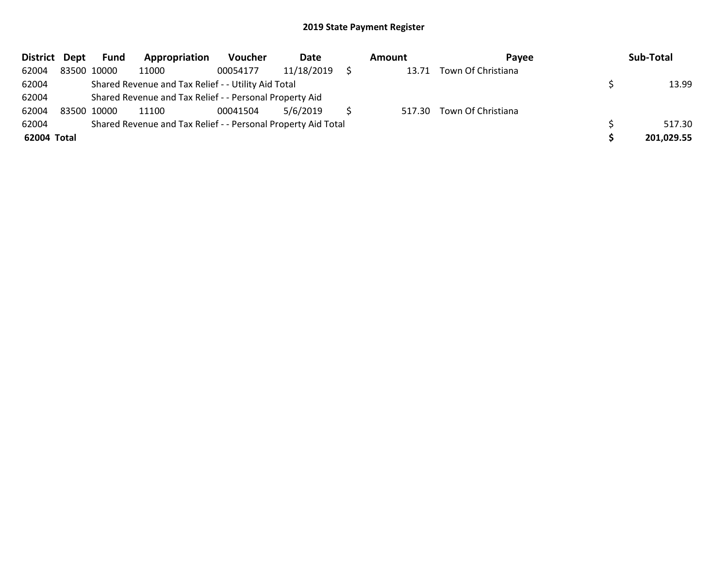| District Dept |             | Fund        | Appropriation                                                 | Voucher  | Date       | Amount | Pavee                     | Sub-Total  |
|---------------|-------------|-------------|---------------------------------------------------------------|----------|------------|--------|---------------------------|------------|
| 62004         |             | 83500 10000 | 11000                                                         | 00054177 | 11/18/2019 | 13.71  | Town Of Christiana        |            |
| 62004         |             |             | Shared Revenue and Tax Relief - - Utility Aid Total           |          |            |        |                           | 13.99      |
| 62004         |             |             | Shared Revenue and Tax Relief - - Personal Property Aid       |          |            |        |                           |            |
| 62004         | 83500 10000 |             | 11100                                                         | 00041504 | 5/6/2019   |        | 517.30 Town Of Christiana |            |
| 62004         |             |             | Shared Revenue and Tax Relief - - Personal Property Aid Total |          |            |        |                           | 517.30     |
| 62004 Total   |             |             |                                                               |          |            |        |                           | 201,029.55 |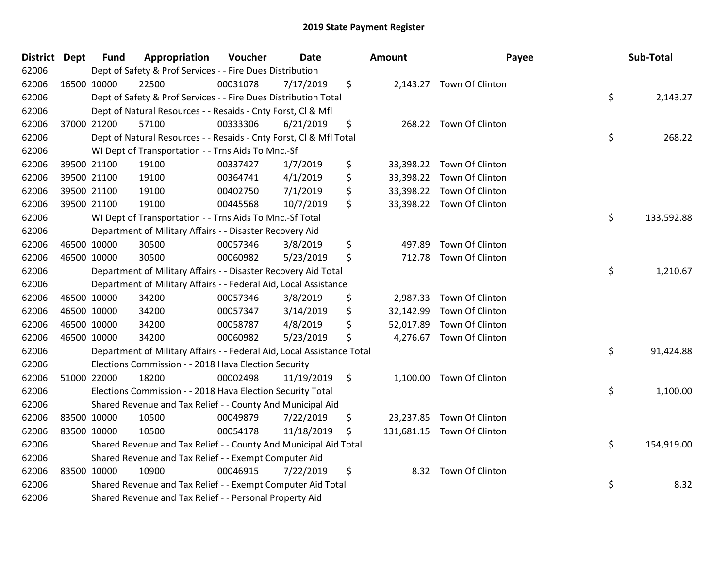| District Dept |             | <b>Fund</b> | Appropriation                                                          | Voucher  | Date       |         | Amount    | Payee                      | Sub-Total        |
|---------------|-------------|-------------|------------------------------------------------------------------------|----------|------------|---------|-----------|----------------------------|------------------|
| 62006         |             |             | Dept of Safety & Prof Services - - Fire Dues Distribution              |          |            |         |           |                            |                  |
| 62006         |             | 16500 10000 | 22500                                                                  | 00031078 | 7/17/2019  | \$      |           | 2,143.27 Town Of Clinton   |                  |
| 62006         |             |             | Dept of Safety & Prof Services - - Fire Dues Distribution Total        |          |            |         |           |                            | \$<br>2,143.27   |
| 62006         |             |             | Dept of Natural Resources - - Resaids - Cnty Forst, CI & Mfl           |          |            |         |           |                            |                  |
| 62006         |             | 37000 21200 | 57100                                                                  | 00333306 | 6/21/2019  | \$      |           | 268.22 Town Of Clinton     |                  |
| 62006         |             |             | Dept of Natural Resources - - Resaids - Cnty Forst, CI & Mfl Total     |          |            |         |           |                            | \$<br>268.22     |
| 62006         |             |             | WI Dept of Transportation - - Trns Aids To Mnc.-Sf                     |          |            |         |           |                            |                  |
| 62006         |             | 39500 21100 | 19100                                                                  | 00337427 | 1/7/2019   | \$      |           | 33,398.22 Town Of Clinton  |                  |
| 62006         |             | 39500 21100 | 19100                                                                  | 00364741 | 4/1/2019   | \$      |           | 33,398.22 Town Of Clinton  |                  |
| 62006         |             | 39500 21100 | 19100                                                                  | 00402750 | 7/1/2019   | \$      |           | 33,398.22 Town Of Clinton  |                  |
| 62006         |             | 39500 21100 | 19100                                                                  | 00445568 | 10/7/2019  | \$      |           | 33,398.22 Town Of Clinton  |                  |
| 62006         |             |             | WI Dept of Transportation - - Trns Aids To Mnc.-Sf Total               |          |            |         |           |                            | \$<br>133,592.88 |
| 62006         |             |             | Department of Military Affairs - - Disaster Recovery Aid               |          |            |         |           |                            |                  |
| 62006         |             | 46500 10000 | 30500                                                                  | 00057346 | 3/8/2019   | \$      | 497.89    | Town Of Clinton            |                  |
| 62006         |             | 46500 10000 | 30500                                                                  | 00060982 | 5/23/2019  | \$      | 712.78    | Town Of Clinton            |                  |
| 62006         |             |             | Department of Military Affairs - - Disaster Recovery Aid Total         |          |            |         |           |                            | \$<br>1,210.67   |
| 62006         |             |             | Department of Military Affairs - - Federal Aid, Local Assistance       |          |            |         |           |                            |                  |
| 62006         |             | 46500 10000 | 34200                                                                  | 00057346 | 3/8/2019   | \$      | 2,987.33  | Town Of Clinton            |                  |
| 62006         |             | 46500 10000 | 34200                                                                  | 00057347 | 3/14/2019  | \$      | 32,142.99 | Town Of Clinton            |                  |
| 62006         |             | 46500 10000 | 34200                                                                  | 00058787 | 4/8/2019   | \$      |           | 52,017.89 Town Of Clinton  |                  |
| 62006         |             | 46500 10000 | 34200                                                                  | 00060982 | 5/23/2019  | \$      |           | 4,276.67 Town Of Clinton   |                  |
| 62006         |             |             | Department of Military Affairs - - Federal Aid, Local Assistance Total |          |            |         |           |                            | \$<br>91,424.88  |
| 62006         |             |             | Elections Commission - - 2018 Hava Election Security                   |          |            |         |           |                            |                  |
| 62006         |             | 51000 22000 | 18200                                                                  | 00002498 | 11/19/2019 | $\zeta$ | 1,100.00  | Town Of Clinton            |                  |
| 62006         |             |             | Elections Commission - - 2018 Hava Election Security Total             |          |            |         |           |                            | \$<br>1,100.00   |
| 62006         |             |             | Shared Revenue and Tax Relief - - County And Municipal Aid             |          |            |         |           |                            |                  |
| 62006         | 83500 10000 |             | 10500                                                                  | 00049879 | 7/22/2019  | \$      |           | 23,237.85 Town Of Clinton  |                  |
| 62006         | 83500 10000 |             | 10500                                                                  | 00054178 | 11/18/2019 | \$.     |           | 131,681.15 Town Of Clinton |                  |
| 62006         |             |             | Shared Revenue and Tax Relief - - County And Municipal Aid Total       |          |            |         |           |                            | \$<br>154,919.00 |
| 62006         |             |             | Shared Revenue and Tax Relief - - Exempt Computer Aid                  |          |            |         |           |                            |                  |
| 62006         |             | 83500 10000 | 10900                                                                  | 00046915 | 7/22/2019  | \$      |           | 8.32 Town Of Clinton       |                  |
| 62006         |             |             | Shared Revenue and Tax Relief - - Exempt Computer Aid Total            |          |            |         |           |                            | \$<br>8.32       |
| 62006         |             |             | Shared Revenue and Tax Relief - - Personal Property Aid                |          |            |         |           |                            |                  |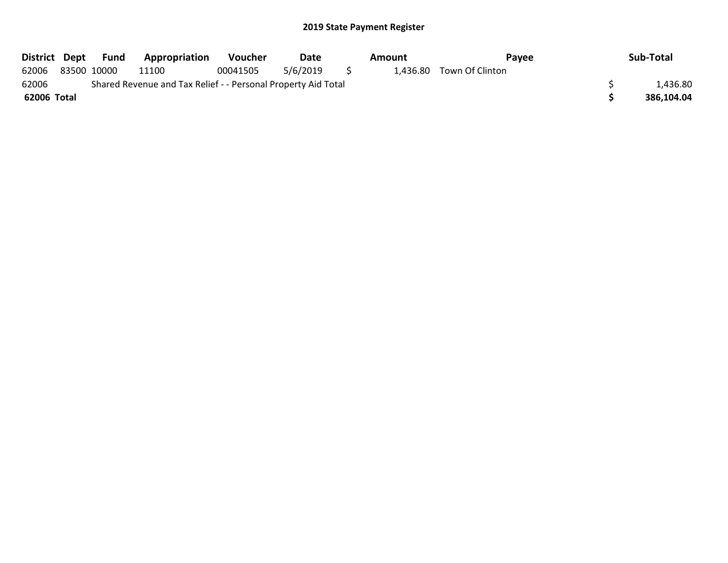| District Dept |             | Fund | <b>Appropriation</b>                                          | <b>Voucher</b> | Date     |          | Amount | Pavee                    | Sub-Total  |
|---------------|-------------|------|---------------------------------------------------------------|----------------|----------|----------|--------|--------------------------|------------|
| 62006         | 83500 10000 |      | 11100                                                         | 00041505       | 5/6/2019 | $\sim$ 5 |        | 1,436.80 Town Of Clinton |            |
| 62006         |             |      | Shared Revenue and Tax Relief - - Personal Property Aid Total |                |          |          |        |                          | 1,436.80   |
| 62006 Total   |             |      |                                                               |                |          |          |        |                          | 386.104.04 |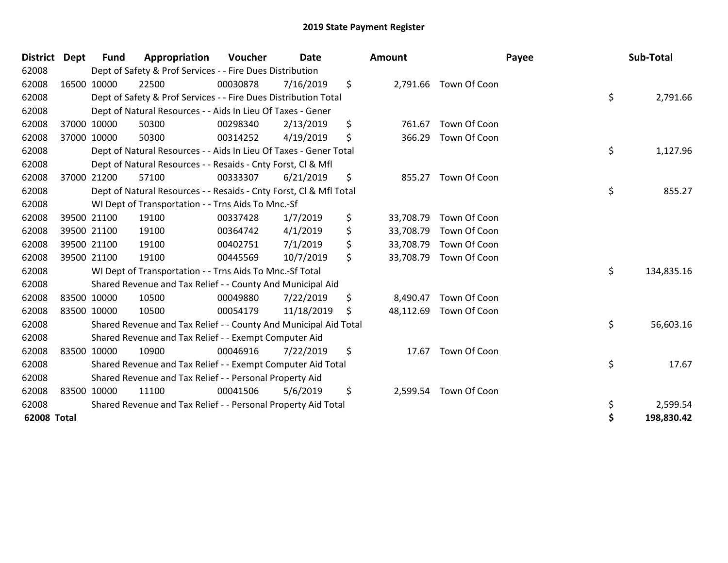| <b>District</b> | <b>Dept</b> | <b>Fund</b> | Appropriation                                                      | Voucher  | <b>Date</b> | Amount          |                        | Payee | Sub-Total  |
|-----------------|-------------|-------------|--------------------------------------------------------------------|----------|-------------|-----------------|------------------------|-------|------------|
| 62008           |             |             | Dept of Safety & Prof Services - - Fire Dues Distribution          |          |             |                 |                        |       |            |
| 62008           | 16500 10000 |             | 22500                                                              | 00030878 | 7/16/2019   | \$              | 2,791.66 Town Of Coon  |       |            |
| 62008           |             |             | Dept of Safety & Prof Services - - Fire Dues Distribution Total    |          |             |                 |                        | \$    | 2,791.66   |
| 62008           |             |             | Dept of Natural Resources - - Aids In Lieu Of Taxes - Gener        |          |             |                 |                        |       |            |
| 62008           |             | 37000 10000 | 50300                                                              | 00298340 | 2/13/2019   | \$<br>761.67    | Town Of Coon           |       |            |
| 62008           | 37000 10000 |             | 50300                                                              | 00314252 | 4/19/2019   | \$<br>366.29    | Town Of Coon           |       |            |
| 62008           |             |             | Dept of Natural Resources - - Aids In Lieu Of Taxes - Gener Total  |          |             |                 |                        | \$    | 1,127.96   |
| 62008           |             |             | Dept of Natural Resources - - Resaids - Cnty Forst, CI & Mfl       |          |             |                 |                        |       |            |
| 62008           |             | 37000 21200 | 57100                                                              | 00333307 | 6/21/2019   | \$<br>855.27    | Town Of Coon           |       |            |
| 62008           |             |             | Dept of Natural Resources - - Resaids - Cnty Forst, CI & Mfl Total |          |             |                 |                        | \$    | 855.27     |
| 62008           |             |             | WI Dept of Transportation - - Trns Aids To Mnc.-Sf                 |          |             |                 |                        |       |            |
| 62008           |             | 39500 21100 | 19100                                                              | 00337428 | 1/7/2019    | \$<br>33,708.79 | Town Of Coon           |       |            |
| 62008           |             | 39500 21100 | 19100                                                              | 00364742 | 4/1/2019    | \$<br>33,708.79 | Town Of Coon           |       |            |
| 62008           | 39500 21100 |             | 19100                                                              | 00402751 | 7/1/2019    | \$<br>33,708.79 | Town Of Coon           |       |            |
| 62008           | 39500 21100 |             | 19100                                                              | 00445569 | 10/7/2019   | \$<br>33,708.79 | Town Of Coon           |       |            |
| 62008           |             |             | WI Dept of Transportation - - Trns Aids To Mnc.-Sf Total           |          |             |                 |                        | \$    | 134,835.16 |
| 62008           |             |             | Shared Revenue and Tax Relief - - County And Municipal Aid         |          |             |                 |                        |       |            |
| 62008           | 83500 10000 |             | 10500                                                              | 00049880 | 7/22/2019   | \$<br>8,490.47  | Town Of Coon           |       |            |
| 62008           | 83500 10000 |             | 10500                                                              | 00054179 | 11/18/2019  | \$              | 48,112.69 Town Of Coon |       |            |
| 62008           |             |             | Shared Revenue and Tax Relief - - County And Municipal Aid Total   |          |             |                 |                        | \$    | 56,603.16  |
| 62008           |             |             | Shared Revenue and Tax Relief - - Exempt Computer Aid              |          |             |                 |                        |       |            |
| 62008           | 83500 10000 |             | 10900                                                              | 00046916 | 7/22/2019   | \$<br>17.67     | Town Of Coon           |       |            |
| 62008           |             |             | Shared Revenue and Tax Relief - - Exempt Computer Aid Total        |          |             |                 |                        | \$    | 17.67      |
| 62008           |             |             | Shared Revenue and Tax Relief - - Personal Property Aid            |          |             |                 |                        |       |            |
| 62008           | 83500 10000 |             | 11100                                                              | 00041506 | 5/6/2019    | \$<br>2,599.54  | Town Of Coon           |       |            |
| 62008           |             |             | Shared Revenue and Tax Relief - - Personal Property Aid Total      |          |             |                 |                        | \$    | 2,599.54   |
| 62008 Total     |             |             |                                                                    |          |             |                 |                        | \$    | 198,830.42 |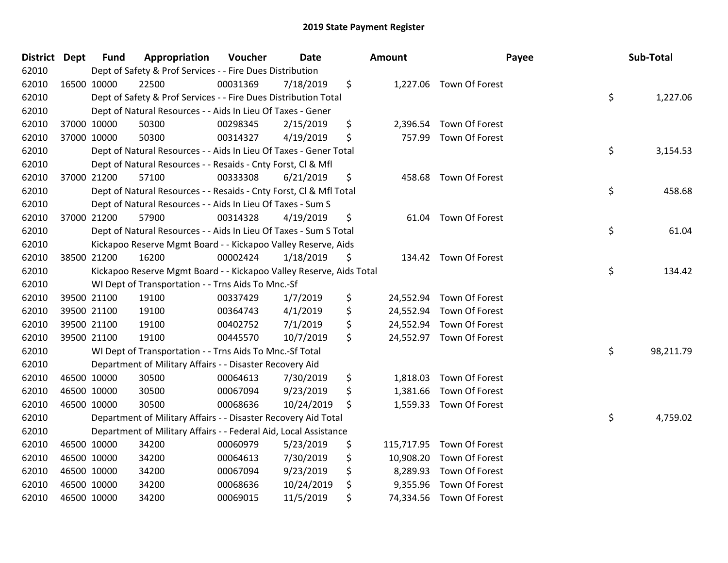| District Dept |             | <b>Fund</b> | Appropriation                                                       | Voucher  | Date       | <b>Amount</b>   | Payee                     | Sub-Total       |
|---------------|-------------|-------------|---------------------------------------------------------------------|----------|------------|-----------------|---------------------------|-----------------|
| 62010         |             |             | Dept of Safety & Prof Services - - Fire Dues Distribution           |          |            |                 |                           |                 |
| 62010         |             | 16500 10000 | 22500                                                               | 00031369 | 7/18/2019  | \$              | 1,227.06 Town Of Forest   |                 |
| 62010         |             |             | Dept of Safety & Prof Services - - Fire Dues Distribution Total     |          |            |                 |                           | \$<br>1,227.06  |
| 62010         |             |             | Dept of Natural Resources - - Aids In Lieu Of Taxes - Gener         |          |            |                 |                           |                 |
| 62010         |             | 37000 10000 | 50300                                                               | 00298345 | 2/15/2019  | \$<br>2,396.54  | Town Of Forest            |                 |
| 62010         |             | 37000 10000 | 50300                                                               | 00314327 | 4/19/2019  | \$              | 757.99 Town Of Forest     |                 |
| 62010         |             |             | Dept of Natural Resources - - Aids In Lieu Of Taxes - Gener Total   |          |            |                 |                           | \$<br>3,154.53  |
| 62010         |             |             | Dept of Natural Resources - - Resaids - Cnty Forst, Cl & Mfl        |          |            |                 |                           |                 |
| 62010         |             | 37000 21200 | 57100                                                               | 00333308 | 6/21/2019  | \$<br>458.68    | Town Of Forest            |                 |
| 62010         |             |             | Dept of Natural Resources - - Resaids - Cnty Forst, Cl & Mfl Total  |          |            |                 |                           | \$<br>458.68    |
| 62010         |             |             | Dept of Natural Resources - - Aids In Lieu Of Taxes - Sum S         |          |            |                 |                           |                 |
| 62010         |             | 37000 21200 | 57900                                                               | 00314328 | 4/19/2019  | \$              | 61.04 Town Of Forest      |                 |
| 62010         |             |             | Dept of Natural Resources - - Aids In Lieu Of Taxes - Sum S Total   |          |            |                 |                           | \$<br>61.04     |
| 62010         |             |             | Kickapoo Reserve Mgmt Board - - Kickapoo Valley Reserve, Aids       |          |            |                 |                           |                 |
| 62010         |             | 38500 21200 | 16200                                                               | 00002424 | 1/18/2019  | \$              | 134.42 Town Of Forest     |                 |
| 62010         |             |             | Kickapoo Reserve Mgmt Board - - Kickapoo Valley Reserve, Aids Total |          |            |                 |                           | \$<br>134.42    |
| 62010         |             |             | WI Dept of Transportation - - Trns Aids To Mnc.-Sf                  |          |            |                 |                           |                 |
| 62010         |             | 39500 21100 | 19100                                                               | 00337429 | 1/7/2019   | \$              | 24,552.94 Town Of Forest  |                 |
| 62010         |             | 39500 21100 | 19100                                                               | 00364743 | 4/1/2019   | \$              | 24,552.94 Town Of Forest  |                 |
| 62010         |             | 39500 21100 | 19100                                                               | 00402752 | 7/1/2019   | \$              | 24,552.94 Town Of Forest  |                 |
| 62010         |             | 39500 21100 | 19100                                                               | 00445570 | 10/7/2019  | \$              | 24,552.97 Town Of Forest  |                 |
| 62010         |             |             | WI Dept of Transportation - - Trns Aids To Mnc.-Sf Total            |          |            |                 |                           | \$<br>98,211.79 |
| 62010         |             |             | Department of Military Affairs - - Disaster Recovery Aid            |          |            |                 |                           |                 |
| 62010         |             | 46500 10000 | 30500                                                               | 00064613 | 7/30/2019  | \$<br>1,818.03  | Town Of Forest            |                 |
| 62010         |             | 46500 10000 | 30500                                                               | 00067094 | 9/23/2019  | \$<br>1,381.66  | Town Of Forest            |                 |
| 62010         |             | 46500 10000 | 30500                                                               | 00068636 | 10/24/2019 | \$              | 1,559.33 Town Of Forest   |                 |
| 62010         |             |             | Department of Military Affairs - - Disaster Recovery Aid Total      |          |            |                 |                           | \$<br>4,759.02  |
| 62010         |             |             | Department of Military Affairs - - Federal Aid, Local Assistance    |          |            |                 |                           |                 |
| 62010         |             | 46500 10000 | 34200                                                               | 00060979 | 5/23/2019  | \$              | 115,717.95 Town Of Forest |                 |
| 62010         | 46500 10000 |             | 34200                                                               | 00064613 | 7/30/2019  | \$<br>10,908.20 | Town Of Forest            |                 |
| 62010         |             | 46500 10000 | 34200                                                               | 00067094 | 9/23/2019  | \$<br>8,289.93  | Town Of Forest            |                 |
| 62010         | 46500 10000 |             | 34200                                                               | 00068636 | 10/24/2019 | \$<br>9,355.96  | Town Of Forest            |                 |
| 62010         | 46500 10000 |             | 34200                                                               | 00069015 | 11/5/2019  | \$              | 74,334.56 Town Of Forest  |                 |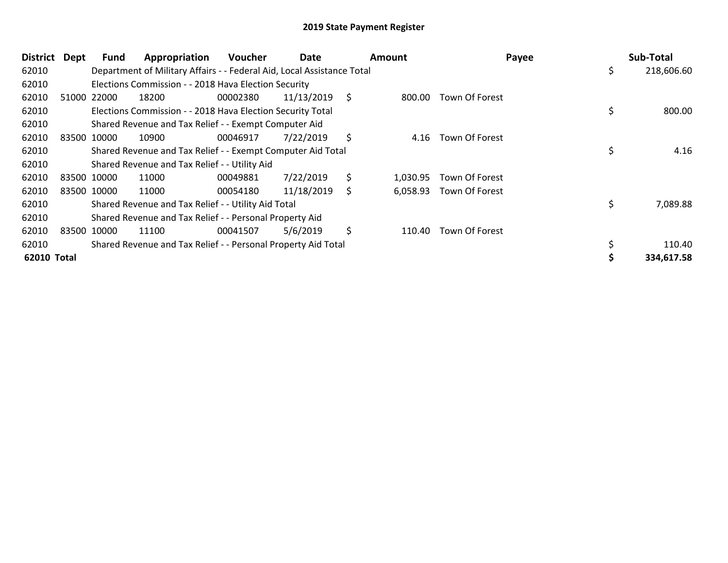| <b>District</b>    | Dept        | <b>Fund</b> | Appropriation                                                          | <b>Voucher</b> | Date       |    | <b>Amount</b> |                       | Payee | Sub-Total  |
|--------------------|-------------|-------------|------------------------------------------------------------------------|----------------|------------|----|---------------|-----------------------|-------|------------|
| 62010              |             |             | Department of Military Affairs - - Federal Aid, Local Assistance Total |                |            |    |               |                       | \$.   | 218,606.60 |
| 62010              |             |             | Elections Commission - - 2018 Hava Election Security                   |                |            |    |               |                       |       |            |
| 62010              |             | 51000 22000 | 18200                                                                  | 00002380       | 11/13/2019 | \$ | 800.00        | Town Of Forest        |       |            |
| 62010              |             |             | Elections Commission - - 2018 Hava Election Security Total             |                |            |    |               |                       | \$    | 800.00     |
| 62010              |             |             | Shared Revenue and Tax Relief - - Exempt Computer Aid                  |                |            |    |               |                       |       |            |
| 62010              | 83500 10000 |             | 10900                                                                  | 00046917       | 7/22/2019  | \$ | 4.16          | <b>Town Of Forest</b> |       |            |
| 62010              |             |             | Shared Revenue and Tax Relief - - Exempt Computer Aid Total            |                |            |    |               |                       | \$    | 4.16       |
| 62010              |             |             | Shared Revenue and Tax Relief - - Utility Aid                          |                |            |    |               |                       |       |            |
| 62010              |             | 83500 10000 | 11000                                                                  | 00049881       | 7/22/2019  | \$ | 1.030.95      | Town Of Forest        |       |            |
| 62010              |             | 83500 10000 | 11000                                                                  | 00054180       | 11/18/2019 | S  | 6,058.93      | Town Of Forest        |       |            |
| 62010              |             |             | Shared Revenue and Tax Relief - - Utility Aid Total                    |                |            |    |               |                       | \$    | 7,089.88   |
| 62010              |             |             | Shared Revenue and Tax Relief - - Personal Property Aid                |                |            |    |               |                       |       |            |
| 62010              |             | 83500 10000 | 11100                                                                  | 00041507       | 5/6/2019   | \$ | 110.40        | Town Of Forest        |       |            |
| 62010              |             |             | Shared Revenue and Tax Relief - - Personal Property Aid Total          |                |            |    |               |                       | \$    | 110.40     |
| <b>62010 Total</b> |             |             |                                                                        |                |            |    |               |                       |       | 334,617.58 |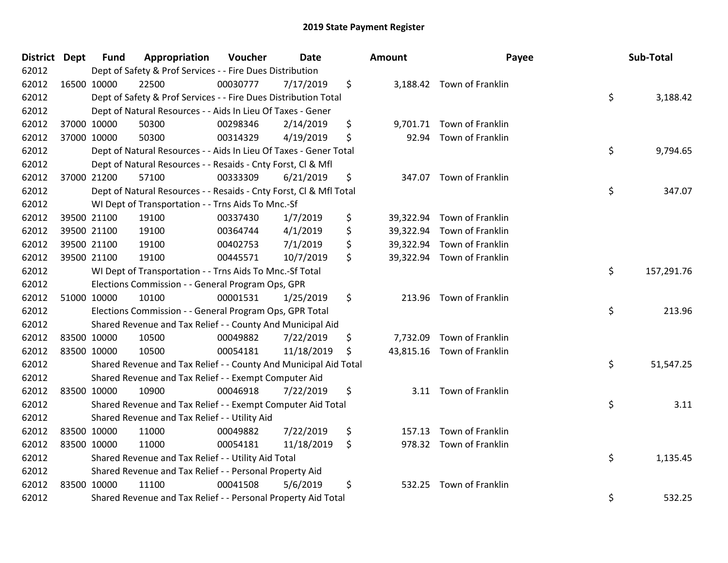| District Dept | <b>Fund</b> | Appropriation                                                      | Voucher  | <b>Date</b> | Amount         | Payee                      | Sub-Total        |
|---------------|-------------|--------------------------------------------------------------------|----------|-------------|----------------|----------------------------|------------------|
| 62012         |             | Dept of Safety & Prof Services - - Fire Dues Distribution          |          |             |                |                            |                  |
| 62012         | 16500 10000 | 22500                                                              | 00030777 | 7/17/2019   | \$             | 3,188.42 Town of Franklin  |                  |
| 62012         |             | Dept of Safety & Prof Services - - Fire Dues Distribution Total    |          |             |                |                            | \$<br>3,188.42   |
| 62012         |             | Dept of Natural Resources - - Aids In Lieu Of Taxes - Gener        |          |             |                |                            |                  |
| 62012         | 37000 10000 | 50300                                                              | 00298346 | 2/14/2019   | \$             | 9,701.71 Town of Franklin  |                  |
| 62012         | 37000 10000 | 50300                                                              | 00314329 | 4/19/2019   | \$<br>92.94    | Town of Franklin           |                  |
| 62012         |             | Dept of Natural Resources - - Aids In Lieu Of Taxes - Gener Total  |          |             |                |                            | \$<br>9,794.65   |
| 62012         |             | Dept of Natural Resources - - Resaids - Cnty Forst, Cl & Mfl       |          |             |                |                            |                  |
| 62012         | 37000 21200 | 57100                                                              | 00333309 | 6/21/2019   | \$             | 347.07 Town of Franklin    |                  |
| 62012         |             | Dept of Natural Resources - - Resaids - Cnty Forst, Cl & Mfl Total |          |             |                |                            | \$<br>347.07     |
| 62012         |             | WI Dept of Transportation - - Trns Aids To Mnc.-Sf                 |          |             |                |                            |                  |
| 62012         | 39500 21100 | 19100                                                              | 00337430 | 1/7/2019    | \$             | 39,322.94 Town of Franklin |                  |
| 62012         | 39500 21100 | 19100                                                              | 00364744 | 4/1/2019    | \$             | 39,322.94 Town of Franklin |                  |
| 62012         | 39500 21100 | 19100                                                              | 00402753 | 7/1/2019    | \$             | 39,322.94 Town of Franklin |                  |
| 62012         | 39500 21100 | 19100                                                              | 00445571 | 10/7/2019   | \$             | 39,322.94 Town of Franklin |                  |
| 62012         |             | WI Dept of Transportation - - Trns Aids To Mnc.-Sf Total           |          |             |                |                            | \$<br>157,291.76 |
| 62012         |             | Elections Commission - - General Program Ops, GPR                  |          |             |                |                            |                  |
| 62012         | 51000 10000 | 10100                                                              | 00001531 | 1/25/2019   | \$<br>213.96   | Town of Franklin           |                  |
| 62012         |             | Elections Commission - - General Program Ops, GPR Total            |          |             |                |                            | \$<br>213.96     |
| 62012         |             | Shared Revenue and Tax Relief - - County And Municipal Aid         |          |             |                |                            |                  |
| 62012         | 83500 10000 | 10500                                                              | 00049882 | 7/22/2019   | \$<br>7,732.09 | Town of Franklin           |                  |
| 62012         | 83500 10000 | 10500                                                              | 00054181 | 11/18/2019  | \$             | 43,815.16 Town of Franklin |                  |
| 62012         |             | Shared Revenue and Tax Relief - - County And Municipal Aid Total   |          |             |                |                            | \$<br>51,547.25  |
| 62012         |             | Shared Revenue and Tax Relief - - Exempt Computer Aid              |          |             |                |                            |                  |
| 62012         | 83500 10000 | 10900                                                              | 00046918 | 7/22/2019   | \$             | 3.11 Town of Franklin      |                  |
| 62012         |             | Shared Revenue and Tax Relief - - Exempt Computer Aid Total        |          |             |                |                            | \$<br>3.11       |
| 62012         |             | Shared Revenue and Tax Relief - - Utility Aid                      |          |             |                |                            |                  |
| 62012         | 83500 10000 | 11000                                                              | 00049882 | 7/22/2019   | \$<br>157.13   | Town of Franklin           |                  |
| 62012         | 83500 10000 | 11000                                                              | 00054181 | 11/18/2019  | \$             | 978.32 Town of Franklin    |                  |
| 62012         |             | Shared Revenue and Tax Relief - - Utility Aid Total                |          |             |                |                            | \$<br>1,135.45   |
| 62012         |             | Shared Revenue and Tax Relief - - Personal Property Aid            |          |             |                |                            |                  |
| 62012         | 83500 10000 | 11100                                                              | 00041508 | 5/6/2019    | \$             | 532.25 Town of Franklin    |                  |
| 62012         |             | Shared Revenue and Tax Relief - - Personal Property Aid Total      |          |             |                |                            | \$<br>532.25     |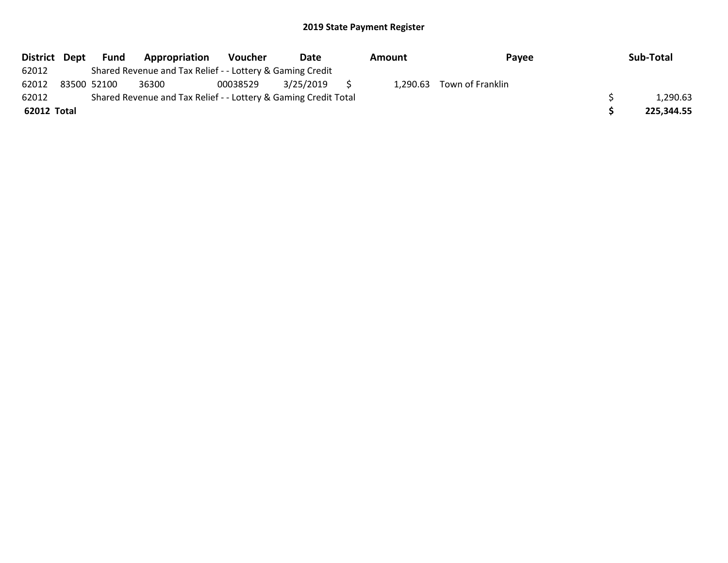| District Dept |             | Fund | Appropriation                                                   | Voucher  | Date         | Amount | Payee                     | Sub-Total  |
|---------------|-------------|------|-----------------------------------------------------------------|----------|--------------|--------|---------------------------|------------|
| 62012         |             |      | Shared Revenue and Tax Relief - - Lottery & Gaming Credit       |          |              |        |                           |            |
| 62012         | 83500 52100 |      | 36300                                                           | 00038529 | 3/25/2019 \$ |        | 1,290.63 Town of Franklin |            |
| 62012         |             |      | Shared Revenue and Tax Relief - - Lottery & Gaming Credit Total |          |              |        |                           | 1,290.63   |
| 62012 Total   |             |      |                                                                 |          |              |        |                           | 225,344.55 |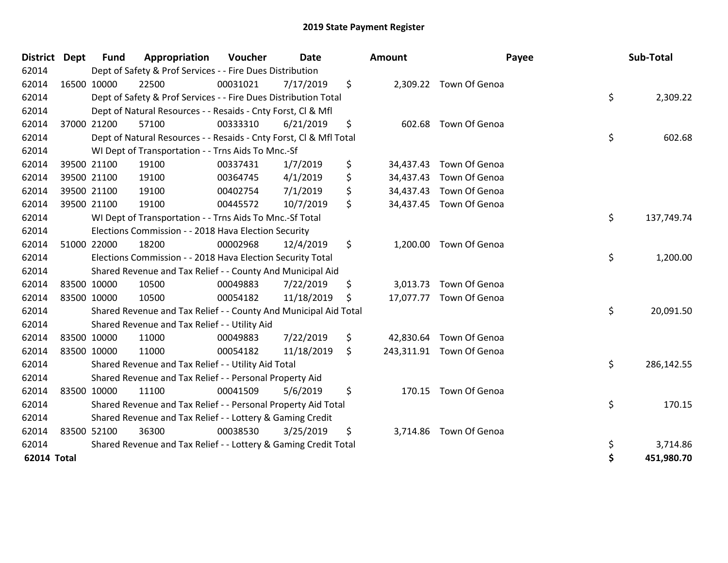| <b>District</b>    | <b>Dept</b> | <b>Fund</b> | Appropriation                                                      | Voucher  | Date       | <b>Amount</b>   | Payee                    | Sub-Total        |
|--------------------|-------------|-------------|--------------------------------------------------------------------|----------|------------|-----------------|--------------------------|------------------|
| 62014              |             |             | Dept of Safety & Prof Services - - Fire Dues Distribution          |          |            |                 |                          |                  |
| 62014              |             | 16500 10000 | 22500                                                              | 00031021 | 7/17/2019  | \$              | 2,309.22 Town Of Genoa   |                  |
| 62014              |             |             | Dept of Safety & Prof Services - - Fire Dues Distribution Total    |          |            |                 |                          | \$<br>2,309.22   |
| 62014              |             |             | Dept of Natural Resources - - Resaids - Cnty Forst, CI & Mfl       |          |            |                 |                          |                  |
| 62014              |             | 37000 21200 | 57100                                                              | 00333310 | 6/21/2019  | \$              | 602.68 Town Of Genoa     |                  |
| 62014              |             |             | Dept of Natural Resources - - Resaids - Cnty Forst, CI & Mfl Total |          |            |                 |                          | \$<br>602.68     |
| 62014              |             |             | WI Dept of Transportation - - Trns Aids To Mnc.-Sf                 |          |            |                 |                          |                  |
| 62014              |             | 39500 21100 | 19100                                                              | 00337431 | 1/7/2019   | \$<br>34,437.43 | Town Of Genoa            |                  |
| 62014              |             | 39500 21100 | 19100                                                              | 00364745 | 4/1/2019   | \$              | 34,437.43 Town Of Genoa  |                  |
| 62014              |             | 39500 21100 | 19100                                                              | 00402754 | 7/1/2019   | \$              | 34,437.43 Town Of Genoa  |                  |
| 62014              |             | 39500 21100 | 19100                                                              | 00445572 | 10/7/2019  | \$              | 34,437.45 Town Of Genoa  |                  |
| 62014              |             |             | WI Dept of Transportation - - Trns Aids To Mnc.-Sf Total           |          |            |                 |                          | \$<br>137,749.74 |
| 62014              |             |             | Elections Commission - - 2018 Hava Election Security               |          |            |                 |                          |                  |
| 62014              |             | 51000 22000 | 18200                                                              | 00002968 | 12/4/2019  | \$              | 1,200.00 Town Of Genoa   |                  |
| 62014              |             |             | Elections Commission - - 2018 Hava Election Security Total         |          |            |                 |                          | \$<br>1,200.00   |
| 62014              |             |             | Shared Revenue and Tax Relief - - County And Municipal Aid         |          |            |                 |                          |                  |
| 62014              |             | 83500 10000 | 10500                                                              | 00049883 | 7/22/2019  | \$              | 3,013.73 Town Of Genoa   |                  |
| 62014              |             | 83500 10000 | 10500                                                              | 00054182 | 11/18/2019 | \$              | 17,077.77 Town Of Genoa  |                  |
| 62014              |             |             | Shared Revenue and Tax Relief - - County And Municipal Aid Total   |          |            |                 |                          | \$<br>20,091.50  |
| 62014              |             |             | Shared Revenue and Tax Relief - - Utility Aid                      |          |            |                 |                          |                  |
| 62014              |             | 83500 10000 | 11000                                                              | 00049883 | 7/22/2019  | \$              | 42,830.64 Town Of Genoa  |                  |
| 62014              |             | 83500 10000 | 11000                                                              | 00054182 | 11/18/2019 | \$              | 243,311.91 Town Of Genoa |                  |
| 62014              |             |             | Shared Revenue and Tax Relief - - Utility Aid Total                |          |            |                 |                          | \$<br>286,142.55 |
| 62014              |             |             | Shared Revenue and Tax Relief - - Personal Property Aid            |          |            |                 |                          |                  |
| 62014              |             | 83500 10000 | 11100                                                              | 00041509 | 5/6/2019   | \$              | 170.15 Town Of Genoa     |                  |
| 62014              |             |             | Shared Revenue and Tax Relief - - Personal Property Aid Total      |          |            |                 |                          | \$<br>170.15     |
| 62014              |             |             | Shared Revenue and Tax Relief - - Lottery & Gaming Credit          |          |            |                 |                          |                  |
| 62014              |             | 83500 52100 | 36300                                                              | 00038530 | 3/25/2019  | \$              | 3,714.86 Town Of Genoa   |                  |
| 62014              |             |             | Shared Revenue and Tax Relief - - Lottery & Gaming Credit Total    |          |            |                 |                          | \$<br>3,714.86   |
| <b>62014 Total</b> |             |             |                                                                    |          |            |                 |                          | \$<br>451,980.70 |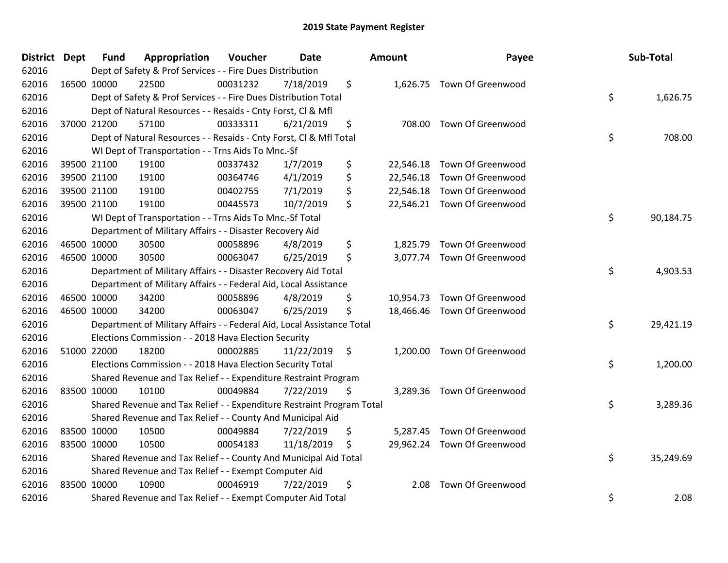| <b>District</b> | <b>Dept</b> | <b>Fund</b> | Appropriation                                                          | Voucher  | Date       | Amount         | Payee                       | Sub-Total       |
|-----------------|-------------|-------------|------------------------------------------------------------------------|----------|------------|----------------|-----------------------------|-----------------|
| 62016           |             |             | Dept of Safety & Prof Services - - Fire Dues Distribution              |          |            |                |                             |                 |
| 62016           | 16500 10000 |             | 22500                                                                  | 00031232 | 7/18/2019  | \$             | 1,626.75 Town Of Greenwood  |                 |
| 62016           |             |             | Dept of Safety & Prof Services - - Fire Dues Distribution Total        |          |            |                |                             | \$<br>1,626.75  |
| 62016           |             |             | Dept of Natural Resources - - Resaids - Cnty Forst, CI & Mfl           |          |            |                |                             |                 |
| 62016           |             | 37000 21200 | 57100                                                                  | 00333311 | 6/21/2019  | \$             | 708.00 Town Of Greenwood    |                 |
| 62016           |             |             | Dept of Natural Resources - - Resaids - Cnty Forst, Cl & Mfl Total     |          |            |                |                             | \$<br>708.00    |
| 62016           |             |             | WI Dept of Transportation - - Trns Aids To Mnc.-Sf                     |          |            |                |                             |                 |
| 62016           |             | 39500 21100 | 19100                                                                  | 00337432 | 1/7/2019   | \$             | 22,546.18 Town Of Greenwood |                 |
| 62016           |             | 39500 21100 | 19100                                                                  | 00364746 | 4/1/2019   | \$             | 22,546.18 Town Of Greenwood |                 |
| 62016           |             | 39500 21100 | 19100                                                                  | 00402755 | 7/1/2019   | \$             | 22,546.18 Town Of Greenwood |                 |
| 62016           |             | 39500 21100 | 19100                                                                  | 00445573 | 10/7/2019  | \$             | 22,546.21 Town Of Greenwood |                 |
| 62016           |             |             | WI Dept of Transportation - - Trns Aids To Mnc.-Sf Total               |          |            |                |                             | \$<br>90,184.75 |
| 62016           |             |             | Department of Military Affairs - - Disaster Recovery Aid               |          |            |                |                             |                 |
| 62016           |             | 46500 10000 | 30500                                                                  | 00058896 | 4/8/2019   | \$             | 1,825.79 Town Of Greenwood  |                 |
| 62016           | 46500 10000 |             | 30500                                                                  | 00063047 | 6/25/2019  | \$             | 3,077.74 Town Of Greenwood  |                 |
| 62016           |             |             | Department of Military Affairs - - Disaster Recovery Aid Total         |          |            |                |                             | \$<br>4,903.53  |
| 62016           |             |             | Department of Military Affairs - - Federal Aid, Local Assistance       |          |            |                |                             |                 |
| 62016           |             | 46500 10000 | 34200                                                                  | 00058896 | 4/8/2019   | \$             | 10,954.73 Town Of Greenwood |                 |
| 62016           | 46500 10000 |             | 34200                                                                  | 00063047 | 6/25/2019  | \$             | 18,466.46 Town Of Greenwood |                 |
| 62016           |             |             | Department of Military Affairs - - Federal Aid, Local Assistance Total |          |            |                |                             | \$<br>29,421.19 |
| 62016           |             |             | Elections Commission - - 2018 Hava Election Security                   |          |            |                |                             |                 |
| 62016           | 51000 22000 |             | 18200                                                                  | 00002885 | 11/22/2019 | \$             | 1,200.00 Town Of Greenwood  |                 |
| 62016           |             |             | Elections Commission - - 2018 Hava Election Security Total             |          |            |                |                             | \$<br>1,200.00  |
| 62016           |             |             | Shared Revenue and Tax Relief - - Expenditure Restraint Program        |          |            |                |                             |                 |
| 62016           | 83500 10000 |             | 10100                                                                  | 00049884 | 7/22/2019  | \$             | 3,289.36 Town Of Greenwood  |                 |
| 62016           |             |             | Shared Revenue and Tax Relief - - Expenditure Restraint Program Total  |          |            |                |                             | \$<br>3,289.36  |
| 62016           |             |             | Shared Revenue and Tax Relief - - County And Municipal Aid             |          |            |                |                             |                 |
| 62016           |             | 83500 10000 | 10500                                                                  | 00049884 | 7/22/2019  | \$<br>5,287.45 | Town Of Greenwood           |                 |
| 62016           | 83500 10000 |             | 10500                                                                  | 00054183 | 11/18/2019 | \$             | 29,962.24 Town Of Greenwood |                 |
| 62016           |             |             | Shared Revenue and Tax Relief - - County And Municipal Aid Total       |          |            |                |                             | \$<br>35,249.69 |
| 62016           |             |             | Shared Revenue and Tax Relief - - Exempt Computer Aid                  |          |            |                |                             |                 |
| 62016           | 83500 10000 |             | 10900                                                                  | 00046919 | 7/22/2019  | \$<br>2.08     | Town Of Greenwood           |                 |
| 62016           |             |             | Shared Revenue and Tax Relief - - Exempt Computer Aid Total            |          |            |                |                             | \$<br>2.08      |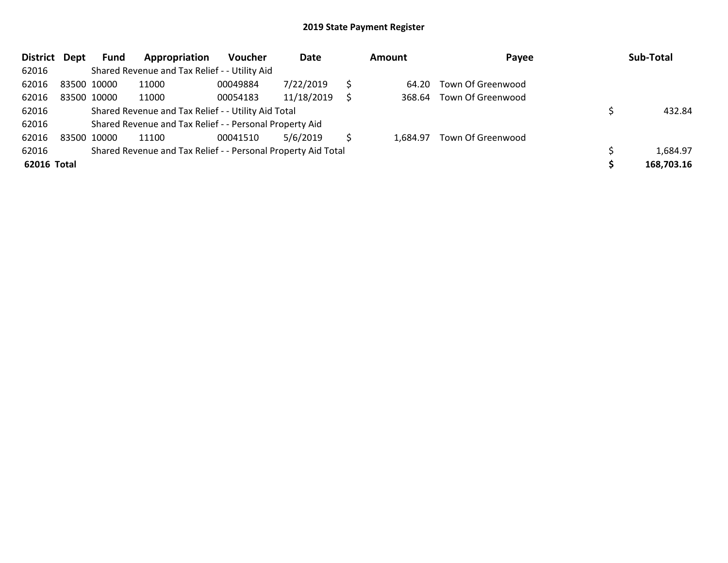| <b>District</b> | Dept | <b>Fund</b> | Appropriation                                                 | <b>Voucher</b> | Date       |   | Amount   | Payee             | Sub-Total  |
|-----------------|------|-------------|---------------------------------------------------------------|----------------|------------|---|----------|-------------------|------------|
| 62016           |      |             | Shared Revenue and Tax Relief - - Utility Aid                 |                |            |   |          |                   |            |
| 62016           |      | 83500 10000 | 11000                                                         | 00049884       | 7/22/2019  |   | 64.20    | Town Of Greenwood |            |
| 62016           |      | 83500 10000 | 11000                                                         | 00054183       | 11/18/2019 | S | 368.64   | Town Of Greenwood |            |
| 62016           |      |             | Shared Revenue and Tax Relief - - Utility Aid Total           |                |            |   |          |                   | 432.84     |
| 62016           |      |             | Shared Revenue and Tax Relief - - Personal Property Aid       |                |            |   |          |                   |            |
| 62016           |      | 83500 10000 | 11100                                                         | 00041510       | 5/6/2019   |   | 1.684.97 | Town Of Greenwood |            |
| 62016           |      |             | Shared Revenue and Tax Relief - - Personal Property Aid Total |                |            |   |          |                   | 1,684.97   |
| 62016 Total     |      |             |                                                               |                |            |   |          |                   | 168,703.16 |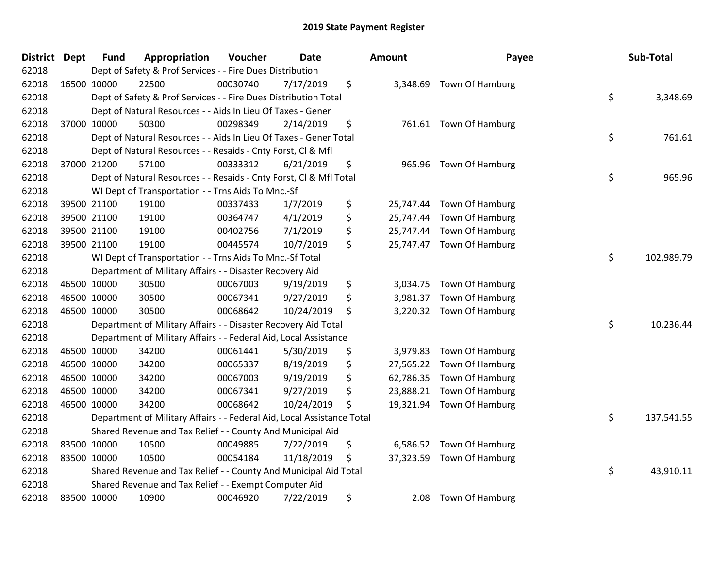| District Dept | <b>Fund</b> | Appropriation                                                          | Voucher  | <b>Date</b> | <b>Amount</b>   | Payee                     | Sub-Total        |
|---------------|-------------|------------------------------------------------------------------------|----------|-------------|-----------------|---------------------------|------------------|
| 62018         |             | Dept of Safety & Prof Services - - Fire Dues Distribution              |          |             |                 |                           |                  |
| 62018         | 16500 10000 | 22500                                                                  | 00030740 | 7/17/2019   | \$              | 3,348.69 Town Of Hamburg  |                  |
| 62018         |             | Dept of Safety & Prof Services - - Fire Dues Distribution Total        |          |             |                 |                           | \$<br>3,348.69   |
| 62018         |             | Dept of Natural Resources - - Aids In Lieu Of Taxes - Gener            |          |             |                 |                           |                  |
| 62018         | 37000 10000 | 50300                                                                  | 00298349 | 2/14/2019   | \$<br>761.61    | Town Of Hamburg           |                  |
| 62018         |             | Dept of Natural Resources - - Aids In Lieu Of Taxes - Gener Total      |          |             |                 |                           | \$<br>761.61     |
| 62018         |             | Dept of Natural Resources - - Resaids - Cnty Forst, Cl & Mfl           |          |             |                 |                           |                  |
| 62018         | 37000 21200 | 57100                                                                  | 00333312 | 6/21/2019   | \$<br>965.96    | Town Of Hamburg           |                  |
| 62018         |             | Dept of Natural Resources - - Resaids - Cnty Forst, Cl & Mfl Total     |          |             |                 |                           | \$<br>965.96     |
| 62018         |             | WI Dept of Transportation - - Trns Aids To Mnc.-Sf                     |          |             |                 |                           |                  |
| 62018         | 39500 21100 | 19100                                                                  | 00337433 | 1/7/2019    | \$<br>25,747.44 | Town Of Hamburg           |                  |
| 62018         | 39500 21100 | 19100                                                                  | 00364747 | 4/1/2019    | \$<br>25,747.44 | Town Of Hamburg           |                  |
| 62018         | 39500 21100 | 19100                                                                  | 00402756 | 7/1/2019    | \$              | 25,747.44 Town Of Hamburg |                  |
| 62018         | 39500 21100 | 19100                                                                  | 00445574 | 10/7/2019   | \$<br>25,747.47 | Town Of Hamburg           |                  |
| 62018         |             | WI Dept of Transportation - - Trns Aids To Mnc.-Sf Total               |          |             |                 |                           | \$<br>102,989.79 |
| 62018         |             | Department of Military Affairs - - Disaster Recovery Aid               |          |             |                 |                           |                  |
| 62018         | 46500 10000 | 30500                                                                  | 00067003 | 9/19/2019   | \$<br>3,034.75  | Town Of Hamburg           |                  |
| 62018         | 46500 10000 | 30500                                                                  | 00067341 | 9/27/2019   | \$<br>3,981.37  | Town Of Hamburg           |                  |
| 62018         | 46500 10000 | 30500                                                                  | 00068642 | 10/24/2019  | \$<br>3,220.32  | Town Of Hamburg           |                  |
| 62018         |             | Department of Military Affairs - - Disaster Recovery Aid Total         |          |             |                 |                           | \$<br>10,236.44  |
| 62018         |             | Department of Military Affairs - - Federal Aid, Local Assistance       |          |             |                 |                           |                  |
| 62018         | 46500 10000 | 34200                                                                  | 00061441 | 5/30/2019   | \$<br>3,979.83  | Town Of Hamburg           |                  |
| 62018         | 46500 10000 | 34200                                                                  | 00065337 | 8/19/2019   | \$              | 27,565.22 Town Of Hamburg |                  |
| 62018         | 46500 10000 | 34200                                                                  | 00067003 | 9/19/2019   | \$<br>62,786.35 | Town Of Hamburg           |                  |
| 62018         | 46500 10000 | 34200                                                                  | 00067341 | 9/27/2019   | \$<br>23,888.21 | Town Of Hamburg           |                  |
| 62018         | 46500 10000 | 34200                                                                  | 00068642 | 10/24/2019  | \$<br>19,321.94 | Town Of Hamburg           |                  |
| 62018         |             | Department of Military Affairs - - Federal Aid, Local Assistance Total |          |             |                 |                           | \$<br>137,541.55 |
| 62018         |             | Shared Revenue and Tax Relief - - County And Municipal Aid             |          |             |                 |                           |                  |
| 62018         | 83500 10000 | 10500                                                                  | 00049885 | 7/22/2019   | \$<br>6,586.52  | Town Of Hamburg           |                  |
| 62018         | 83500 10000 | 10500                                                                  | 00054184 | 11/18/2019  | \$<br>37,323.59 | Town Of Hamburg           |                  |
| 62018         |             | Shared Revenue and Tax Relief - - County And Municipal Aid Total       |          |             |                 |                           | \$<br>43,910.11  |
| 62018         |             | Shared Revenue and Tax Relief - - Exempt Computer Aid                  |          |             |                 |                           |                  |
| 62018         | 83500 10000 | 10900                                                                  | 00046920 | 7/22/2019   | \$<br>2.08      | Town Of Hamburg           |                  |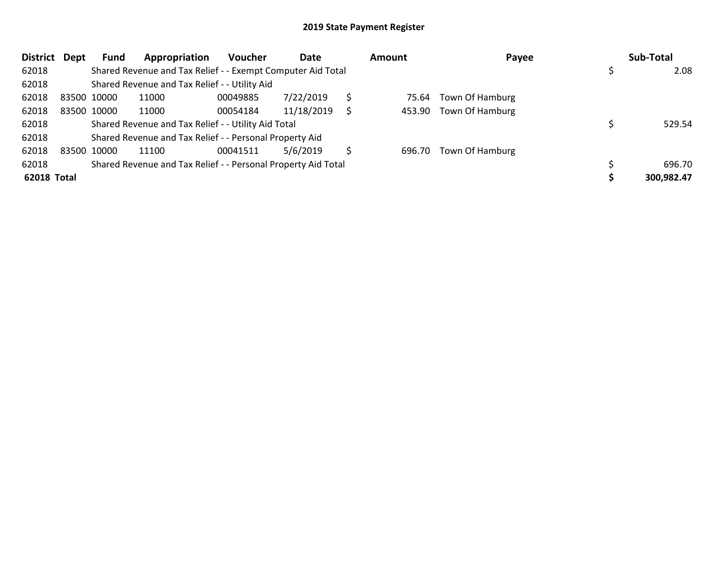| <b>District</b>    | Dept | Fund        | Appropriation                                                 | <b>Voucher</b> | Date       | Amount | Payee                  | Sub-Total  |
|--------------------|------|-------------|---------------------------------------------------------------|----------------|------------|--------|------------------------|------------|
| 62018              |      |             | Shared Revenue and Tax Relief - - Exempt Computer Aid Total   |                |            |        |                        | 2.08       |
| 62018              |      |             | Shared Revenue and Tax Relief - - Utility Aid                 |                |            |        |                        |            |
| 62018              |      | 83500 10000 | 11000                                                         | 00049885       | 7/22/2019  | 75.64  | Town Of Hamburg        |            |
| 62018              |      | 83500 10000 | 11000                                                         | 00054184       | 11/18/2019 |        | 453.90 Town Of Hamburg |            |
| 62018              |      |             | Shared Revenue and Tax Relief - - Utility Aid Total           |                |            |        |                        | 529.54     |
| 62018              |      |             | Shared Revenue and Tax Relief - - Personal Property Aid       |                |            |        |                        |            |
| 62018              |      | 83500 10000 | 11100                                                         | 00041511       | 5/6/2019   | 696.70 | Town Of Hamburg        |            |
| 62018              |      |             | Shared Revenue and Tax Relief - - Personal Property Aid Total |                |            |        |                        | 696.70     |
| <b>62018 Total</b> |      |             |                                                               |                |            |        |                        | 300,982.47 |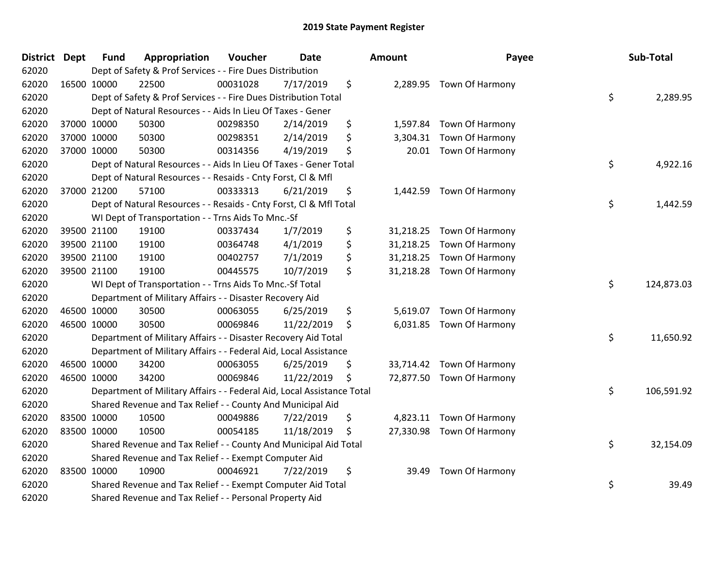| <b>District</b> | <b>Dept</b> | <b>Fund</b> | Appropriation                                                          | Voucher  | <b>Date</b> | Amount          | Payee                     | Sub-Total        |
|-----------------|-------------|-------------|------------------------------------------------------------------------|----------|-------------|-----------------|---------------------------|------------------|
| 62020           |             |             | Dept of Safety & Prof Services - - Fire Dues Distribution              |          |             |                 |                           |                  |
| 62020           | 16500 10000 |             | 22500                                                                  | 00031028 | 7/17/2019   | \$              | 2,289.95 Town Of Harmony  |                  |
| 62020           |             |             | Dept of Safety & Prof Services - - Fire Dues Distribution Total        |          |             |                 |                           | \$<br>2,289.95   |
| 62020           |             |             | Dept of Natural Resources - - Aids In Lieu Of Taxes - Gener            |          |             |                 |                           |                  |
| 62020           |             | 37000 10000 | 50300                                                                  | 00298350 | 2/14/2019   | \$<br>1,597.84  | Town Of Harmony           |                  |
| 62020           |             | 37000 10000 | 50300                                                                  | 00298351 | 2/14/2019   | \$<br>3,304.31  | Town Of Harmony           |                  |
| 62020           |             | 37000 10000 | 50300                                                                  | 00314356 | 4/19/2019   | \$<br>20.01     | Town Of Harmony           |                  |
| 62020           |             |             | Dept of Natural Resources - - Aids In Lieu Of Taxes - Gener Total      |          |             |                 |                           | \$<br>4,922.16   |
| 62020           |             |             | Dept of Natural Resources - - Resaids - Cnty Forst, Cl & Mfl           |          |             |                 |                           |                  |
| 62020           |             | 37000 21200 | 57100                                                                  | 00333313 | 6/21/2019   | \$<br>1,442.59  | Town Of Harmony           |                  |
| 62020           |             |             | Dept of Natural Resources - - Resaids - Cnty Forst, Cl & Mfl Total     |          |             |                 |                           | \$<br>1,442.59   |
| 62020           |             |             | WI Dept of Transportation - - Trns Aids To Mnc.-Sf                     |          |             |                 |                           |                  |
| 62020           |             | 39500 21100 | 19100                                                                  | 00337434 | 1/7/2019    | \$              | 31,218.25 Town Of Harmony |                  |
| 62020           |             | 39500 21100 | 19100                                                                  | 00364748 | 4/1/2019    | \$<br>31,218.25 | <b>Town Of Harmony</b>    |                  |
| 62020           |             | 39500 21100 | 19100                                                                  | 00402757 | 7/1/2019    | \$<br>31,218.25 | Town Of Harmony           |                  |
| 62020           |             | 39500 21100 | 19100                                                                  | 00445575 | 10/7/2019   | \$              | 31,218.28 Town Of Harmony |                  |
| 62020           |             |             | WI Dept of Transportation - - Trns Aids To Mnc.-Sf Total               |          |             |                 |                           | \$<br>124,873.03 |
| 62020           |             |             | Department of Military Affairs - - Disaster Recovery Aid               |          |             |                 |                           |                  |
| 62020           |             | 46500 10000 | 30500                                                                  | 00063055 | 6/25/2019   | \$<br>5,619.07  | Town Of Harmony           |                  |
| 62020           |             | 46500 10000 | 30500                                                                  | 00069846 | 11/22/2019  | \$<br>6,031.85  | Town Of Harmony           |                  |
| 62020           |             |             | Department of Military Affairs - - Disaster Recovery Aid Total         |          |             |                 |                           | \$<br>11,650.92  |
| 62020           |             |             | Department of Military Affairs - - Federal Aid, Local Assistance       |          |             |                 |                           |                  |
| 62020           |             | 46500 10000 | 34200                                                                  | 00063055 | 6/25/2019   | \$              | 33,714.42 Town Of Harmony |                  |
| 62020           | 46500 10000 |             | 34200                                                                  | 00069846 | 11/22/2019  | \$              | 72,877.50 Town Of Harmony |                  |
| 62020           |             |             | Department of Military Affairs - - Federal Aid, Local Assistance Total |          |             |                 |                           | \$<br>106,591.92 |
| 62020           |             |             | Shared Revenue and Tax Relief - - County And Municipal Aid             |          |             |                 |                           |                  |
| 62020           |             | 83500 10000 | 10500                                                                  | 00049886 | 7/22/2019   | \$<br>4,823.11  | Town Of Harmony           |                  |
| 62020           | 83500 10000 |             | 10500                                                                  | 00054185 | 11/18/2019  | \$              | 27,330.98 Town Of Harmony |                  |
| 62020           |             |             | Shared Revenue and Tax Relief - - County And Municipal Aid Total       |          |             |                 |                           | \$<br>32,154.09  |
| 62020           |             |             | Shared Revenue and Tax Relief - - Exempt Computer Aid                  |          |             |                 |                           |                  |
| 62020           |             | 83500 10000 | 10900                                                                  | 00046921 | 7/22/2019   | \$<br>39.49     | Town Of Harmony           |                  |
| 62020           |             |             | Shared Revenue and Tax Relief - - Exempt Computer Aid Total            |          |             |                 |                           | \$<br>39.49      |
| 62020           |             |             | Shared Revenue and Tax Relief - - Personal Property Aid                |          |             |                 |                           |                  |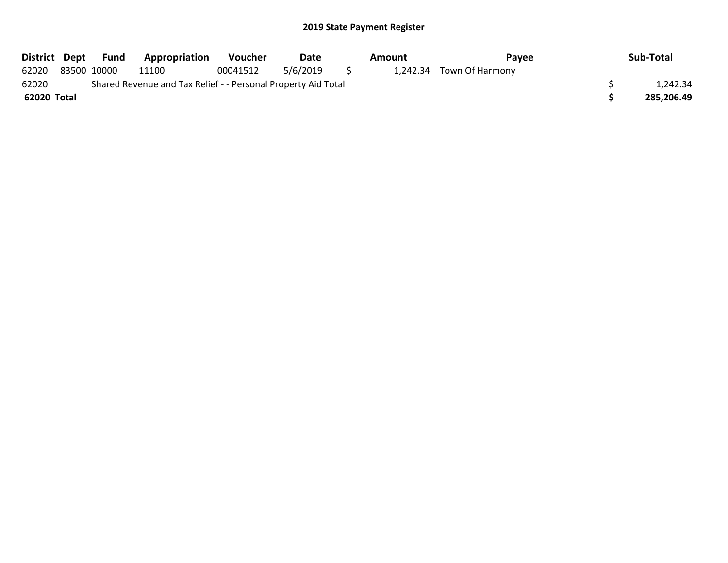|             | District Dept Fund | <b>Appropriation</b>                                          | Voucher  | Date     |     | Amount | Payee                    | Sub-Total  |
|-------------|--------------------|---------------------------------------------------------------|----------|----------|-----|--------|--------------------------|------------|
| 62020       | 83500 10000        | 11100                                                         | 00041512 | 5/6/2019 | - 5 |        | 1,242.34 Town Of Harmony |            |
| 62020       |                    | Shared Revenue and Tax Relief - - Personal Property Aid Total |          |          |     |        |                          | 1.242.34   |
| 62020 Total |                    |                                                               |          |          |     |        |                          | 285,206.49 |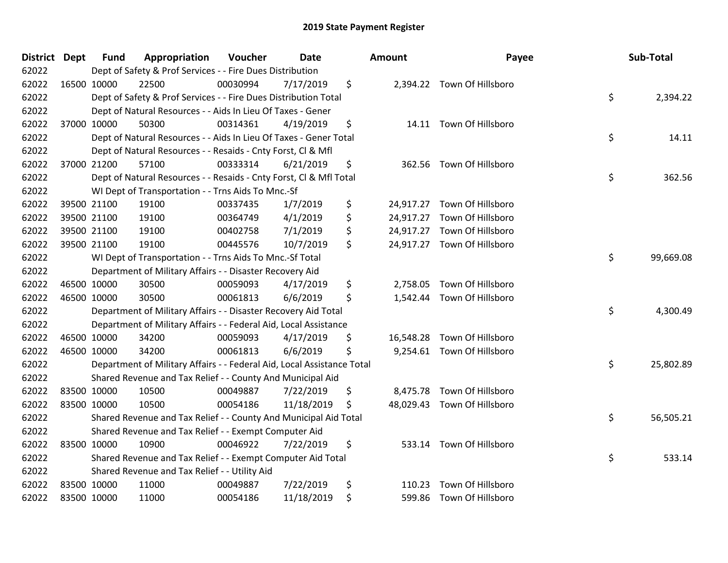| <b>District Dept</b> |             | <b>Fund</b> | Appropriation                                                          | Voucher  | Date       | <b>Amount</b>  | Payee                       | Sub-Total       |
|----------------------|-------------|-------------|------------------------------------------------------------------------|----------|------------|----------------|-----------------------------|-----------------|
| 62022                |             |             | Dept of Safety & Prof Services - - Fire Dues Distribution              |          |            |                |                             |                 |
| 62022                | 16500 10000 |             | 22500                                                                  | 00030994 | 7/17/2019  | \$             | 2,394.22 Town Of Hillsboro  |                 |
| 62022                |             |             | Dept of Safety & Prof Services - - Fire Dues Distribution Total        |          |            |                |                             | \$<br>2,394.22  |
| 62022                |             |             | Dept of Natural Resources - - Aids In Lieu Of Taxes - Gener            |          |            |                |                             |                 |
| 62022                |             | 37000 10000 | 50300                                                                  | 00314361 | 4/19/2019  | \$             | 14.11 Town Of Hillsboro     |                 |
| 62022                |             |             | Dept of Natural Resources - - Aids In Lieu Of Taxes - Gener Total      |          |            |                |                             | \$<br>14.11     |
| 62022                |             |             | Dept of Natural Resources - - Resaids - Cnty Forst, Cl & Mfl           |          |            |                |                             |                 |
| 62022                |             | 37000 21200 | 57100                                                                  | 00333314 | 6/21/2019  | \$<br>362.56   | Town Of Hillsboro           |                 |
| 62022                |             |             | Dept of Natural Resources - - Resaids - Cnty Forst, Cl & Mfl Total     |          |            |                |                             | \$<br>362.56    |
| 62022                |             |             | WI Dept of Transportation - - Trns Aids To Mnc.-Sf                     |          |            |                |                             |                 |
| 62022                |             | 39500 21100 | 19100                                                                  | 00337435 | 1/7/2019   | \$             | 24,917.27 Town Of Hillsboro |                 |
| 62022                |             | 39500 21100 | 19100                                                                  | 00364749 | 4/1/2019   | \$             | 24,917.27 Town Of Hillsboro |                 |
| 62022                |             | 39500 21100 | 19100                                                                  | 00402758 | 7/1/2019   | \$             | 24,917.27 Town Of Hillsboro |                 |
| 62022                |             | 39500 21100 | 19100                                                                  | 00445576 | 10/7/2019  | \$             | 24,917.27 Town Of Hillsboro |                 |
| 62022                |             |             | WI Dept of Transportation - - Trns Aids To Mnc.-Sf Total               |          |            |                |                             | \$<br>99,669.08 |
| 62022                |             |             | Department of Military Affairs - - Disaster Recovery Aid               |          |            |                |                             |                 |
| 62022                | 46500 10000 |             | 30500                                                                  | 00059093 | 4/17/2019  | \$<br>2,758.05 | Town Of Hillsboro           |                 |
| 62022                |             | 46500 10000 | 30500                                                                  | 00061813 | 6/6/2019   | \$             | 1,542.44 Town Of Hillsboro  |                 |
| 62022                |             |             | Department of Military Affairs - - Disaster Recovery Aid Total         |          |            |                |                             | \$<br>4,300.49  |
| 62022                |             |             | Department of Military Affairs - - Federal Aid, Local Assistance       |          |            |                |                             |                 |
| 62022                |             | 46500 10000 | 34200                                                                  | 00059093 | 4/17/2019  | \$             | 16,548.28 Town Of Hillsboro |                 |
| 62022                | 46500 10000 |             | 34200                                                                  | 00061813 | 6/6/2019   | \$             | 9,254.61 Town Of Hillsboro  |                 |
| 62022                |             |             | Department of Military Affairs - - Federal Aid, Local Assistance Total |          |            |                |                             | \$<br>25,802.89 |
| 62022                |             |             | Shared Revenue and Tax Relief - - County And Municipal Aid             |          |            |                |                             |                 |
| 62022                |             | 83500 10000 | 10500                                                                  | 00049887 | 7/22/2019  | \$             | 8,475.78 Town Of Hillsboro  |                 |
| 62022                | 83500 10000 |             | 10500                                                                  | 00054186 | 11/18/2019 | \$             | 48,029.43 Town Of Hillsboro |                 |
| 62022                |             |             | Shared Revenue and Tax Relief - - County And Municipal Aid Total       |          |            |                |                             | \$<br>56,505.21 |
| 62022                |             |             | Shared Revenue and Tax Relief - - Exempt Computer Aid                  |          |            |                |                             |                 |
| 62022                | 83500 10000 |             | 10900                                                                  | 00046922 | 7/22/2019  | \$             | 533.14 Town Of Hillsboro    |                 |
| 62022                |             |             | Shared Revenue and Tax Relief - - Exempt Computer Aid Total            |          |            |                |                             | \$<br>533.14    |
| 62022                |             |             | Shared Revenue and Tax Relief - - Utility Aid                          |          |            |                |                             |                 |
| 62022                | 83500 10000 |             | 11000                                                                  | 00049887 | 7/22/2019  | \$<br>110.23   | Town Of Hillsboro           |                 |
| 62022                | 83500 10000 |             | 11000                                                                  | 00054186 | 11/18/2019 | \$             | 599.86 Town Of Hillsboro    |                 |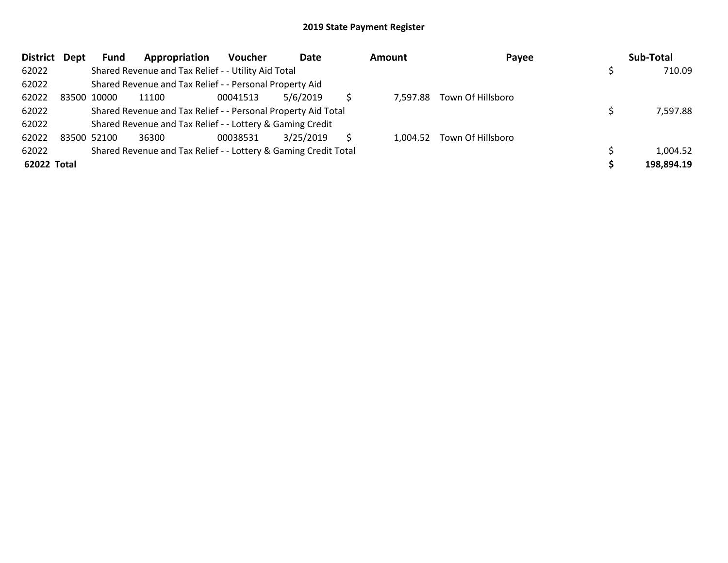| <b>District</b> | Dept | <b>Fund</b> | Appropriation                                                   | Voucher  | Date      | Amount | Payee                      | Sub-Total  |
|-----------------|------|-------------|-----------------------------------------------------------------|----------|-----------|--------|----------------------------|------------|
| 62022           |      |             | Shared Revenue and Tax Relief - - Utility Aid Total             |          |           |        |                            | 710.09     |
| 62022           |      |             | Shared Revenue and Tax Relief - - Personal Property Aid         |          |           |        |                            |            |
| 62022           |      | 83500 10000 | 11100                                                           | 00041513 | 5/6/2019  |        | 7,597.88 Town Of Hillsboro |            |
| 62022           |      |             | Shared Revenue and Tax Relief - - Personal Property Aid Total   |          |           |        |                            | 7,597.88   |
| 62022           |      |             | Shared Revenue and Tax Relief - - Lottery & Gaming Credit       |          |           |        |                            |            |
| 62022           |      | 83500 52100 | 36300                                                           | 00038531 | 3/25/2019 |        | 1,004.52 Town Of Hillsboro |            |
| 62022           |      |             | Shared Revenue and Tax Relief - - Lottery & Gaming Credit Total |          |           |        |                            | 1,004.52   |
| 62022 Total     |      |             |                                                                 |          |           |        |                            | 198,894.19 |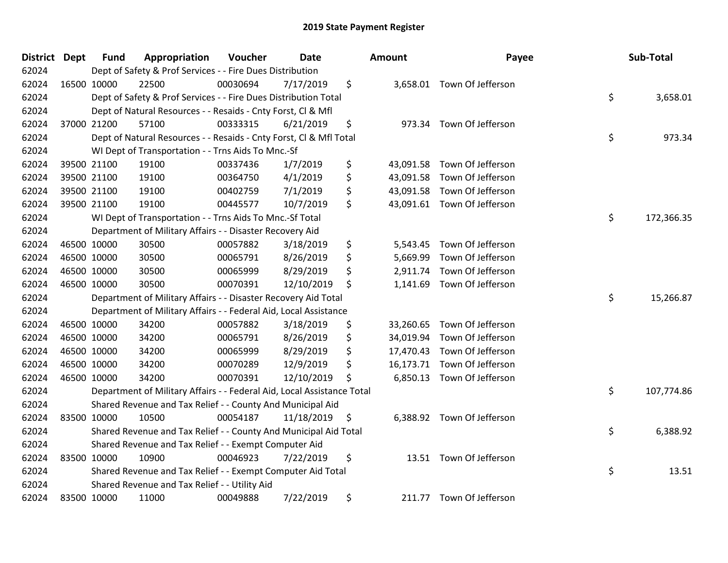| District Dept | <b>Fund</b> | Appropriation                                                          | Voucher  | <b>Date</b> | <b>Amount</b>   | Payee                       | Sub-Total        |
|---------------|-------------|------------------------------------------------------------------------|----------|-------------|-----------------|-----------------------------|------------------|
| 62024         |             | Dept of Safety & Prof Services - - Fire Dues Distribution              |          |             |                 |                             |                  |
| 62024         | 16500 10000 | 22500                                                                  | 00030694 | 7/17/2019   | \$              | 3,658.01 Town Of Jefferson  |                  |
| 62024         |             | Dept of Safety & Prof Services - - Fire Dues Distribution Total        |          |             |                 |                             | \$<br>3,658.01   |
| 62024         |             | Dept of Natural Resources - - Resaids - Cnty Forst, Cl & Mfl           |          |             |                 |                             |                  |
| 62024         | 37000 21200 | 57100                                                                  | 00333315 | 6/21/2019   | \$<br>973.34    | Town Of Jefferson           |                  |
| 62024         |             | Dept of Natural Resources - - Resaids - Cnty Forst, Cl & Mfl Total     |          |             |                 |                             | \$<br>973.34     |
| 62024         |             | WI Dept of Transportation - - Trns Aids To Mnc.-Sf                     |          |             |                 |                             |                  |
| 62024         | 39500 21100 | 19100                                                                  | 00337436 | 1/7/2019    | \$<br>43,091.58 | Town Of Jefferson           |                  |
| 62024         | 39500 21100 | 19100                                                                  | 00364750 | 4/1/2019    | \$              | 43,091.58 Town Of Jefferson |                  |
| 62024         | 39500 21100 | 19100                                                                  | 00402759 | 7/1/2019    | \$<br>43,091.58 | Town Of Jefferson           |                  |
| 62024         | 39500 21100 | 19100                                                                  | 00445577 | 10/7/2019   | \$              | 43,091.61 Town Of Jefferson |                  |
| 62024         |             | WI Dept of Transportation - - Trns Aids To Mnc.-Sf Total               |          |             |                 |                             | \$<br>172,366.35 |
| 62024         |             | Department of Military Affairs - - Disaster Recovery Aid               |          |             |                 |                             |                  |
| 62024         | 46500 10000 | 30500                                                                  | 00057882 | 3/18/2019   | \$<br>5,543.45  | Town Of Jefferson           |                  |
| 62024         | 46500 10000 | 30500                                                                  | 00065791 | 8/26/2019   | \$<br>5,669.99  | Town Of Jefferson           |                  |
| 62024         | 46500 10000 | 30500                                                                  | 00065999 | 8/29/2019   | \$<br>2,911.74  | Town Of Jefferson           |                  |
| 62024         | 46500 10000 | 30500                                                                  | 00070391 | 12/10/2019  | \$<br>1,141.69  | Town Of Jefferson           |                  |
| 62024         |             | Department of Military Affairs - - Disaster Recovery Aid Total         |          |             |                 |                             | \$<br>15,266.87  |
| 62024         |             | Department of Military Affairs - - Federal Aid, Local Assistance       |          |             |                 |                             |                  |
| 62024         | 46500 10000 | 34200                                                                  | 00057882 | 3/18/2019   | \$<br>33,260.65 | Town Of Jefferson           |                  |
| 62024         | 46500 10000 | 34200                                                                  | 00065791 | 8/26/2019   | \$<br>34,019.94 | Town Of Jefferson           |                  |
| 62024         | 46500 10000 | 34200                                                                  | 00065999 | 8/29/2019   | \$              | 17,470.43 Town Of Jefferson |                  |
| 62024         | 46500 10000 | 34200                                                                  | 00070289 | 12/9/2019   | \$              | 16,173.71 Town Of Jefferson |                  |
| 62024         | 46500 10000 | 34200                                                                  | 00070391 | 12/10/2019  | \$              | 6,850.13 Town Of Jefferson  |                  |
| 62024         |             | Department of Military Affairs - - Federal Aid, Local Assistance Total |          |             |                 |                             | \$<br>107,774.86 |
| 62024         |             | Shared Revenue and Tax Relief - - County And Municipal Aid             |          |             |                 |                             |                  |
| 62024         | 83500 10000 | 10500                                                                  | 00054187 | 11/18/2019  | \$              | 6,388.92 Town Of Jefferson  |                  |
| 62024         |             | Shared Revenue and Tax Relief - - County And Municipal Aid Total       |          |             |                 |                             | \$<br>6,388.92   |
| 62024         |             | Shared Revenue and Tax Relief - - Exempt Computer Aid                  |          |             |                 |                             |                  |
| 62024         | 83500 10000 | 10900                                                                  | 00046923 | 7/22/2019   | \$              | 13.51 Town Of Jefferson     |                  |
| 62024         |             | Shared Revenue and Tax Relief - - Exempt Computer Aid Total            |          |             |                 |                             | \$<br>13.51      |
| 62024         |             | Shared Revenue and Tax Relief - - Utility Aid                          |          |             |                 |                             |                  |
| 62024         | 83500 10000 | 11000                                                                  | 00049888 | 7/22/2019   | \$<br>211.77    | Town Of Jefferson           |                  |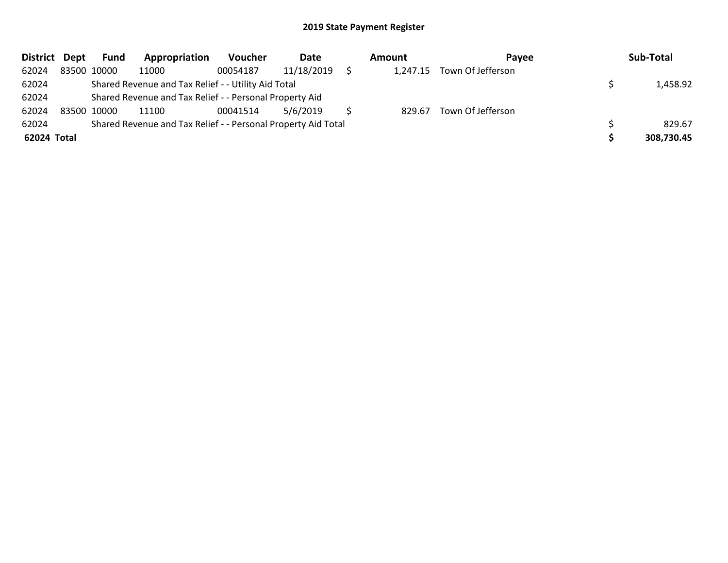| District Dept | Fund        | Appropriation                                                 | Voucher  | Date       | Amount | Pavee                      | Sub-Total  |
|---------------|-------------|---------------------------------------------------------------|----------|------------|--------|----------------------------|------------|
| 62024         | 83500 10000 | 11000                                                         | 00054187 | 11/18/2019 |        | 1,247.15 Town Of Jefferson |            |
| 62024         |             | Shared Revenue and Tax Relief - - Utility Aid Total           |          |            |        |                            | 1,458.92   |
| 62024         |             | Shared Revenue and Tax Relief - - Personal Property Aid       |          |            |        |                            |            |
| 62024         | 83500 10000 | 11100                                                         | 00041514 | 5/6/2019   | 829.67 | Town Of Jefferson          |            |
| 62024         |             | Shared Revenue and Tax Relief - - Personal Property Aid Total |          |            |        |                            | 829.67     |
| 62024 Total   |             |                                                               |          |            |        |                            | 308,730.45 |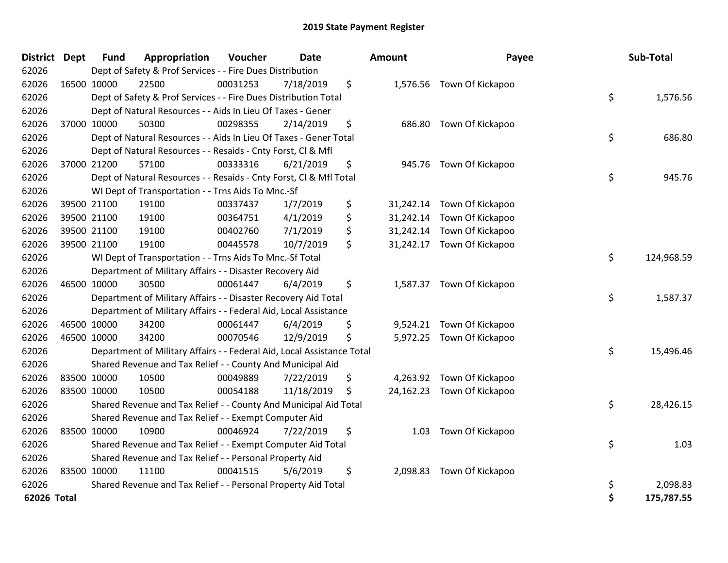| District Dept |             | <b>Fund</b> | Appropriation                                                          | Voucher  | Date       | Amount     | Payee                      | Sub-Total        |
|---------------|-------------|-------------|------------------------------------------------------------------------|----------|------------|------------|----------------------------|------------------|
| 62026         |             |             | Dept of Safety & Prof Services - - Fire Dues Distribution              |          |            |            |                            |                  |
| 62026         |             | 16500 10000 | 22500                                                                  | 00031253 | 7/18/2019  | \$         | 1,576.56 Town Of Kickapoo  |                  |
| 62026         |             |             | Dept of Safety & Prof Services - - Fire Dues Distribution Total        |          |            |            |                            | \$<br>1,576.56   |
| 62026         |             |             | Dept of Natural Resources - - Aids In Lieu Of Taxes - Gener            |          |            |            |                            |                  |
| 62026         |             | 37000 10000 | 50300                                                                  | 00298355 | 2/14/2019  | \$         | 686.80 Town Of Kickapoo    |                  |
| 62026         |             |             | Dept of Natural Resources - - Aids In Lieu Of Taxes - Gener Total      |          |            |            |                            | \$<br>686.80     |
| 62026         |             |             | Dept of Natural Resources - - Resaids - Cnty Forst, Cl & Mfl           |          |            |            |                            |                  |
| 62026         |             | 37000 21200 | 57100                                                                  | 00333316 | 6/21/2019  | \$         | 945.76 Town Of Kickapoo    |                  |
| 62026         |             |             | Dept of Natural Resources - - Resaids - Cnty Forst, Cl & Mfl Total     |          |            |            |                            | \$<br>945.76     |
| 62026         |             |             | WI Dept of Transportation - - Trns Aids To Mnc.-Sf                     |          |            |            |                            |                  |
| 62026         |             | 39500 21100 | 19100                                                                  | 00337437 | 1/7/2019   | \$         | 31,242.14 Town Of Kickapoo |                  |
| 62026         |             | 39500 21100 | 19100                                                                  | 00364751 | 4/1/2019   | \$         | 31,242.14 Town Of Kickapoo |                  |
| 62026         |             | 39500 21100 | 19100                                                                  | 00402760 | 7/1/2019   | \$         | 31,242.14 Town Of Kickapoo |                  |
| 62026         |             | 39500 21100 | 19100                                                                  | 00445578 | 10/7/2019  | \$         | 31,242.17 Town Of Kickapoo |                  |
| 62026         |             |             | WI Dept of Transportation - - Trns Aids To Mnc.-Sf Total               |          |            |            |                            | \$<br>124,968.59 |
| 62026         |             |             | Department of Military Affairs - - Disaster Recovery Aid               |          |            |            |                            |                  |
| 62026         |             | 46500 10000 | 30500                                                                  | 00061447 | 6/4/2019   | \$         | 1,587.37 Town Of Kickapoo  |                  |
| 62026         |             |             | Department of Military Affairs - - Disaster Recovery Aid Total         |          |            |            |                            | \$<br>1,587.37   |
| 62026         |             |             | Department of Military Affairs - - Federal Aid, Local Assistance       |          |            |            |                            |                  |
| 62026         |             | 46500 10000 | 34200                                                                  | 00061447 | 6/4/2019   | \$         | 9,524.21 Town Of Kickapoo  |                  |
| 62026         |             | 46500 10000 | 34200                                                                  | 00070546 | 12/9/2019  | \$         | 5,972.25 Town Of Kickapoo  |                  |
| 62026         |             |             | Department of Military Affairs - - Federal Aid, Local Assistance Total |          |            |            |                            | \$<br>15,496.46  |
| 62026         |             |             | Shared Revenue and Tax Relief - - County And Municipal Aid             |          |            |            |                            |                  |
| 62026         |             | 83500 10000 | 10500                                                                  | 00049889 | 7/22/2019  | \$         | 4,263.92 Town Of Kickapoo  |                  |
| 62026         |             | 83500 10000 | 10500                                                                  | 00054188 | 11/18/2019 | \$         | 24,162.23 Town Of Kickapoo |                  |
| 62026         |             |             | Shared Revenue and Tax Relief - - County And Municipal Aid Total       |          |            |            |                            | \$<br>28,426.15  |
| 62026         |             |             | Shared Revenue and Tax Relief - - Exempt Computer Aid                  |          |            |            |                            |                  |
| 62026         | 83500 10000 |             | 10900                                                                  | 00046924 | 7/22/2019  | \$<br>1.03 | Town Of Kickapoo           |                  |
| 62026         |             |             | Shared Revenue and Tax Relief - - Exempt Computer Aid Total            |          |            |            |                            | \$<br>1.03       |
| 62026         |             |             | Shared Revenue and Tax Relief - - Personal Property Aid                |          |            |            |                            |                  |
| 62026         |             | 83500 10000 | 11100                                                                  | 00041515 | 5/6/2019   | \$         | 2,098.83 Town Of Kickapoo  |                  |
| 62026         |             |             | Shared Revenue and Tax Relief - - Personal Property Aid Total          |          |            |            |                            | \$<br>2,098.83   |
| 62026 Total   |             |             |                                                                        |          |            |            |                            | \$<br>175,787.55 |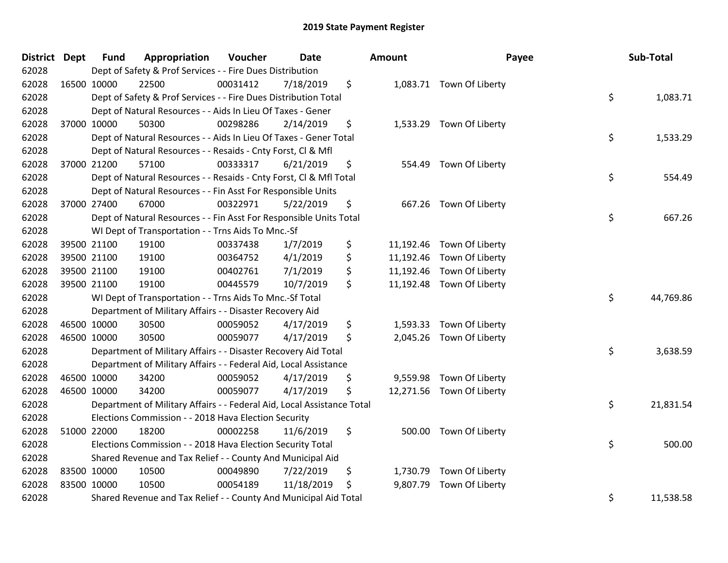| District Dept |             | <b>Fund</b> | Appropriation                                                          | Voucher  | <b>Date</b> | Amount         | Payee                     | Sub-Total       |
|---------------|-------------|-------------|------------------------------------------------------------------------|----------|-------------|----------------|---------------------------|-----------------|
| 62028         |             |             | Dept of Safety & Prof Services - - Fire Dues Distribution              |          |             |                |                           |                 |
| 62028         | 16500 10000 |             | 22500                                                                  | 00031412 | 7/18/2019   | \$             | 1,083.71 Town Of Liberty  |                 |
| 62028         |             |             | Dept of Safety & Prof Services - - Fire Dues Distribution Total        |          |             |                |                           | \$<br>1,083.71  |
| 62028         |             |             | Dept of Natural Resources - - Aids In Lieu Of Taxes - Gener            |          |             |                |                           |                 |
| 62028         | 37000 10000 |             | 50300                                                                  | 00298286 | 2/14/2019   | \$             | 1,533.29 Town Of Liberty  |                 |
| 62028         |             |             | Dept of Natural Resources - - Aids In Lieu Of Taxes - Gener Total      |          |             |                |                           | \$<br>1,533.29  |
| 62028         |             |             | Dept of Natural Resources - - Resaids - Cnty Forst, Cl & Mfl           |          |             |                |                           |                 |
| 62028         |             | 37000 21200 | 57100                                                                  | 00333317 | 6/21/2019   | \$<br>554.49   | Town Of Liberty           |                 |
| 62028         |             |             | Dept of Natural Resources - - Resaids - Cnty Forst, Cl & Mfl Total     |          |             |                |                           | \$<br>554.49    |
| 62028         |             |             | Dept of Natural Resources - - Fin Asst For Responsible Units           |          |             |                |                           |                 |
| 62028         | 37000 27400 |             | 67000                                                                  | 00322971 | 5/22/2019   | \$             | 667.26 Town Of Liberty    |                 |
| 62028         |             |             | Dept of Natural Resources - - Fin Asst For Responsible Units Total     |          |             |                |                           | \$<br>667.26    |
| 62028         |             |             | WI Dept of Transportation - - Trns Aids To Mnc.-Sf                     |          |             |                |                           |                 |
| 62028         |             | 39500 21100 | 19100                                                                  | 00337438 | 1/7/2019    | \$             | 11,192.46 Town Of Liberty |                 |
| 62028         |             | 39500 21100 | 19100                                                                  | 00364752 | 4/1/2019    | \$             | 11,192.46 Town Of Liberty |                 |
| 62028         |             | 39500 21100 | 19100                                                                  | 00402761 | 7/1/2019    | \$             | 11,192.46 Town Of Liberty |                 |
| 62028         | 39500 21100 |             | 19100                                                                  | 00445579 | 10/7/2019   | \$             | 11,192.48 Town Of Liberty |                 |
| 62028         |             |             | WI Dept of Transportation - - Trns Aids To Mnc.-Sf Total               |          |             |                |                           | \$<br>44,769.86 |
| 62028         |             |             | Department of Military Affairs - - Disaster Recovery Aid               |          |             |                |                           |                 |
| 62028         | 46500 10000 |             | 30500                                                                  | 00059052 | 4/17/2019   | \$             | 1,593.33 Town Of Liberty  |                 |
| 62028         | 46500 10000 |             | 30500                                                                  | 00059077 | 4/17/2019   | \$             | 2,045.26 Town Of Liberty  |                 |
| 62028         |             |             | Department of Military Affairs - - Disaster Recovery Aid Total         |          |             |                |                           | \$<br>3,638.59  |
| 62028         |             |             | Department of Military Affairs - - Federal Aid, Local Assistance       |          |             |                |                           |                 |
| 62028         | 46500 10000 |             | 34200                                                                  | 00059052 | 4/17/2019   | \$<br>9,559.98 | Town Of Liberty           |                 |
| 62028         | 46500 10000 |             | 34200                                                                  | 00059077 | 4/17/2019   | \$             | 12,271.56 Town Of Liberty |                 |
| 62028         |             |             | Department of Military Affairs - - Federal Aid, Local Assistance Total |          |             |                |                           | \$<br>21,831.54 |
| 62028         |             |             | Elections Commission - - 2018 Hava Election Security                   |          |             |                |                           |                 |
| 62028         | 51000 22000 |             | 18200                                                                  | 00002258 | 11/6/2019   | \$             | 500.00 Town Of Liberty    |                 |
| 62028         |             |             | Elections Commission - - 2018 Hava Election Security Total             |          |             |                |                           | \$<br>500.00    |
| 62028         |             |             | Shared Revenue and Tax Relief - - County And Municipal Aid             |          |             |                |                           |                 |
| 62028         | 83500 10000 |             | 10500                                                                  | 00049890 | 7/22/2019   | \$             | 1,730.79 Town Of Liberty  |                 |
| 62028         | 83500 10000 |             | 10500                                                                  | 00054189 | 11/18/2019  | \$<br>9,807.79 | Town Of Liberty           |                 |
| 62028         |             |             | Shared Revenue and Tax Relief - - County And Municipal Aid Total       |          |             |                |                           | \$<br>11,538.58 |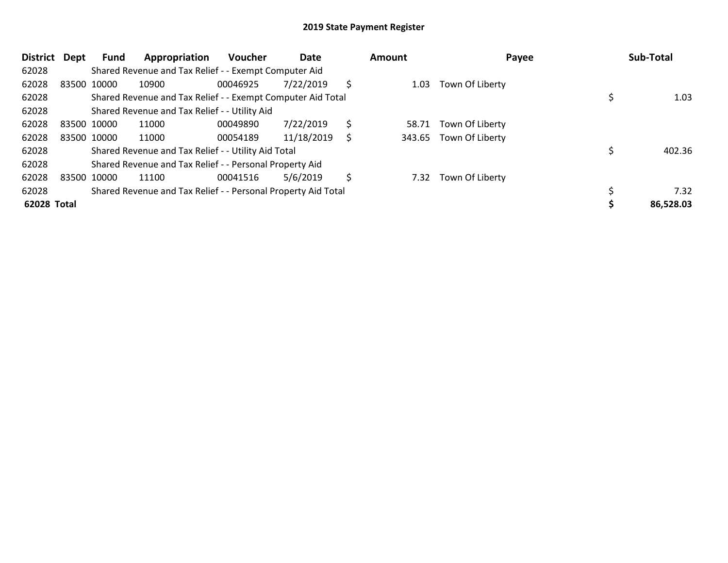| District    | Dept        | Fund        | Appropriation                                                 | <b>Voucher</b> | Date       |    | <b>Amount</b> | Payee           | Sub-Total |
|-------------|-------------|-------------|---------------------------------------------------------------|----------------|------------|----|---------------|-----------------|-----------|
| 62028       |             |             | Shared Revenue and Tax Relief - - Exempt Computer Aid         |                |            |    |               |                 |           |
| 62028       |             | 83500 10000 | 10900                                                         | 00046925       | 7/22/2019  | Ŝ  | 1.03          | Town Of Liberty |           |
| 62028       |             |             | Shared Revenue and Tax Relief - - Exempt Computer Aid Total   |                |            |    |               |                 | 1.03      |
| 62028       |             |             | Shared Revenue and Tax Relief - - Utility Aid                 |                |            |    |               |                 |           |
| 62028       | 83500 10000 |             | 11000                                                         | 00049890       | 7/22/2019  | \$ | 58.71         | Town Of Liberty |           |
| 62028       | 83500 10000 |             | 11000                                                         | 00054189       | 11/18/2019 | S  | 343.65        | Town Of Liberty |           |
| 62028       |             |             | Shared Revenue and Tax Relief - - Utility Aid Total           |                |            |    |               |                 | 402.36    |
| 62028       |             |             | Shared Revenue and Tax Relief - - Personal Property Aid       |                |            |    |               |                 |           |
| 62028       |             | 83500 10000 | 11100                                                         | 00041516       | 5/6/2019   | Ŝ  | 7.32          | Town Of Liberty |           |
| 62028       |             |             | Shared Revenue and Tax Relief - - Personal Property Aid Total |                |            |    |               |                 | 7.32      |
| 62028 Total |             |             |                                                               |                |            |    |               |                 | 86,528.03 |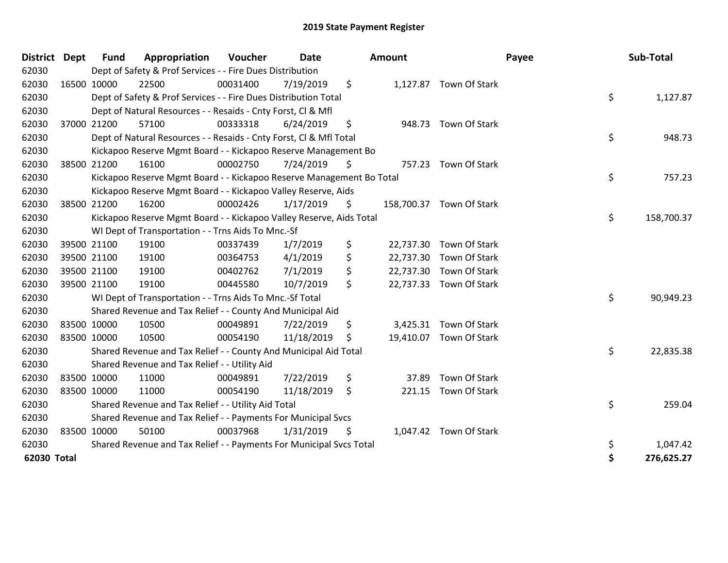| <b>District</b> | <b>Dept</b> | <b>Fund</b> | Appropriation                                                        | Voucher  | Date       | <b>Amount</b> |                          | Payee | Sub-Total  |
|-----------------|-------------|-------------|----------------------------------------------------------------------|----------|------------|---------------|--------------------------|-------|------------|
| 62030           |             |             | Dept of Safety & Prof Services - - Fire Dues Distribution            |          |            |               |                          |       |            |
| 62030           | 16500 10000 |             | 22500                                                                | 00031400 | 7/19/2019  | \$            | 1,127.87 Town Of Stark   |       |            |
| 62030           |             |             | Dept of Safety & Prof Services - - Fire Dues Distribution Total      |          |            |               |                          | \$    | 1,127.87   |
| 62030           |             |             | Dept of Natural Resources - - Resaids - Cnty Forst, CI & Mfl         |          |            |               |                          |       |            |
| 62030           | 37000 21200 |             | 57100                                                                | 00333318 | 6/24/2019  | \$            | 948.73 Town Of Stark     |       |            |
| 62030           |             |             | Dept of Natural Resources - - Resaids - Cnty Forst, Cl & Mfl Total   |          |            |               |                          | \$    | 948.73     |
| 62030           |             |             | Kickapoo Reserve Mgmt Board - - Kickapoo Reserve Management Bo       |          |            |               |                          |       |            |
| 62030           |             | 38500 21200 | 16100                                                                | 00002750 | 7/24/2019  | \$<br>757.23  | Town Of Stark            |       |            |
| 62030           |             |             | Kickapoo Reserve Mgmt Board - - Kickapoo Reserve Management Bo Total |          |            |               |                          | \$    | 757.23     |
| 62030           |             |             | Kickapoo Reserve Mgmt Board - - Kickapoo Valley Reserve, Aids        |          |            |               |                          |       |            |
| 62030           |             | 38500 21200 | 16200                                                                | 00002426 | 1/17/2019  | \$            | 158,700.37 Town Of Stark |       |            |
| 62030           |             |             | Kickapoo Reserve Mgmt Board - - Kickapoo Valley Reserve, Aids Total  |          |            |               |                          | \$    | 158,700.37 |
| 62030           |             |             | WI Dept of Transportation - - Trns Aids To Mnc.-Sf                   |          |            |               |                          |       |            |
| 62030           | 39500 21100 |             | 19100                                                                | 00337439 | 1/7/2019   | \$            | 22,737.30 Town Of Stark  |       |            |
| 62030           | 39500 21100 |             | 19100                                                                | 00364753 | 4/1/2019   | \$            | 22,737.30 Town Of Stark  |       |            |
| 62030           | 39500 21100 |             | 19100                                                                | 00402762 | 7/1/2019   | \$            | 22,737.30 Town Of Stark  |       |            |
| 62030           | 39500 21100 |             | 19100                                                                | 00445580 | 10/7/2019  | \$            | 22,737.33 Town Of Stark  |       |            |
| 62030           |             |             | WI Dept of Transportation - - Trns Aids To Mnc.-Sf Total             |          |            |               |                          | \$    | 90,949.23  |
| 62030           |             |             | Shared Revenue and Tax Relief - - County And Municipal Aid           |          |            |               |                          |       |            |
| 62030           | 83500 10000 |             | 10500                                                                | 00049891 | 7/22/2019  | \$            | 3,425.31 Town Of Stark   |       |            |
| 62030           | 83500 10000 |             | 10500                                                                | 00054190 | 11/18/2019 | \$            | 19,410.07 Town Of Stark  |       |            |
| 62030           |             |             | Shared Revenue and Tax Relief - - County And Municipal Aid Total     |          |            |               |                          | \$    | 22,835.38  |
| 62030           |             |             | Shared Revenue and Tax Relief - - Utility Aid                        |          |            |               |                          |       |            |
| 62030           | 83500 10000 |             | 11000                                                                | 00049891 | 7/22/2019  | \$<br>37.89   | <b>Town Of Stark</b>     |       |            |
| 62030           | 83500 10000 |             | 11000                                                                | 00054190 | 11/18/2019 | \$<br>221.15  | Town Of Stark            |       |            |
| 62030           |             |             | Shared Revenue and Tax Relief - - Utility Aid Total                  |          |            |               |                          | \$    | 259.04     |
| 62030           |             |             | Shared Revenue and Tax Relief - - Payments For Municipal Svcs        |          |            |               |                          |       |            |
| 62030           |             | 83500 10000 | 50100                                                                | 00037968 | 1/31/2019  | \$            | 1,047.42 Town Of Stark   |       |            |
| 62030           |             |             | Shared Revenue and Tax Relief - - Payments For Municipal Svcs Total  |          |            |               |                          | \$    | 1,047.42   |
| 62030 Total     |             |             |                                                                      |          |            |               |                          | \$    | 276,625.27 |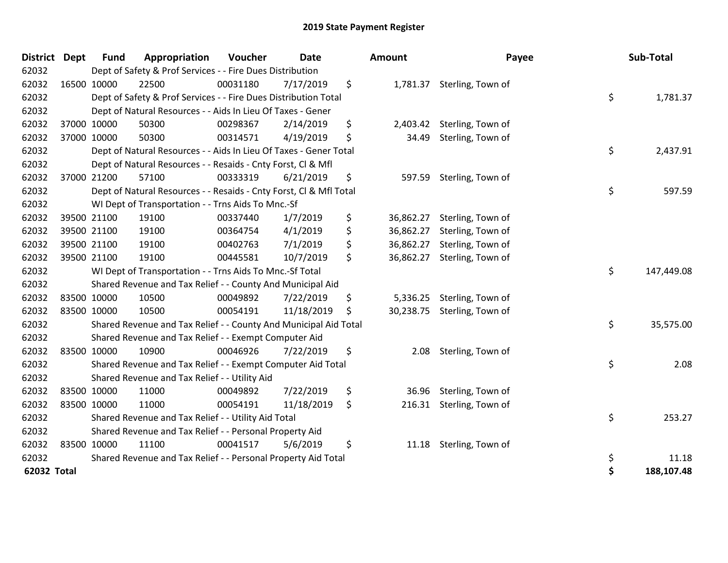| District    | <b>Dept</b> | <b>Fund</b> | Appropriation                                                      | Voucher  | Date       | <b>Amount</b>   | Payee                      | Sub-Total        |
|-------------|-------------|-------------|--------------------------------------------------------------------|----------|------------|-----------------|----------------------------|------------------|
| 62032       |             |             | Dept of Safety & Prof Services - - Fire Dues Distribution          |          |            |                 |                            |                  |
| 62032       |             | 16500 10000 | 22500                                                              | 00031180 | 7/17/2019  | \$              | 1,781.37 Sterling, Town of |                  |
| 62032       |             |             | Dept of Safety & Prof Services - - Fire Dues Distribution Total    |          |            |                 |                            | \$<br>1,781.37   |
| 62032       |             |             | Dept of Natural Resources - - Aids In Lieu Of Taxes - Gener        |          |            |                 |                            |                  |
| 62032       |             | 37000 10000 | 50300                                                              | 00298367 | 2/14/2019  | \$<br>2,403.42  | Sterling, Town of          |                  |
| 62032       |             | 37000 10000 | 50300                                                              | 00314571 | 4/19/2019  | \$<br>34.49     | Sterling, Town of          |                  |
| 62032       |             |             | Dept of Natural Resources - - Aids In Lieu Of Taxes - Gener Total  |          |            |                 |                            | \$<br>2,437.91   |
| 62032       |             |             | Dept of Natural Resources - - Resaids - Cnty Forst, Cl & Mfl       |          |            |                 |                            |                  |
| 62032       |             | 37000 21200 | 57100                                                              | 00333319 | 6/21/2019  | \$<br>597.59    | Sterling, Town of          |                  |
| 62032       |             |             | Dept of Natural Resources - - Resaids - Cnty Forst, CI & Mfl Total |          |            |                 |                            | \$<br>597.59     |
| 62032       |             |             | WI Dept of Transportation - - Trns Aids To Mnc.-Sf                 |          |            |                 |                            |                  |
| 62032       |             | 39500 21100 | 19100                                                              | 00337440 | 1/7/2019   | \$<br>36,862.27 | Sterling, Town of          |                  |
| 62032       |             | 39500 21100 | 19100                                                              | 00364754 | 4/1/2019   | \$<br>36,862.27 | Sterling, Town of          |                  |
| 62032       |             | 39500 21100 | 19100                                                              | 00402763 | 7/1/2019   | \$<br>36,862.27 | Sterling, Town of          |                  |
| 62032       |             | 39500 21100 | 19100                                                              | 00445581 | 10/7/2019  | \$<br>36,862.27 | Sterling, Town of          |                  |
| 62032       |             |             | WI Dept of Transportation - - Trns Aids To Mnc.-Sf Total           |          |            |                 |                            | \$<br>147,449.08 |
| 62032       |             |             | Shared Revenue and Tax Relief - - County And Municipal Aid         |          |            |                 |                            |                  |
| 62032       |             | 83500 10000 | 10500                                                              | 00049892 | 7/22/2019  | \$<br>5,336.25  | Sterling, Town of          |                  |
| 62032       |             | 83500 10000 | 10500                                                              | 00054191 | 11/18/2019 | \$<br>30,238.75 | Sterling, Town of          |                  |
| 62032       |             |             | Shared Revenue and Tax Relief - - County And Municipal Aid Total   |          |            |                 |                            | \$<br>35,575.00  |
| 62032       |             |             | Shared Revenue and Tax Relief - - Exempt Computer Aid              |          |            |                 |                            |                  |
| 62032       |             | 83500 10000 | 10900                                                              | 00046926 | 7/22/2019  | \$<br>2.08      | Sterling, Town of          |                  |
| 62032       |             |             | Shared Revenue and Tax Relief - - Exempt Computer Aid Total        |          |            |                 |                            | \$<br>2.08       |
| 62032       |             |             | Shared Revenue and Tax Relief - - Utility Aid                      |          |            |                 |                            |                  |
| 62032       |             | 83500 10000 | 11000                                                              | 00049892 | 7/22/2019  | \$              | 36.96 Sterling, Town of    |                  |
| 62032       |             | 83500 10000 | 11000                                                              | 00054191 | 11/18/2019 | \$<br>216.31    | Sterling, Town of          |                  |
| 62032       |             |             | Shared Revenue and Tax Relief - - Utility Aid Total                |          |            |                 |                            | \$<br>253.27     |
| 62032       |             |             | Shared Revenue and Tax Relief - - Personal Property Aid            |          |            |                 |                            |                  |
| 62032       |             | 83500 10000 | 11100                                                              | 00041517 | 5/6/2019   | \$<br>11.18     | Sterling, Town of          |                  |
| 62032       |             |             | Shared Revenue and Tax Relief - - Personal Property Aid Total      |          |            |                 |                            | \$<br>11.18      |
| 62032 Total |             |             |                                                                    |          |            |                 |                            | \$<br>188,107.48 |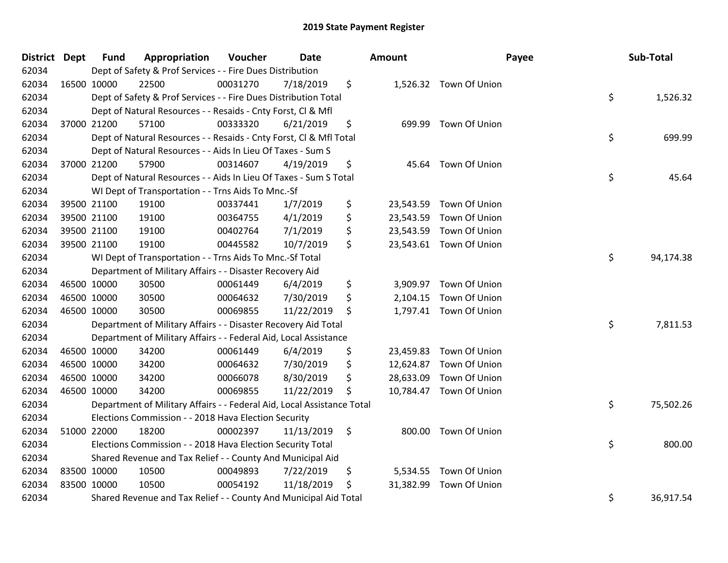| District Dept | <b>Fund</b> | Appropriation                                                          | Voucher  | <b>Date</b> | Amount       |                         | Payee | Sub-Total |
|---------------|-------------|------------------------------------------------------------------------|----------|-------------|--------------|-------------------------|-------|-----------|
| 62034         |             | Dept of Safety & Prof Services - - Fire Dues Distribution              |          |             |              |                         |       |           |
| 62034         | 16500 10000 | 22500                                                                  | 00031270 | 7/18/2019   | \$           | 1,526.32 Town Of Union  |       |           |
| 62034         |             | Dept of Safety & Prof Services - - Fire Dues Distribution Total        |          |             |              |                         | \$    | 1,526.32  |
| 62034         |             | Dept of Natural Resources - - Resaids - Cnty Forst, Cl & Mfl           |          |             |              |                         |       |           |
| 62034         | 37000 21200 | 57100                                                                  | 00333320 | 6/21/2019   | \$<br>699.99 | Town Of Union           |       |           |
| 62034         |             | Dept of Natural Resources - - Resaids - Cnty Forst, CI & Mfl Total     |          |             |              |                         | \$    | 699.99    |
| 62034         |             | Dept of Natural Resources - - Aids In Lieu Of Taxes - Sum S            |          |             |              |                         |       |           |
| 62034         | 37000 21200 | 57900                                                                  | 00314607 | 4/19/2019   | \$           | 45.64 Town Of Union     |       |           |
| 62034         |             | Dept of Natural Resources - - Aids In Lieu Of Taxes - Sum S Total      |          |             |              |                         | \$    | 45.64     |
| 62034         |             | WI Dept of Transportation - - Trns Aids To Mnc.-Sf                     |          |             |              |                         |       |           |
| 62034         | 39500 21100 | 19100                                                                  | 00337441 | 1/7/2019    | \$           | 23,543.59 Town Of Union |       |           |
| 62034         | 39500 21100 | 19100                                                                  | 00364755 | 4/1/2019    | \$           | 23,543.59 Town Of Union |       |           |
| 62034         | 39500 21100 | 19100                                                                  | 00402764 | 7/1/2019    | \$           | 23,543.59 Town Of Union |       |           |
| 62034         | 39500 21100 | 19100                                                                  | 00445582 | 10/7/2019   | \$           | 23,543.61 Town Of Union |       |           |
| 62034         |             | WI Dept of Transportation - - Trns Aids To Mnc.-Sf Total               |          |             |              |                         | \$    | 94,174.38 |
| 62034         |             | Department of Military Affairs - - Disaster Recovery Aid               |          |             |              |                         |       |           |
| 62034         | 46500 10000 | 30500                                                                  | 00061449 | 6/4/2019    | \$           | 3,909.97 Town Of Union  |       |           |
| 62034         | 46500 10000 | 30500                                                                  | 00064632 | 7/30/2019   | \$           | 2,104.15 Town Of Union  |       |           |
| 62034         | 46500 10000 | 30500                                                                  | 00069855 | 11/22/2019  | \$           | 1,797.41 Town Of Union  |       |           |
| 62034         |             | Department of Military Affairs - - Disaster Recovery Aid Total         |          |             |              |                         | \$    | 7,811.53  |
| 62034         |             | Department of Military Affairs - - Federal Aid, Local Assistance       |          |             |              |                         |       |           |
| 62034         | 46500 10000 | 34200                                                                  | 00061449 | 6/4/2019    | \$           | 23,459.83 Town Of Union |       |           |
| 62034         | 46500 10000 | 34200                                                                  | 00064632 | 7/30/2019   | \$           | 12,624.87 Town Of Union |       |           |
| 62034         | 46500 10000 | 34200                                                                  | 00066078 | 8/30/2019   | \$           | 28,633.09 Town Of Union |       |           |
| 62034         | 46500 10000 | 34200                                                                  | 00069855 | 11/22/2019  | \$           | 10,784.47 Town Of Union |       |           |
| 62034         |             | Department of Military Affairs - - Federal Aid, Local Assistance Total |          |             |              |                         | \$    | 75,502.26 |
| 62034         |             | Elections Commission - - 2018 Hava Election Security                   |          |             |              |                         |       |           |
| 62034         | 51000 22000 | 18200                                                                  | 00002397 | 11/13/2019  | \$           | 800.00 Town Of Union    |       |           |
| 62034         |             | Elections Commission - - 2018 Hava Election Security Total             |          |             |              |                         | \$    | 800.00    |
| 62034         |             | Shared Revenue and Tax Relief - - County And Municipal Aid             |          |             |              |                         |       |           |
| 62034         | 83500 10000 | 10500                                                                  | 00049893 | 7/22/2019   | \$           | 5,534.55 Town Of Union  |       |           |
| 62034         | 83500 10000 | 10500                                                                  | 00054192 | 11/18/2019  | \$           | 31,382.99 Town Of Union |       |           |
| 62034         |             | Shared Revenue and Tax Relief - - County And Municipal Aid Total       |          |             |              |                         | \$    | 36,917.54 |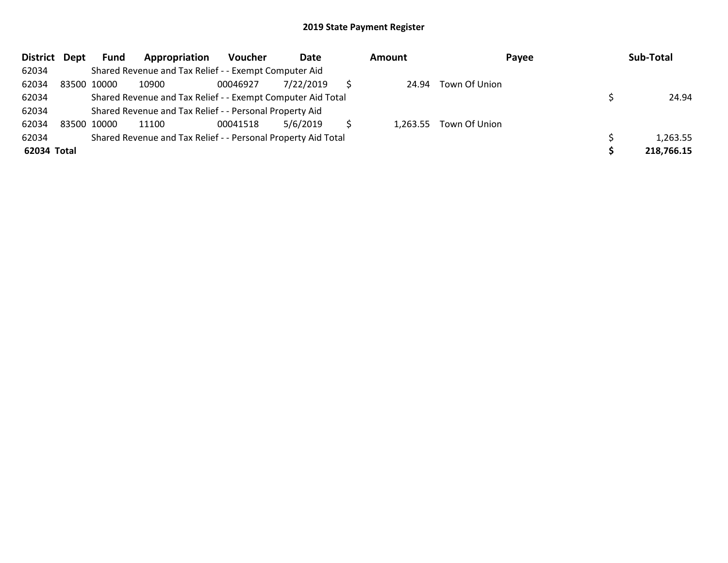| <b>District</b> | Dept        | <b>Fund</b> | Appropriation                                                 | <b>Voucher</b> | Date      | Amount   | Payee         | Sub-Total  |
|-----------------|-------------|-------------|---------------------------------------------------------------|----------------|-----------|----------|---------------|------------|
| 62034           |             |             | Shared Revenue and Tax Relief - - Exempt Computer Aid         |                |           |          |               |            |
| 62034           | 83500 10000 |             | 10900                                                         | 00046927       | 7/22/2019 | 24.94    | Town Of Union |            |
| 62034           |             |             | Shared Revenue and Tax Relief - - Exempt Computer Aid Total   |                |           |          |               | 24.94      |
| 62034           |             |             | Shared Revenue and Tax Relief - - Personal Property Aid       |                |           |          |               |            |
| 62034           | 83500 10000 |             | 11100                                                         | 00041518       | 5/6/2019  | 1.263.55 | Town Of Union |            |
| 62034           |             |             | Shared Revenue and Tax Relief - - Personal Property Aid Total |                |           |          |               | 1,263.55   |
| 62034 Total     |             |             |                                                               |                |           |          |               | 218,766.15 |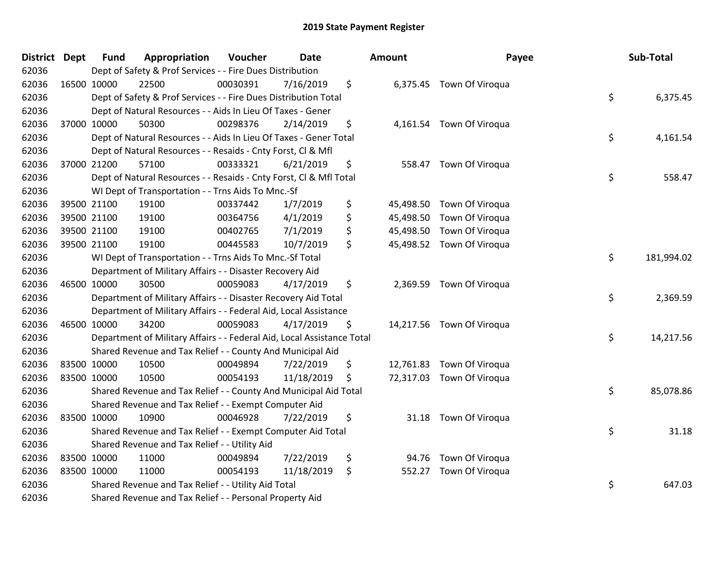| <b>District Dept</b> |             | <b>Fund</b> | Appropriation                                                          | Voucher  | <b>Date</b> | Amount       | Payee                     | Sub-Total        |
|----------------------|-------------|-------------|------------------------------------------------------------------------|----------|-------------|--------------|---------------------------|------------------|
| 62036                |             |             | Dept of Safety & Prof Services - - Fire Dues Distribution              |          |             |              |                           |                  |
| 62036                | 16500 10000 |             | 22500                                                                  | 00030391 | 7/16/2019   | \$           | 6,375.45 Town Of Viroqua  |                  |
| 62036                |             |             | Dept of Safety & Prof Services - - Fire Dues Distribution Total        |          |             |              |                           | \$<br>6,375.45   |
| 62036                |             |             | Dept of Natural Resources - - Aids In Lieu Of Taxes - Gener            |          |             |              |                           |                  |
| 62036                |             | 37000 10000 | 50300                                                                  | 00298376 | 2/14/2019   | \$           | 4,161.54 Town Of Viroqua  |                  |
| 62036                |             |             | Dept of Natural Resources - - Aids In Lieu Of Taxes - Gener Total      |          |             |              |                           | \$<br>4,161.54   |
| 62036                |             |             | Dept of Natural Resources - - Resaids - Cnty Forst, Cl & Mfl           |          |             |              |                           |                  |
| 62036                |             | 37000 21200 | 57100                                                                  | 00333321 | 6/21/2019   | \$           | 558.47 Town Of Viroqua    |                  |
| 62036                |             |             | Dept of Natural Resources - - Resaids - Cnty Forst, Cl & Mfl Total     |          |             |              |                           | \$<br>558.47     |
| 62036                |             |             | WI Dept of Transportation - - Trns Aids To Mnc.-Sf                     |          |             |              |                           |                  |
| 62036                |             | 39500 21100 | 19100                                                                  | 00337442 | 1/7/2019    | \$           | 45,498.50 Town Of Viroqua |                  |
| 62036                |             | 39500 21100 | 19100                                                                  | 00364756 | 4/1/2019    | \$           | 45,498.50 Town Of Viroqua |                  |
| 62036                |             | 39500 21100 | 19100                                                                  | 00402765 | 7/1/2019    | \$           | 45,498.50 Town Of Viroqua |                  |
| 62036                |             | 39500 21100 | 19100                                                                  | 00445583 | 10/7/2019   | \$           | 45,498.52 Town Of Viroqua |                  |
| 62036                |             |             | WI Dept of Transportation - - Trns Aids To Mnc.-Sf Total               |          |             |              |                           | \$<br>181,994.02 |
| 62036                |             |             | Department of Military Affairs - - Disaster Recovery Aid               |          |             |              |                           |                  |
| 62036                |             | 46500 10000 | 30500                                                                  | 00059083 | 4/17/2019   | \$           | 2,369.59 Town Of Viroqua  |                  |
| 62036                |             |             | Department of Military Affairs - - Disaster Recovery Aid Total         |          |             |              |                           | \$<br>2,369.59   |
| 62036                |             |             | Department of Military Affairs - - Federal Aid, Local Assistance       |          |             |              |                           |                  |
| 62036                |             | 46500 10000 | 34200                                                                  | 00059083 | 4/17/2019   | \$           | 14,217.56 Town Of Viroqua |                  |
| 62036                |             |             | Department of Military Affairs - - Federal Aid, Local Assistance Total |          |             |              |                           | \$<br>14,217.56  |
| 62036                |             |             | Shared Revenue and Tax Relief - - County And Municipal Aid             |          |             |              |                           |                  |
| 62036                |             | 83500 10000 | 10500                                                                  | 00049894 | 7/22/2019   | \$           | 12,761.83 Town Of Viroqua |                  |
| 62036                |             | 83500 10000 | 10500                                                                  | 00054193 | 11/18/2019  | \$           | 72,317.03 Town Of Viroqua |                  |
| 62036                |             |             | Shared Revenue and Tax Relief - - County And Municipal Aid Total       |          |             |              |                           | \$<br>85,078.86  |
| 62036                |             |             | Shared Revenue and Tax Relief - - Exempt Computer Aid                  |          |             |              |                           |                  |
| 62036                |             | 83500 10000 | 10900                                                                  | 00046928 | 7/22/2019   | \$           | 31.18 Town Of Viroqua     |                  |
| 62036                |             |             | Shared Revenue and Tax Relief - - Exempt Computer Aid Total            |          |             |              |                           | \$<br>31.18      |
| 62036                |             |             | Shared Revenue and Tax Relief - - Utility Aid                          |          |             |              |                           |                  |
| 62036                |             | 83500 10000 | 11000                                                                  | 00049894 | 7/22/2019   | \$<br>94.76  | Town Of Viroqua           |                  |
| 62036                |             | 83500 10000 | 11000                                                                  | 00054193 | 11/18/2019  | \$<br>552.27 | Town Of Viroqua           |                  |
| 62036                |             |             | Shared Revenue and Tax Relief - - Utility Aid Total                    |          |             |              |                           | \$<br>647.03     |
| 62036                |             |             | Shared Revenue and Tax Relief - - Personal Property Aid                |          |             |              |                           |                  |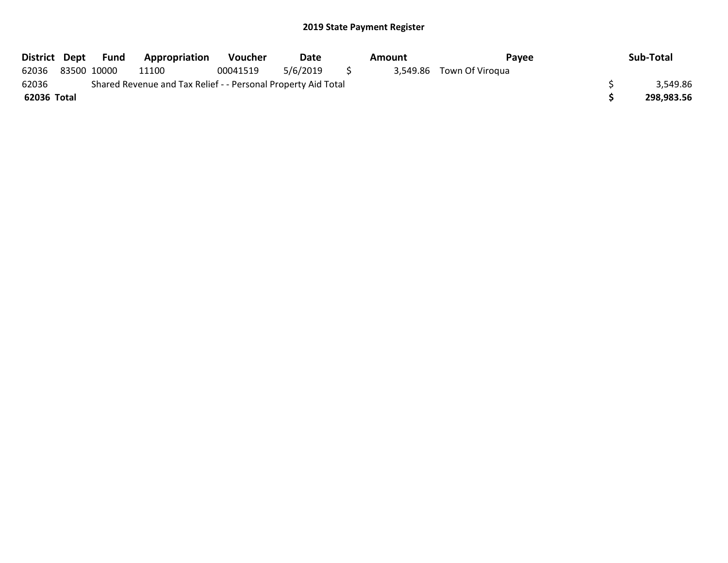|             |                                                               | District Dept Fund | <b>Appropriation</b> | Voucher  | Date     |          | Amount | Pavee                    |  | Sub-Total  |
|-------------|---------------------------------------------------------------|--------------------|----------------------|----------|----------|----------|--------|--------------------------|--|------------|
| 62036       |                                                               | 83500 10000        | 11100                | 00041519 | 5/6/2019 | $\sim$ 5 |        | 3,549.86 Town Of Viroqua |  |            |
| 62036       | Shared Revenue and Tax Relief - - Personal Property Aid Total |                    |                      |          |          |          |        |                          |  |            |
| 62036 Total |                                                               |                    |                      |          |          |          |        |                          |  | 298,983.56 |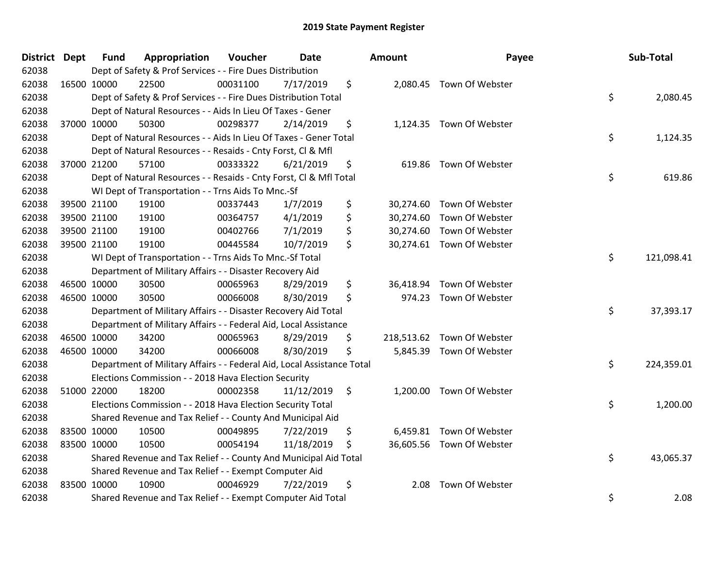| <b>District Dept</b> |             | <b>Fund</b> | Appropriation                                                          | Voucher  | Date       | Amount          | Payee                      | Sub-Total        |
|----------------------|-------------|-------------|------------------------------------------------------------------------|----------|------------|-----------------|----------------------------|------------------|
| 62038                |             |             | Dept of Safety & Prof Services - - Fire Dues Distribution              |          |            |                 |                            |                  |
| 62038                | 16500 10000 |             | 22500                                                                  | 00031100 | 7/17/2019  | \$              | 2,080.45 Town Of Webster   |                  |
| 62038                |             |             | Dept of Safety & Prof Services - - Fire Dues Distribution Total        |          |            |                 |                            | \$<br>2,080.45   |
| 62038                |             |             | Dept of Natural Resources - - Aids In Lieu Of Taxes - Gener            |          |            |                 |                            |                  |
| 62038                | 37000 10000 |             | 50300                                                                  | 00298377 | 2/14/2019  | \$              | 1,124.35 Town Of Webster   |                  |
| 62038                |             |             | Dept of Natural Resources - - Aids In Lieu Of Taxes - Gener Total      |          |            |                 |                            | \$<br>1,124.35   |
| 62038                |             |             | Dept of Natural Resources - - Resaids - Cnty Forst, Cl & Mfl           |          |            |                 |                            |                  |
| 62038                |             | 37000 21200 | 57100                                                                  | 00333322 | 6/21/2019  | \$<br>619.86    | Town Of Webster            |                  |
| 62038                |             |             | Dept of Natural Resources - - Resaids - Cnty Forst, Cl & Mfl Total     |          |            |                 |                            | \$<br>619.86     |
| 62038                |             |             | WI Dept of Transportation - - Trns Aids To Mnc.-Sf                     |          |            |                 |                            |                  |
| 62038                | 39500 21100 |             | 19100                                                                  | 00337443 | 1/7/2019   | \$              | 30,274.60 Town Of Webster  |                  |
| 62038                |             | 39500 21100 | 19100                                                                  | 00364757 | 4/1/2019   | \$              | 30,274.60 Town Of Webster  |                  |
| 62038                | 39500 21100 |             | 19100                                                                  | 00402766 | 7/1/2019   | \$              | 30,274.60 Town Of Webster  |                  |
| 62038                | 39500 21100 |             | 19100                                                                  | 00445584 | 10/7/2019  | \$              | 30,274.61 Town Of Webster  |                  |
| 62038                |             |             | WI Dept of Transportation - - Trns Aids To Mnc.-Sf Total               |          |            |                 |                            | \$<br>121,098.41 |
| 62038                |             |             | Department of Military Affairs - - Disaster Recovery Aid               |          |            |                 |                            |                  |
| 62038                | 46500 10000 |             | 30500                                                                  | 00065963 | 8/29/2019  | \$<br>36,418.94 | Town Of Webster            |                  |
| 62038                | 46500 10000 |             | 30500                                                                  | 00066008 | 8/30/2019  | \$              | 974.23 Town Of Webster     |                  |
| 62038                |             |             | Department of Military Affairs - - Disaster Recovery Aid Total         |          |            |                 |                            | \$<br>37,393.17  |
| 62038                |             |             | Department of Military Affairs - - Federal Aid, Local Assistance       |          |            |                 |                            |                  |
| 62038                | 46500 10000 |             | 34200                                                                  | 00065963 | 8/29/2019  | \$              | 218,513.62 Town Of Webster |                  |
| 62038                |             | 46500 10000 | 34200                                                                  | 00066008 | 8/30/2019  | \$              | 5,845.39 Town Of Webster   |                  |
| 62038                |             |             | Department of Military Affairs - - Federal Aid, Local Assistance Total |          |            |                 |                            | \$<br>224,359.01 |
| 62038                |             |             | Elections Commission - - 2018 Hava Election Security                   |          |            |                 |                            |                  |
| 62038                | 51000 22000 |             | 18200                                                                  | 00002358 | 11/12/2019 | \$              | 1,200.00 Town Of Webster   |                  |
| 62038                |             |             | Elections Commission - - 2018 Hava Election Security Total             |          |            |                 |                            | \$<br>1,200.00   |
| 62038                |             |             | Shared Revenue and Tax Relief - - County And Municipal Aid             |          |            |                 |                            |                  |
| 62038                |             | 83500 10000 | 10500                                                                  | 00049895 | 7/22/2019  | \$              | 6,459.81 Town Of Webster   |                  |
| 62038                | 83500 10000 |             | 10500                                                                  | 00054194 | 11/18/2019 | \$              | 36,605.56 Town Of Webster  |                  |
| 62038                |             |             | Shared Revenue and Tax Relief - - County And Municipal Aid Total       |          |            |                 |                            | \$<br>43,065.37  |
| 62038                |             |             | Shared Revenue and Tax Relief - - Exempt Computer Aid                  |          |            |                 |                            |                  |
| 62038                | 83500 10000 |             | 10900                                                                  | 00046929 | 7/22/2019  | \$<br>2.08      | Town Of Webster            |                  |
| 62038                |             |             | Shared Revenue and Tax Relief - - Exempt Computer Aid Total            |          |            |                 |                            | \$<br>2.08       |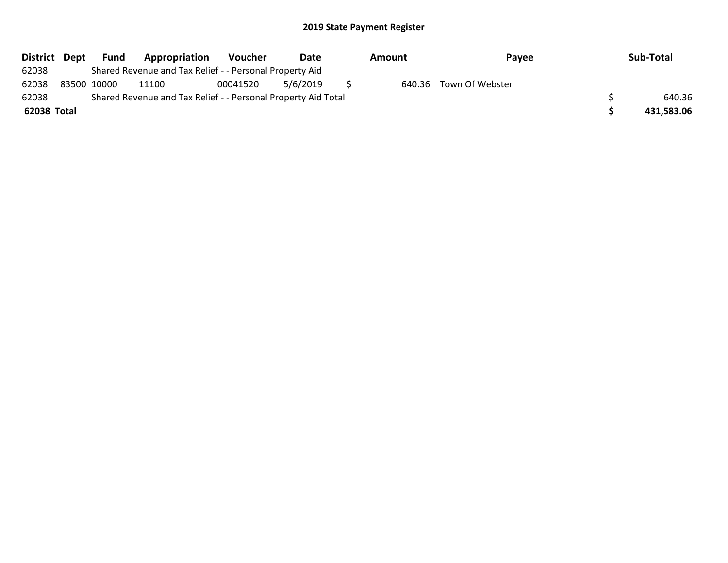| District Dept | Fund        | Appropriation                                                 | Voucher  | Date     | Amount | Payee                  | Sub-Total  |
|---------------|-------------|---------------------------------------------------------------|----------|----------|--------|------------------------|------------|
| 62038         |             | Shared Revenue and Tax Relief - - Personal Property Aid       |          |          |        |                        |            |
| 62038         | 83500 10000 | 11100                                                         | 00041520 | 5/6/2019 |        | 640.36 Town Of Webster |            |
| 62038         |             | Shared Revenue and Tax Relief - - Personal Property Aid Total |          |          |        |                        | 640.36     |
| 62038 Total   |             |                                                               |          |          |        |                        | 431,583.06 |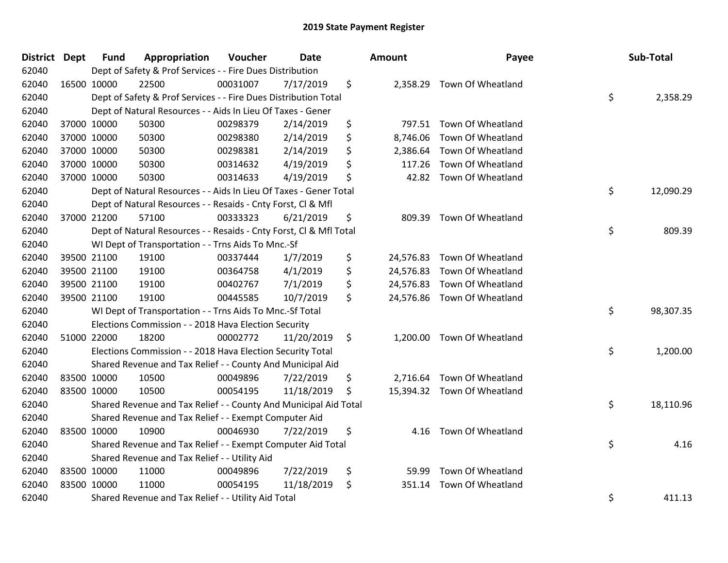| <b>District Dept</b> |             | <b>Fund</b> | Appropriation                                                      | Voucher  | <b>Date</b> | Amount         | Payee                       | Sub-Total       |
|----------------------|-------------|-------------|--------------------------------------------------------------------|----------|-------------|----------------|-----------------------------|-----------------|
| 62040                |             |             | Dept of Safety & Prof Services - - Fire Dues Distribution          |          |             |                |                             |                 |
| 62040                | 16500 10000 |             | 22500                                                              | 00031007 | 7/17/2019   | \$             | 2,358.29 Town Of Wheatland  |                 |
| 62040                |             |             | Dept of Safety & Prof Services - - Fire Dues Distribution Total    |          |             |                |                             | \$<br>2,358.29  |
| 62040                |             |             | Dept of Natural Resources - - Aids In Lieu Of Taxes - Gener        |          |             |                |                             |                 |
| 62040                |             | 37000 10000 | 50300                                                              | 00298379 | 2/14/2019   | \$             | 797.51 Town Of Wheatland    |                 |
| 62040                |             | 37000 10000 | 50300                                                              | 00298380 | 2/14/2019   | \$<br>8,746.06 | Town Of Wheatland           |                 |
| 62040                |             | 37000 10000 | 50300                                                              | 00298381 | 2/14/2019   | \$<br>2,386.64 | Town Of Wheatland           |                 |
| 62040                |             | 37000 10000 | 50300                                                              | 00314632 | 4/19/2019   | \$<br>117.26   | Town Of Wheatland           |                 |
| 62040                | 37000 10000 |             | 50300                                                              | 00314633 | 4/19/2019   | \$             | 42.82 Town Of Wheatland     |                 |
| 62040                |             |             | Dept of Natural Resources - - Aids In Lieu Of Taxes - Gener Total  |          |             |                |                             | \$<br>12,090.29 |
| 62040                |             |             | Dept of Natural Resources - - Resaids - Cnty Forst, CI & Mfl       |          |             |                |                             |                 |
| 62040                |             | 37000 21200 | 57100                                                              | 00333323 | 6/21/2019   | \$             | 809.39 Town Of Wheatland    |                 |
| 62040                |             |             | Dept of Natural Resources - - Resaids - Cnty Forst, Cl & Mfl Total |          |             |                |                             | \$<br>809.39    |
| 62040                |             |             | WI Dept of Transportation - - Trns Aids To Mnc.-Sf                 |          |             |                |                             |                 |
| 62040                |             | 39500 21100 | 19100                                                              | 00337444 | 1/7/2019    | \$             | 24,576.83 Town Of Wheatland |                 |
| 62040                |             | 39500 21100 | 19100                                                              | 00364758 | 4/1/2019    | \$             | 24,576.83 Town Of Wheatland |                 |
| 62040                |             | 39500 21100 | 19100                                                              | 00402767 | 7/1/2019    | \$             | 24,576.83 Town Of Wheatland |                 |
| 62040                |             | 39500 21100 | 19100                                                              | 00445585 | 10/7/2019   | \$             | 24,576.86 Town Of Wheatland |                 |
| 62040                |             |             | WI Dept of Transportation - - Trns Aids To Mnc.-Sf Total           |          |             |                |                             | \$<br>98,307.35 |
| 62040                |             |             | Elections Commission - - 2018 Hava Election Security               |          |             |                |                             |                 |
| 62040                |             | 51000 22000 | 18200                                                              | 00002772 | 11/20/2019  | \$             | 1,200.00 Town Of Wheatland  |                 |
| 62040                |             |             | Elections Commission - - 2018 Hava Election Security Total         |          |             |                |                             | \$<br>1,200.00  |
| 62040                |             |             | Shared Revenue and Tax Relief - - County And Municipal Aid         |          |             |                |                             |                 |
| 62040                | 83500 10000 |             | 10500                                                              | 00049896 | 7/22/2019   | \$             | 2,716.64 Town Of Wheatland  |                 |
| 62040                | 83500 10000 |             | 10500                                                              | 00054195 | 11/18/2019  | \$             | 15,394.32 Town Of Wheatland |                 |
| 62040                |             |             | Shared Revenue and Tax Relief - - County And Municipal Aid Total   |          |             |                |                             | \$<br>18,110.96 |
| 62040                |             |             | Shared Revenue and Tax Relief - - Exempt Computer Aid              |          |             |                |                             |                 |
| 62040                | 83500 10000 |             | 10900                                                              | 00046930 | 7/22/2019   | \$<br>4.16     | Town Of Wheatland           |                 |
| 62040                |             |             | Shared Revenue and Tax Relief - - Exempt Computer Aid Total        |          |             |                |                             | \$<br>4.16      |
| 62040                |             |             | Shared Revenue and Tax Relief - - Utility Aid                      |          |             |                |                             |                 |
| 62040                | 83500 10000 |             | 11000                                                              | 00049896 | 7/22/2019   | \$<br>59.99    | Town Of Wheatland           |                 |
| 62040                | 83500 10000 |             | 11000                                                              | 00054195 | 11/18/2019  | \$<br>351.14   | Town Of Wheatland           |                 |
| 62040                |             |             | Shared Revenue and Tax Relief - - Utility Aid Total                |          |             |                |                             | \$<br>411.13    |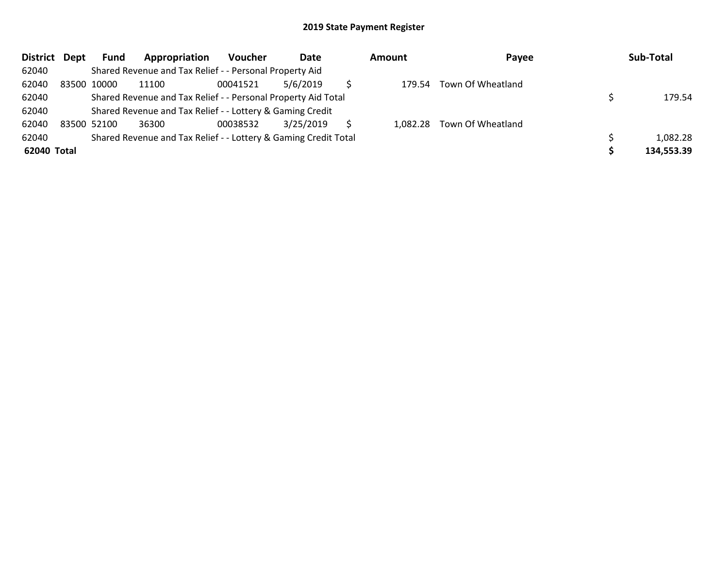| District Dept | Fund        | Appropriation                                                   | Voucher  | Date      | <b>Amount</b> | Payee                      | Sub-Total  |
|---------------|-------------|-----------------------------------------------------------------|----------|-----------|---------------|----------------------------|------------|
| 62040         |             | Shared Revenue and Tax Relief - - Personal Property Aid         |          |           |               |                            |            |
| 62040         | 83500 10000 | 11100                                                           | 00041521 | 5/6/2019  | 179.54        | Town Of Wheatland          |            |
| 62040         |             | Shared Revenue and Tax Relief - - Personal Property Aid Total   |          |           |               |                            | 179.54     |
| 62040         |             | Shared Revenue and Tax Relief - - Lottery & Gaming Credit       |          |           |               |                            |            |
| 62040         | 83500 52100 | 36300                                                           | 00038532 | 3/25/2019 |               | 1,082.28 Town Of Wheatland |            |
| 62040         |             | Shared Revenue and Tax Relief - - Lottery & Gaming Credit Total |          |           |               |                            | 1,082.28   |
| 62040 Total   |             |                                                                 |          |           |               |                            | 134,553.39 |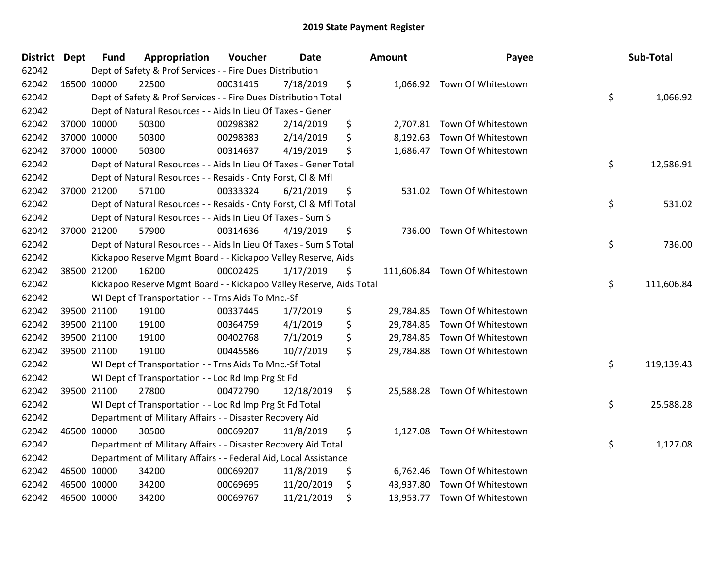| District Dept |             | <b>Fund</b> | Appropriation                                                       | Voucher  | <b>Date</b> | <b>Amount</b>  | Payee                         | Sub-Total        |
|---------------|-------------|-------------|---------------------------------------------------------------------|----------|-------------|----------------|-------------------------------|------------------|
| 62042         |             |             | Dept of Safety & Prof Services - - Fire Dues Distribution           |          |             |                |                               |                  |
| 62042         | 16500 10000 |             | 22500                                                               | 00031415 | 7/18/2019   | \$             | 1,066.92 Town Of Whitestown   |                  |
| 62042         |             |             | Dept of Safety & Prof Services - - Fire Dues Distribution Total     |          |             |                |                               | \$<br>1,066.92   |
| 62042         |             |             | Dept of Natural Resources - - Aids In Lieu Of Taxes - Gener         |          |             |                |                               |                  |
| 62042         |             | 37000 10000 | 50300                                                               | 00298382 | 2/14/2019   | \$             | 2,707.81 Town Of Whitestown   |                  |
| 62042         |             | 37000 10000 | 50300                                                               | 00298383 | 2/14/2019   | \$             | 8,192.63 Town Of Whitestown   |                  |
| 62042         |             | 37000 10000 | 50300                                                               | 00314637 | 4/19/2019   | \$             | 1,686.47 Town Of Whitestown   |                  |
| 62042         |             |             | Dept of Natural Resources - - Aids In Lieu Of Taxes - Gener Total   |          |             |                |                               | \$<br>12,586.91  |
| 62042         |             |             | Dept of Natural Resources - - Resaids - Cnty Forst, Cl & Mfl        |          |             |                |                               |                  |
| 62042         |             | 37000 21200 | 57100                                                               | 00333324 | 6/21/2019   | \$             | 531.02 Town Of Whitestown     |                  |
| 62042         |             |             | Dept of Natural Resources - - Resaids - Cnty Forst, CI & Mfl Total  |          |             |                |                               | \$<br>531.02     |
| 62042         |             |             | Dept of Natural Resources - - Aids In Lieu Of Taxes - Sum S         |          |             |                |                               |                  |
| 62042         |             | 37000 21200 | 57900                                                               | 00314636 | 4/19/2019   | \$             | 736.00 Town Of Whitestown     |                  |
| 62042         |             |             | Dept of Natural Resources - - Aids In Lieu Of Taxes - Sum S Total   |          |             |                |                               | \$<br>736.00     |
| 62042         |             |             | Kickapoo Reserve Mgmt Board - - Kickapoo Valley Reserve, Aids       |          |             |                |                               |                  |
| 62042         |             | 38500 21200 | 16200                                                               | 00002425 | 1/17/2019   | \$             | 111,606.84 Town Of Whitestown |                  |
| 62042         |             |             | Kickapoo Reserve Mgmt Board - - Kickapoo Valley Reserve, Aids Total |          |             |                |                               | \$<br>111,606.84 |
| 62042         |             |             | WI Dept of Transportation - - Trns Aids To Mnc.-Sf                  |          |             |                |                               |                  |
| 62042         | 39500 21100 |             | 19100                                                               | 00337445 | 1/7/2019    | \$             | 29,784.85 Town Of Whitestown  |                  |
| 62042         | 39500 21100 |             | 19100                                                               | 00364759 | 4/1/2019    | \$             | 29,784.85 Town Of Whitestown  |                  |
| 62042         |             | 39500 21100 | 19100                                                               | 00402768 | 7/1/2019    | \$             | 29,784.85 Town Of Whitestown  |                  |
| 62042         |             | 39500 21100 | 19100                                                               | 00445586 | 10/7/2019   | \$             | 29,784.88 Town Of Whitestown  |                  |
| 62042         |             |             | WI Dept of Transportation - - Trns Aids To Mnc.-Sf Total            |          |             |                |                               | \$<br>119,139.43 |
| 62042         |             |             | WI Dept of Transportation - - Loc Rd Imp Prg St Fd                  |          |             |                |                               |                  |
| 62042         |             | 39500 21100 | 27800                                                               | 00472790 | 12/18/2019  | \$             | 25,588.28 Town Of Whitestown  |                  |
| 62042         |             |             | WI Dept of Transportation - - Loc Rd Imp Prg St Fd Total            |          |             |                |                               | \$<br>25,588.28  |
| 62042         |             |             | Department of Military Affairs - - Disaster Recovery Aid            |          |             |                |                               |                  |
| 62042         |             | 46500 10000 | 30500                                                               | 00069207 | 11/8/2019   | \$<br>1,127.08 | Town Of Whitestown            |                  |
| 62042         |             |             | Department of Military Affairs - - Disaster Recovery Aid Total      |          |             |                |                               | \$<br>1,127.08   |
| 62042         |             |             | Department of Military Affairs - - Federal Aid, Local Assistance    |          |             |                |                               |                  |
| 62042         | 46500 10000 |             | 34200                                                               | 00069207 | 11/8/2019   | \$             | 6,762.46 Town Of Whitestown   |                  |
| 62042         |             | 46500 10000 | 34200                                                               | 00069695 | 11/20/2019  | \$             | 43,937.80 Town Of Whitestown  |                  |
| 62042         |             | 46500 10000 | 34200                                                               | 00069767 | 11/21/2019  | \$             | 13,953.77 Town Of Whitestown  |                  |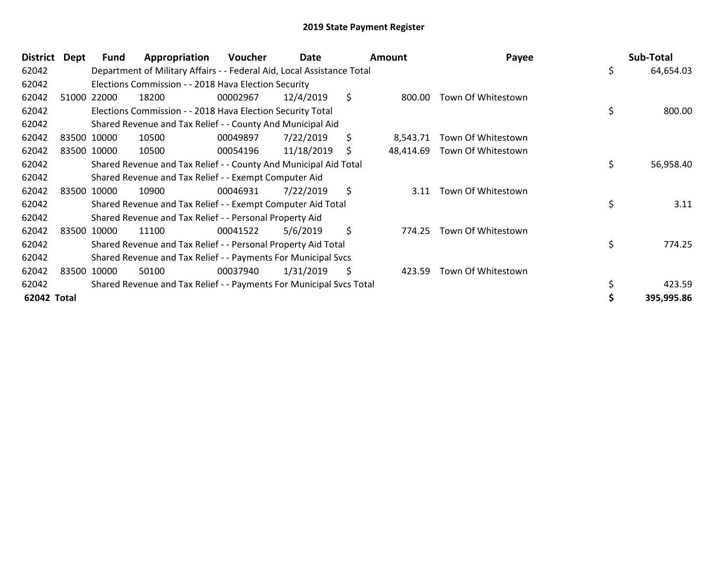| <b>District</b> | Dept | Fund        | Appropriation                                                          | Voucher  | Date       | <b>Amount</b>   | Payee              | Sub-Total       |
|-----------------|------|-------------|------------------------------------------------------------------------|----------|------------|-----------------|--------------------|-----------------|
| 62042           |      |             | Department of Military Affairs - - Federal Aid, Local Assistance Total |          |            |                 |                    | \$<br>64,654.03 |
| 62042           |      |             | Elections Commission - - 2018 Hava Election Security                   |          |            |                 |                    |                 |
| 62042           |      | 51000 22000 | 18200                                                                  | 00002967 | 12/4/2019  | \$<br>800.00    | Town Of Whitestown |                 |
| 62042           |      |             | Elections Commission - - 2018 Hava Election Security Total             |          |            |                 |                    | \$<br>800.00    |
| 62042           |      |             | Shared Revenue and Tax Relief - - County And Municipal Aid             |          |            |                 |                    |                 |
| 62042           |      | 83500 10000 | 10500                                                                  | 00049897 | 7/22/2019  | \$<br>8,543.71  | Town Of Whitestown |                 |
| 62042           |      | 83500 10000 | 10500                                                                  | 00054196 | 11/18/2019 | \$<br>48,414.69 | Town Of Whitestown |                 |
| 62042           |      |             | Shared Revenue and Tax Relief - - County And Municipal Aid Total       |          |            |                 |                    | \$<br>56,958.40 |
| 62042           |      |             | Shared Revenue and Tax Relief - - Exempt Computer Aid                  |          |            |                 |                    |                 |
| 62042           |      | 83500 10000 | 10900                                                                  | 00046931 | 7/22/2019  | \$<br>3.11      | Town Of Whitestown |                 |
| 62042           |      |             | Shared Revenue and Tax Relief - - Exempt Computer Aid Total            |          |            |                 |                    | \$<br>3.11      |
| 62042           |      |             | Shared Revenue and Tax Relief - - Personal Property Aid                |          |            |                 |                    |                 |
| 62042           |      | 83500 10000 | 11100                                                                  | 00041522 | 5/6/2019   | \$<br>774.25    | Town Of Whitestown |                 |
| 62042           |      |             | Shared Revenue and Tax Relief - - Personal Property Aid Total          |          |            |                 |                    | \$<br>774.25    |
| 62042           |      |             | Shared Revenue and Tax Relief - - Payments For Municipal Svcs          |          |            |                 |                    |                 |
| 62042           |      | 83500 10000 | 50100                                                                  | 00037940 | 1/31/2019  | \$<br>423.59    | Town Of Whitestown |                 |
| 62042           |      |             | Shared Revenue and Tax Relief - - Payments For Municipal Svcs Total    |          |            |                 |                    | \$<br>423.59    |
| 62042 Total     |      |             |                                                                        |          |            |                 |                    | 395,995.86      |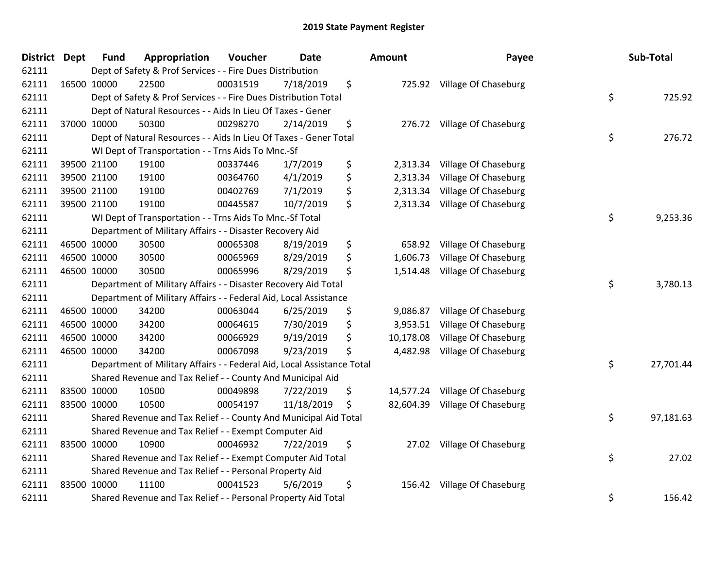| <b>District Dept</b> | <b>Fund</b> | Appropriation                                                          | Voucher  | <b>Date</b> | Amount          | Payee                       | Sub-Total       |
|----------------------|-------------|------------------------------------------------------------------------|----------|-------------|-----------------|-----------------------------|-----------------|
| 62111                |             | Dept of Safety & Prof Services - - Fire Dues Distribution              |          |             |                 |                             |                 |
| 62111                | 16500 10000 | 22500                                                                  | 00031519 | 7/18/2019   | \$              | 725.92 Village Of Chaseburg |                 |
| 62111                |             | Dept of Safety & Prof Services - - Fire Dues Distribution Total        |          |             |                 |                             | \$<br>725.92    |
| 62111                |             | Dept of Natural Resources - - Aids In Lieu Of Taxes - Gener            |          |             |                 |                             |                 |
| 62111                | 37000 10000 | 50300                                                                  | 00298270 | 2/14/2019   | \$<br>276.72    | Village Of Chaseburg        |                 |
| 62111                |             | Dept of Natural Resources - - Aids In Lieu Of Taxes - Gener Total      |          |             |                 |                             | \$<br>276.72    |
| 62111                |             | WI Dept of Transportation - - Trns Aids To Mnc.-Sf                     |          |             |                 |                             |                 |
| 62111                | 39500 21100 | 19100                                                                  | 00337446 | 1/7/2019    | \$<br>2,313.34  | Village Of Chaseburg        |                 |
| 62111                | 39500 21100 | 19100                                                                  | 00364760 | 4/1/2019    | \$<br>2,313.34  | Village Of Chaseburg        |                 |
| 62111                | 39500 21100 | 19100                                                                  | 00402769 | 7/1/2019    | \$<br>2,313.34  | Village Of Chaseburg        |                 |
| 62111                | 39500 21100 | 19100                                                                  | 00445587 | 10/7/2019   | \$<br>2,313.34  | Village Of Chaseburg        |                 |
| 62111                |             | WI Dept of Transportation - - Trns Aids To Mnc.-Sf Total               |          |             |                 |                             | \$<br>9,253.36  |
| 62111                |             | Department of Military Affairs - - Disaster Recovery Aid               |          |             |                 |                             |                 |
| 62111                | 46500 10000 | 30500                                                                  | 00065308 | 8/19/2019   | \$<br>658.92    | Village Of Chaseburg        |                 |
| 62111                | 46500 10000 | 30500                                                                  | 00065969 | 8/29/2019   | \$<br>1,606.73  | Village Of Chaseburg        |                 |
| 62111                | 46500 10000 | 30500                                                                  | 00065996 | 8/29/2019   | \$<br>1,514.48  | Village Of Chaseburg        |                 |
| 62111                |             | Department of Military Affairs - - Disaster Recovery Aid Total         |          |             |                 |                             | \$<br>3,780.13  |
| 62111                |             | Department of Military Affairs - - Federal Aid, Local Assistance       |          |             |                 |                             |                 |
| 62111                | 46500 10000 | 34200                                                                  | 00063044 | 6/25/2019   | \$<br>9,086.87  | Village Of Chaseburg        |                 |
| 62111                | 46500 10000 | 34200                                                                  | 00064615 | 7/30/2019   | \$<br>3,953.51  | Village Of Chaseburg        |                 |
| 62111                | 46500 10000 | 34200                                                                  | 00066929 | 9/19/2019   | \$<br>10,178.08 | Village Of Chaseburg        |                 |
| 62111                | 46500 10000 | 34200                                                                  | 00067098 | 9/23/2019   | \$<br>4,482.98  | Village Of Chaseburg        |                 |
| 62111                |             | Department of Military Affairs - - Federal Aid, Local Assistance Total |          |             |                 |                             | \$<br>27,701.44 |
| 62111                |             | Shared Revenue and Tax Relief - - County And Municipal Aid             |          |             |                 |                             |                 |
| 62111                | 83500 10000 | 10500                                                                  | 00049898 | 7/22/2019   | \$<br>14,577.24 | Village Of Chaseburg        |                 |
| 62111                | 83500 10000 | 10500                                                                  | 00054197 | 11/18/2019  | \$<br>82,604.39 | Village Of Chaseburg        |                 |
| 62111                |             | Shared Revenue and Tax Relief - - County And Municipal Aid Total       |          |             |                 |                             | \$<br>97,181.63 |
| 62111                |             | Shared Revenue and Tax Relief - - Exempt Computer Aid                  |          |             |                 |                             |                 |
| 62111                | 83500 10000 | 10900                                                                  | 00046932 | 7/22/2019   | \$<br>27.02     | Village Of Chaseburg        |                 |
| 62111                |             | Shared Revenue and Tax Relief - - Exempt Computer Aid Total            |          |             |                 |                             | \$<br>27.02     |
| 62111                |             | Shared Revenue and Tax Relief - - Personal Property Aid                |          |             |                 |                             |                 |
| 62111                | 83500 10000 | 11100                                                                  | 00041523 | 5/6/2019    | \$<br>156.42    | Village Of Chaseburg        |                 |
| 62111                |             | Shared Revenue and Tax Relief - - Personal Property Aid Total          |          |             |                 |                             | \$<br>156.42    |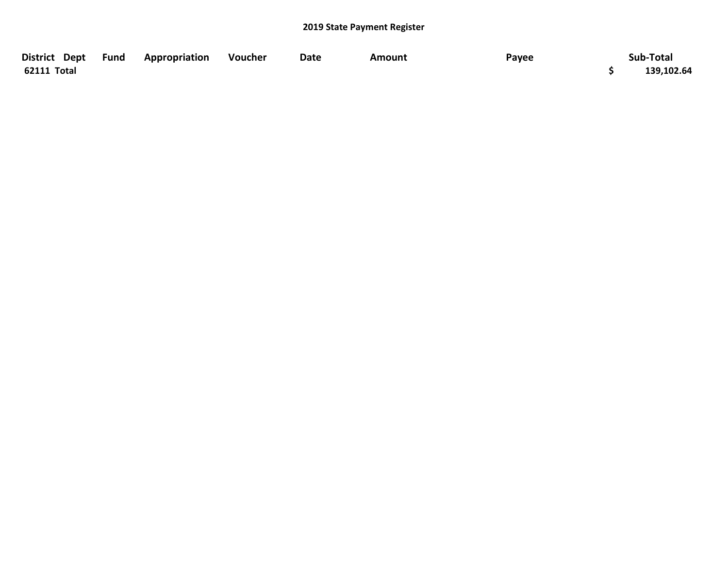| District Dept Fund | <b>Appropriation</b> | Voucher | Date | Amount | Payee | Sub-Total  |
|--------------------|----------------------|---------|------|--------|-------|------------|
| 62111 Total        |                      |         |      |        |       | 139,102.64 |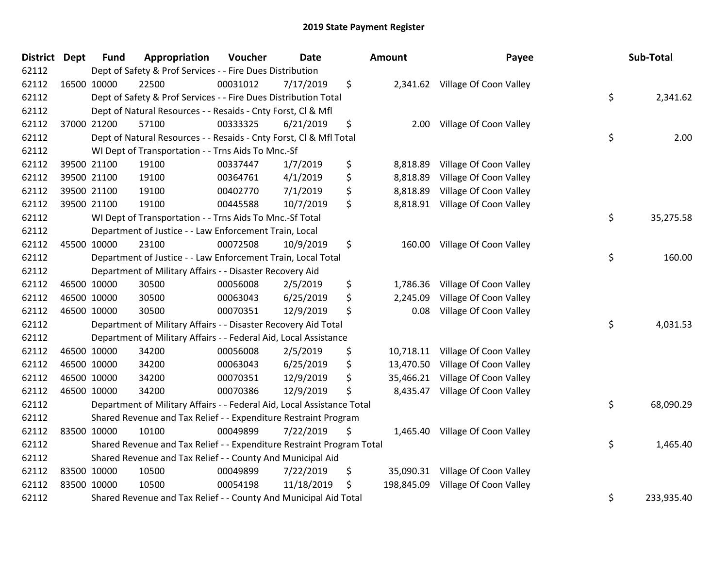| District Dept | <b>Fund</b> | Appropriation                                                          | Voucher  | <b>Date</b> | Amount           | Payee                            | Sub-Total        |
|---------------|-------------|------------------------------------------------------------------------|----------|-------------|------------------|----------------------------------|------------------|
| 62112         |             | Dept of Safety & Prof Services - - Fire Dues Distribution              |          |             |                  |                                  |                  |
| 62112         | 16500 10000 | 22500                                                                  | 00031012 | 7/17/2019   | \$               | 2,341.62 Village Of Coon Valley  |                  |
| 62112         |             | Dept of Safety & Prof Services - - Fire Dues Distribution Total        |          |             |                  |                                  | \$<br>2,341.62   |
| 62112         |             | Dept of Natural Resources - - Resaids - Cnty Forst, CI & Mfl           |          |             |                  |                                  |                  |
| 62112         | 37000 21200 | 57100                                                                  | 00333325 | 6/21/2019   | \$<br>2.00       | Village Of Coon Valley           |                  |
| 62112         |             | Dept of Natural Resources - - Resaids - Cnty Forst, Cl & Mfl Total     |          |             |                  |                                  | \$<br>2.00       |
| 62112         |             | WI Dept of Transportation - - Trns Aids To Mnc.-Sf                     |          |             |                  |                                  |                  |
| 62112         | 39500 21100 | 19100                                                                  | 00337447 | 1/7/2019    | \$<br>8,818.89   | Village Of Coon Valley           |                  |
| 62112         | 39500 21100 | 19100                                                                  | 00364761 | 4/1/2019    | \$<br>8,818.89   | Village Of Coon Valley           |                  |
| 62112         | 39500 21100 | 19100                                                                  | 00402770 | 7/1/2019    | \$<br>8,818.89   | Village Of Coon Valley           |                  |
| 62112         | 39500 21100 | 19100                                                                  | 00445588 | 10/7/2019   | \$<br>8,818.91   | Village Of Coon Valley           |                  |
| 62112         |             | WI Dept of Transportation - - Trns Aids To Mnc.-Sf Total               |          |             |                  |                                  | \$<br>35,275.58  |
| 62112         |             | Department of Justice - - Law Enforcement Train, Local                 |          |             |                  |                                  |                  |
| 62112         | 45500 10000 | 23100                                                                  | 00072508 | 10/9/2019   | \$<br>160.00     | Village Of Coon Valley           |                  |
| 62112         |             | Department of Justice - - Law Enforcement Train, Local Total           |          |             |                  |                                  | \$<br>160.00     |
| 62112         |             | Department of Military Affairs - - Disaster Recovery Aid               |          |             |                  |                                  |                  |
| 62112         | 46500 10000 | 30500                                                                  | 00056008 | 2/5/2019    | \$<br>1,786.36   | Village Of Coon Valley           |                  |
| 62112         | 46500 10000 | 30500                                                                  | 00063043 | 6/25/2019   | \$<br>2,245.09   | Village Of Coon Valley           |                  |
| 62112         | 46500 10000 | 30500                                                                  | 00070351 | 12/9/2019   | \$<br>0.08       | Village Of Coon Valley           |                  |
| 62112         |             | Department of Military Affairs - - Disaster Recovery Aid Total         |          |             |                  |                                  | \$<br>4,031.53   |
| 62112         |             | Department of Military Affairs - - Federal Aid, Local Assistance       |          |             |                  |                                  |                  |
| 62112         | 46500 10000 | 34200                                                                  | 00056008 | 2/5/2019    | \$<br>10,718.11  | Village Of Coon Valley           |                  |
| 62112         | 46500 10000 | 34200                                                                  | 00063043 | 6/25/2019   | \$<br>13,470.50  | Village Of Coon Valley           |                  |
| 62112         | 46500 10000 | 34200                                                                  | 00070351 | 12/9/2019   | \$<br>35,466.21  | Village Of Coon Valley           |                  |
| 62112         | 46500 10000 | 34200                                                                  | 00070386 | 12/9/2019   | \$<br>8,435.47   | Village Of Coon Valley           |                  |
| 62112         |             | Department of Military Affairs - - Federal Aid, Local Assistance Total |          |             |                  |                                  | \$<br>68,090.29  |
| 62112         |             | Shared Revenue and Tax Relief - - Expenditure Restraint Program        |          |             |                  |                                  |                  |
| 62112         | 83500 10000 | 10100                                                                  | 00049899 | 7/22/2019   | \$<br>1,465.40   | Village Of Coon Valley           |                  |
| 62112         |             | Shared Revenue and Tax Relief - - Expenditure Restraint Program Total  |          |             |                  |                                  | \$<br>1,465.40   |
| 62112         |             | Shared Revenue and Tax Relief - - County And Municipal Aid             |          |             |                  |                                  |                  |
| 62112         | 83500 10000 | 10500                                                                  | 00049899 | 7/22/2019   | \$               | 35,090.31 Village Of Coon Valley |                  |
| 62112         | 83500 10000 | 10500                                                                  | 00054198 | 11/18/2019  | \$<br>198,845.09 | Village Of Coon Valley           |                  |
| 62112         |             | Shared Revenue and Tax Relief - - County And Municipal Aid Total       |          |             |                  |                                  | \$<br>233,935.40 |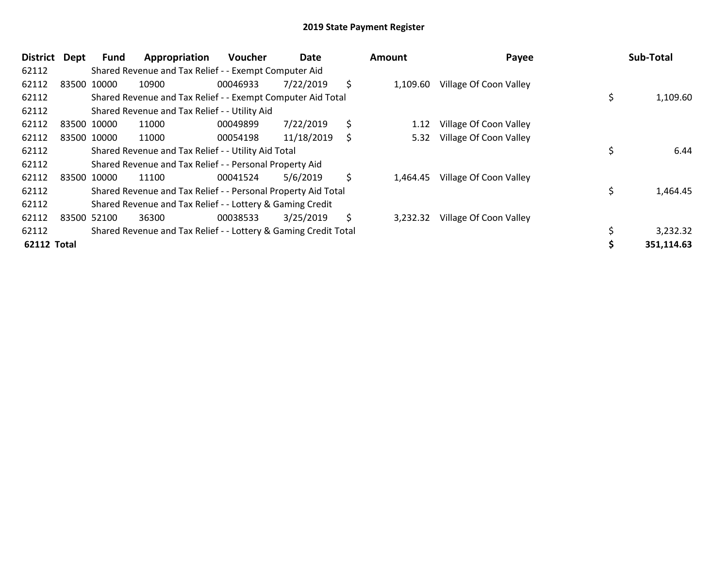| <b>District</b>    | <b>Dept</b> | <b>Fund</b> | Appropriation                                                   | <b>Voucher</b> | Date       |    | <b>Amount</b> | Payee                  | Sub-Total      |
|--------------------|-------------|-------------|-----------------------------------------------------------------|----------------|------------|----|---------------|------------------------|----------------|
| 62112              |             |             | Shared Revenue and Tax Relief - - Exempt Computer Aid           |                |            |    |               |                        |                |
| 62112              |             | 83500 10000 | 10900                                                           | 00046933       | 7/22/2019  | \$ | 1,109.60      | Village Of Coon Valley |                |
| 62112              |             |             | Shared Revenue and Tax Relief - - Exempt Computer Aid Total     |                |            |    |               |                        | \$<br>1,109.60 |
| 62112              |             |             | Shared Revenue and Tax Relief - - Utility Aid                   |                |            |    |               |                        |                |
| 62112              |             | 83500 10000 | 11000                                                           | 00049899       | 7/22/2019  | \$ | 1.12          | Village Of Coon Valley |                |
| 62112              |             | 83500 10000 | 11000                                                           | 00054198       | 11/18/2019 | S  | 5.32          | Village Of Coon Valley |                |
| 62112              |             |             | Shared Revenue and Tax Relief - - Utility Aid Total             |                |            |    |               |                        | 6.44           |
| 62112              |             |             | Shared Revenue and Tax Relief - - Personal Property Aid         |                |            |    |               |                        |                |
| 62112              |             | 83500 10000 | 11100                                                           | 00041524       | 5/6/2019   | \$ | 1,464.45      | Village Of Coon Valley |                |
| 62112              |             |             | Shared Revenue and Tax Relief - - Personal Property Aid Total   |                |            |    |               |                        | \$<br>1,464.45 |
| 62112              |             |             | Shared Revenue and Tax Relief - - Lottery & Gaming Credit       |                |            |    |               |                        |                |
| 62112              |             | 83500 52100 | 36300                                                           | 00038533       | 3/25/2019  | \$ | 3,232.32      | Village Of Coon Valley |                |
| 62112              |             |             | Shared Revenue and Tax Relief - - Lottery & Gaming Credit Total |                |            |    |               |                        | 3,232.32       |
| <b>62112 Total</b> |             |             |                                                                 |                |            |    |               |                        | 351,114.63     |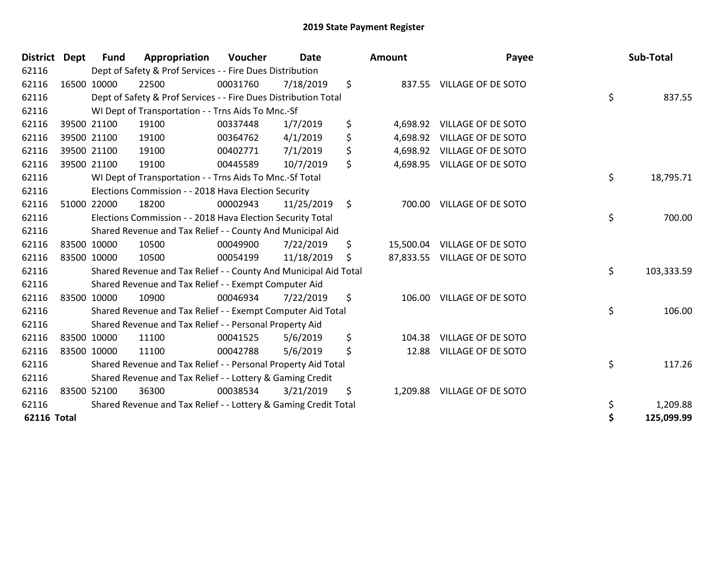| <b>District</b>    | <b>Dept</b> | <b>Fund</b> | Appropriation                                                    | Voucher  | <b>Date</b> | Amount          | Payee                        | Sub-Total        |
|--------------------|-------------|-------------|------------------------------------------------------------------|----------|-------------|-----------------|------------------------------|------------------|
| 62116              |             |             | Dept of Safety & Prof Services - - Fire Dues Distribution        |          |             |                 |                              |                  |
| 62116              |             | 16500 10000 | 22500                                                            | 00031760 | 7/18/2019   | \$              | 837.55 VILLAGE OF DE SOTO    |                  |
| 62116              |             |             | Dept of Safety & Prof Services - - Fire Dues Distribution Total  |          |             |                 |                              | \$<br>837.55     |
| 62116              |             |             | WI Dept of Transportation - - Trns Aids To Mnc.-Sf               |          |             |                 |                              |                  |
| 62116              |             | 39500 21100 | 19100                                                            | 00337448 | 1/7/2019    | \$<br>4,698.92  | <b>VILLAGE OF DE SOTO</b>    |                  |
| 62116              |             | 39500 21100 | 19100                                                            | 00364762 | 4/1/2019    | \$              | 4,698.92 VILLAGE OF DE SOTO  |                  |
| 62116              |             | 39500 21100 | 19100                                                            | 00402771 | 7/1/2019    | \$              | 4,698.92 VILLAGE OF DE SOTO  |                  |
| 62116              |             | 39500 21100 | 19100                                                            | 00445589 | 10/7/2019   | \$              | 4,698.95 VILLAGE OF DE SOTO  |                  |
| 62116              |             |             | WI Dept of Transportation - - Trns Aids To Mnc.-Sf Total         |          |             |                 |                              | \$<br>18,795.71  |
| 62116              |             |             | Elections Commission - - 2018 Hava Election Security             |          |             |                 |                              |                  |
| 62116              |             | 51000 22000 | 18200                                                            | 00002943 | 11/25/2019  | \$<br>700.00    | <b>VILLAGE OF DE SOTO</b>    |                  |
| 62116              |             |             | Elections Commission - - 2018 Hava Election Security Total       |          |             |                 |                              | \$<br>700.00     |
| 62116              |             |             | Shared Revenue and Tax Relief - - County And Municipal Aid       |          |             |                 |                              |                  |
| 62116              |             | 83500 10000 | 10500                                                            | 00049900 | 7/22/2019   | \$<br>15,500.04 | <b>VILLAGE OF DE SOTO</b>    |                  |
| 62116              |             | 83500 10000 | 10500                                                            | 00054199 | 11/18/2019  | \$              | 87,833.55 VILLAGE OF DE SOTO |                  |
| 62116              |             |             | Shared Revenue and Tax Relief - - County And Municipal Aid Total |          |             |                 |                              | \$<br>103,333.59 |
| 62116              |             |             | Shared Revenue and Tax Relief - - Exempt Computer Aid            |          |             |                 |                              |                  |
| 62116              |             | 83500 10000 | 10900                                                            | 00046934 | 7/22/2019   | \$<br>106.00    | <b>VILLAGE OF DE SOTO</b>    |                  |
| 62116              |             |             | Shared Revenue and Tax Relief - - Exempt Computer Aid Total      |          |             |                 |                              | \$<br>106.00     |
| 62116              |             |             | Shared Revenue and Tax Relief - - Personal Property Aid          |          |             |                 |                              |                  |
| 62116              |             | 83500 10000 | 11100                                                            | 00041525 | 5/6/2019    | \$<br>104.38    | <b>VILLAGE OF DE SOTO</b>    |                  |
| 62116              |             | 83500 10000 | 11100                                                            | 00042788 | 5/6/2019    | \$<br>12.88     | VILLAGE OF DE SOTO           |                  |
| 62116              |             |             | Shared Revenue and Tax Relief - - Personal Property Aid Total    |          |             |                 |                              | \$<br>117.26     |
| 62116              |             |             | Shared Revenue and Tax Relief - - Lottery & Gaming Credit        |          |             |                 |                              |                  |
| 62116              |             | 83500 52100 | 36300                                                            | 00038534 | 3/21/2019   | \$<br>1,209.88  | <b>VILLAGE OF DE SOTO</b>    |                  |
| 62116              |             |             | Shared Revenue and Tax Relief - - Lottery & Gaming Credit Total  |          |             |                 |                              | \$<br>1,209.88   |
| <b>62116 Total</b> |             |             |                                                                  |          |             |                 |                              | \$<br>125,099.99 |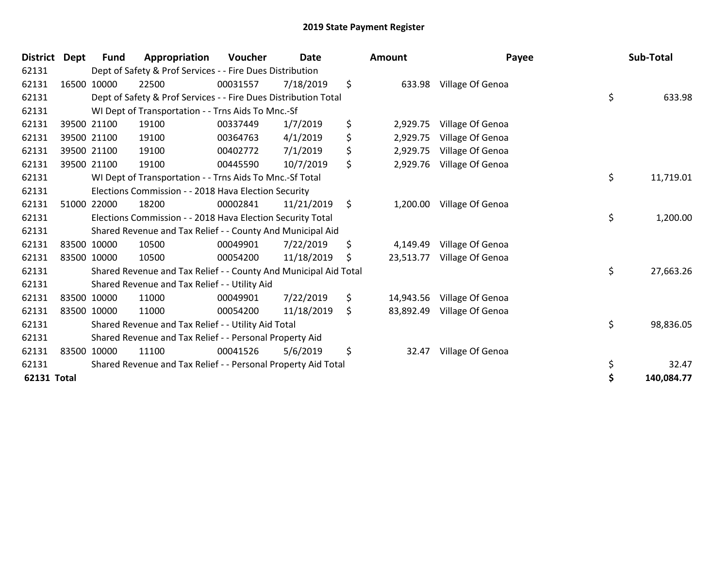| <b>District</b> | Dept | <b>Fund</b> | Appropriation                                                    | <b>Voucher</b> | <b>Date</b> | <b>Amount</b>   | Payee            | Sub-Total       |
|-----------------|------|-------------|------------------------------------------------------------------|----------------|-------------|-----------------|------------------|-----------------|
| 62131           |      |             | Dept of Safety & Prof Services - - Fire Dues Distribution        |                |             |                 |                  |                 |
| 62131           |      | 16500 10000 | 22500                                                            | 00031557       | 7/18/2019   | \$<br>633.98    | Village Of Genoa |                 |
| 62131           |      |             | Dept of Safety & Prof Services - - Fire Dues Distribution Total  |                |             |                 |                  | \$<br>633.98    |
| 62131           |      |             | WI Dept of Transportation - - Trns Aids To Mnc.-Sf               |                |             |                 |                  |                 |
| 62131           |      | 39500 21100 | 19100                                                            | 00337449       | 1/7/2019    | \$<br>2,929.75  | Village Of Genoa |                 |
| 62131           |      | 39500 21100 | 19100                                                            | 00364763       | 4/1/2019    | \$<br>2,929.75  | Village Of Genoa |                 |
| 62131           |      | 39500 21100 | 19100                                                            | 00402772       | 7/1/2019    | \$<br>2,929.75  | Village Of Genoa |                 |
| 62131           |      | 39500 21100 | 19100                                                            | 00445590       | 10/7/2019   | \$<br>2,929.76  | Village Of Genoa |                 |
| 62131           |      |             | WI Dept of Transportation - - Trns Aids To Mnc.-Sf Total         |                |             |                 |                  | \$<br>11,719.01 |
| 62131           |      |             | Elections Commission - - 2018 Hava Election Security             |                |             |                 |                  |                 |
| 62131           |      | 51000 22000 | 18200                                                            | 00002841       | 11/21/2019  | \$<br>1,200.00  | Village Of Genoa |                 |
| 62131           |      |             | Elections Commission - - 2018 Hava Election Security Total       |                |             |                 |                  | \$<br>1,200.00  |
| 62131           |      |             | Shared Revenue and Tax Relief - - County And Municipal Aid       |                |             |                 |                  |                 |
| 62131           |      | 83500 10000 | 10500                                                            | 00049901       | 7/22/2019   | \$<br>4,149.49  | Village Of Genoa |                 |
| 62131           |      | 83500 10000 | 10500                                                            | 00054200       | 11/18/2019  | \$<br>23,513.77 | Village Of Genoa |                 |
| 62131           |      |             | Shared Revenue and Tax Relief - - County And Municipal Aid Total |                |             |                 |                  | \$<br>27,663.26 |
| 62131           |      |             | Shared Revenue and Tax Relief - - Utility Aid                    |                |             |                 |                  |                 |
| 62131           |      | 83500 10000 | 11000                                                            | 00049901       | 7/22/2019   | \$<br>14,943.56 | Village Of Genoa |                 |
| 62131           |      | 83500 10000 | 11000                                                            | 00054200       | 11/18/2019  | \$<br>83,892.49 | Village Of Genoa |                 |
| 62131           |      |             | Shared Revenue and Tax Relief - - Utility Aid Total              |                |             |                 |                  | \$<br>98,836.05 |
| 62131           |      |             | Shared Revenue and Tax Relief - - Personal Property Aid          |                |             |                 |                  |                 |
| 62131           |      | 83500 10000 | 11100                                                            | 00041526       | 5/6/2019    | \$<br>32.47     | Village Of Genoa |                 |
| 62131           |      |             | Shared Revenue and Tax Relief - - Personal Property Aid Total    |                |             |                 |                  | \$<br>32.47     |
| 62131 Total     |      |             |                                                                  |                |             |                 |                  | 140,084.77      |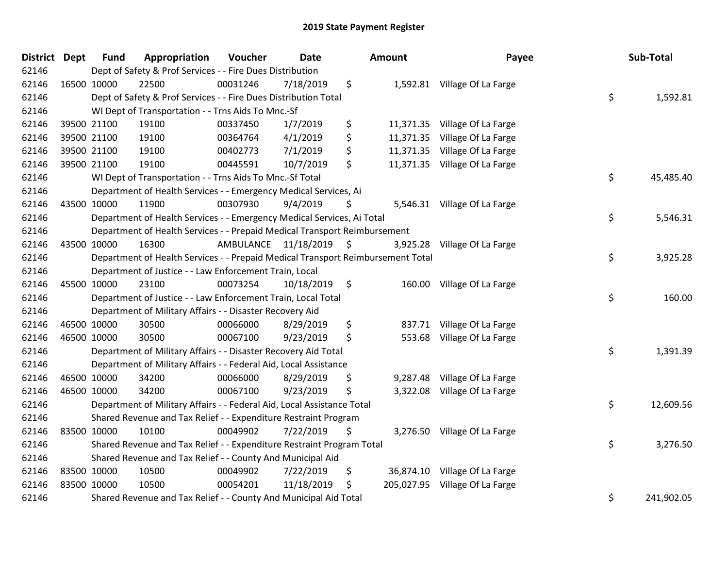| <b>District Dept</b> |             | <b>Fund</b> | Appropriation                                                                   | Voucher   | <b>Date</b>   | Amount          | Payee                          | Sub-Total        |
|----------------------|-------------|-------------|---------------------------------------------------------------------------------|-----------|---------------|-----------------|--------------------------------|------------------|
| 62146                |             |             | Dept of Safety & Prof Services - - Fire Dues Distribution                       |           |               |                 |                                |                  |
| 62146                |             | 16500 10000 | 22500                                                                           | 00031246  | 7/18/2019     | \$              | 1,592.81 Village Of La Farge   |                  |
| 62146                |             |             | Dept of Safety & Prof Services - - Fire Dues Distribution Total                 |           |               |                 |                                | \$<br>1,592.81   |
| 62146                |             |             | WI Dept of Transportation - - Trns Aids To Mnc.-Sf                              |           |               |                 |                                |                  |
| 62146                |             | 39500 21100 | 19100                                                                           | 00337450  | 1/7/2019      | \$              | 11,371.35 Village Of La Farge  |                  |
| 62146                |             | 39500 21100 | 19100                                                                           | 00364764  | 4/1/2019      | \$<br>11,371.35 | Village Of La Farge            |                  |
| 62146                |             | 39500 21100 | 19100                                                                           | 00402773  | 7/1/2019      | \$              | 11,371.35 Village Of La Farge  |                  |
| 62146                |             | 39500 21100 | 19100                                                                           | 00445591  | 10/7/2019     | \$              | 11,371.35 Village Of La Farge  |                  |
| 62146                |             |             | WI Dept of Transportation - - Trns Aids To Mnc.-Sf Total                        |           |               |                 |                                | \$<br>45,485.40  |
| 62146                |             |             | Department of Health Services - - Emergency Medical Services, Ai                |           |               |                 |                                |                  |
| 62146                |             | 43500 10000 | 11900                                                                           | 00307930  | 9/4/2019      | \$              | 5,546.31 Village Of La Farge   |                  |
| 62146                |             |             | Department of Health Services - - Emergency Medical Services, Ai Total          |           |               |                 |                                | \$<br>5,546.31   |
| 62146                |             |             | Department of Health Services - - Prepaid Medical Transport Reimbursement       |           |               |                 |                                |                  |
| 62146                |             | 43500 10000 | 16300                                                                           | AMBULANCE | 11/18/2019 \$ |                 | 3,925.28 Village Of La Farge   |                  |
| 62146                |             |             | Department of Health Services - - Prepaid Medical Transport Reimbursement Total |           |               |                 |                                | \$<br>3,925.28   |
| 62146                |             |             | Department of Justice - - Law Enforcement Train, Local                          |           |               |                 |                                |                  |
| 62146                |             | 45500 10000 | 23100                                                                           | 00073254  | 10/18/2019    | \$<br>160.00    | Village Of La Farge            |                  |
| 62146                |             |             | Department of Justice - - Law Enforcement Train, Local Total                    |           |               |                 |                                | \$<br>160.00     |
| 62146                |             |             | Department of Military Affairs - - Disaster Recovery Aid                        |           |               |                 |                                |                  |
| 62146                |             | 46500 10000 | 30500                                                                           | 00066000  | 8/29/2019     | \$<br>837.71    | Village Of La Farge            |                  |
| 62146                |             | 46500 10000 | 30500                                                                           | 00067100  | 9/23/2019     | \$<br>553.68    | Village Of La Farge            |                  |
| 62146                |             |             | Department of Military Affairs - - Disaster Recovery Aid Total                  |           |               |                 |                                | \$<br>1,391.39   |
| 62146                |             |             | Department of Military Affairs - - Federal Aid, Local Assistance                |           |               |                 |                                |                  |
| 62146                |             | 46500 10000 | 34200                                                                           | 00066000  | 8/29/2019     | \$              | 9,287.48 Village Of La Farge   |                  |
| 62146                | 46500 10000 |             | 34200                                                                           | 00067100  | 9/23/2019     | \$<br>3,322.08  | Village Of La Farge            |                  |
| 62146                |             |             | Department of Military Affairs - - Federal Aid, Local Assistance Total          |           |               |                 |                                | \$<br>12,609.56  |
| 62146                |             |             | Shared Revenue and Tax Relief - - Expenditure Restraint Program                 |           |               |                 |                                |                  |
| 62146                | 83500 10000 |             | 10100                                                                           | 00049902  | 7/22/2019     | \$              | 3,276.50 Village Of La Farge   |                  |
| 62146                |             |             | Shared Revenue and Tax Relief - - Expenditure Restraint Program Total           |           |               |                 |                                | \$<br>3,276.50   |
| 62146                |             |             | Shared Revenue and Tax Relief - - County And Municipal Aid                      |           |               |                 |                                |                  |
| 62146                | 83500 10000 |             | 10500                                                                           | 00049902  | 7/22/2019     | \$              | 36,874.10 Village Of La Farge  |                  |
| 62146                | 83500 10000 |             | 10500                                                                           | 00054201  | 11/18/2019    | \$              | 205,027.95 Village Of La Farge |                  |
| 62146                |             |             | Shared Revenue and Tax Relief - - County And Municipal Aid Total                |           |               |                 |                                | \$<br>241,902.05 |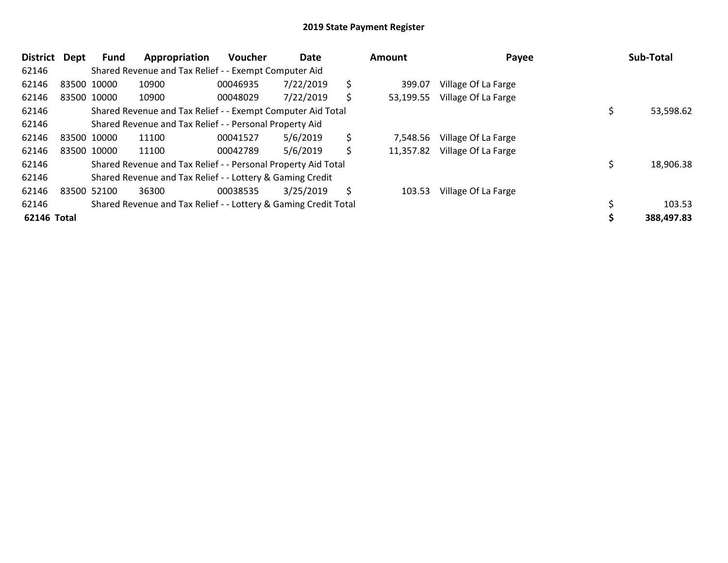| <b>District</b> | <b>Dept</b> | Fund        | Appropriation                                                   | <b>Voucher</b> | Date      | Amount          | Payee               | Sub-Total  |
|-----------------|-------------|-------------|-----------------------------------------------------------------|----------------|-----------|-----------------|---------------------|------------|
| 62146           |             |             | Shared Revenue and Tax Relief - - Exempt Computer Aid           |                |           |                 |                     |            |
| 62146           |             | 83500 10000 | 10900                                                           | 00046935       | 7/22/2019 | \$<br>399.07    | Village Of La Farge |            |
| 62146           |             | 83500 10000 | 10900                                                           | 00048029       | 7/22/2019 | \$<br>53,199.55 | Village Of La Farge |            |
| 62146           |             |             | Shared Revenue and Tax Relief - - Exempt Computer Aid Total     |                |           |                 |                     | 53,598.62  |
| 62146           |             |             | Shared Revenue and Tax Relief - - Personal Property Aid         |                |           |                 |                     |            |
| 62146           |             | 83500 10000 | 11100                                                           | 00041527       | 5/6/2019  | \$<br>7,548.56  | Village Of La Farge |            |
| 62146           |             | 83500 10000 | 11100                                                           | 00042789       | 5/6/2019  | \$<br>11,357.82 | Village Of La Farge |            |
| 62146           |             |             | Shared Revenue and Tax Relief - - Personal Property Aid Total   |                |           |                 |                     | 18,906.38  |
| 62146           |             |             | Shared Revenue and Tax Relief - - Lottery & Gaming Credit       |                |           |                 |                     |            |
| 62146           |             | 83500 52100 | 36300                                                           | 00038535       | 3/25/2019 | \$<br>103.53    | Village Of La Farge |            |
| 62146           |             |             | Shared Revenue and Tax Relief - - Lottery & Gaming Credit Total |                |           |                 |                     | 103.53     |
| 62146 Total     |             |             |                                                                 |                |           |                 |                     | 388,497.83 |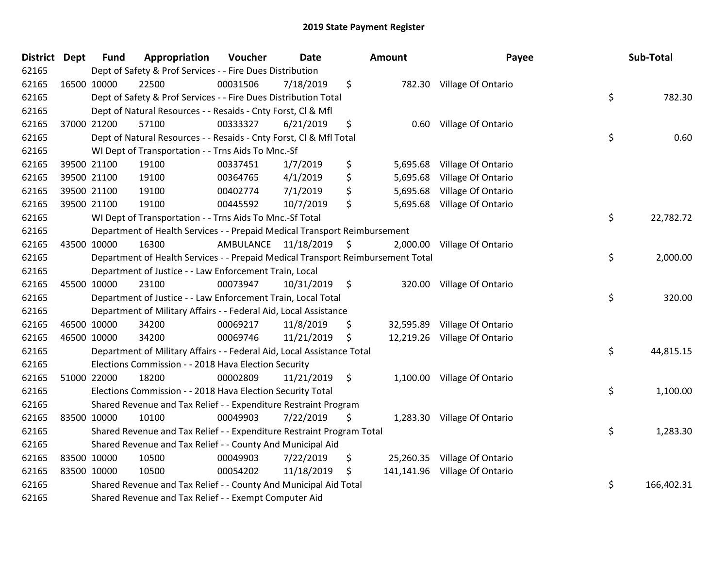| District Dept | <b>Fund</b> | Appropriation                                                                   | Voucher   | <b>Date</b>     |                     | <b>Amount</b> | Payee                         | Sub-Total        |
|---------------|-------------|---------------------------------------------------------------------------------|-----------|-----------------|---------------------|---------------|-------------------------------|------------------|
| 62165         |             | Dept of Safety & Prof Services - - Fire Dues Distribution                       |           |                 |                     |               |                               |                  |
| 62165         | 16500 10000 | 22500                                                                           | 00031506  | 7/18/2019       | \$                  |               | 782.30 Village Of Ontario     |                  |
| 62165         |             | Dept of Safety & Prof Services - - Fire Dues Distribution Total                 |           |                 |                     |               |                               | \$<br>782.30     |
| 62165         |             | Dept of Natural Resources - - Resaids - Cnty Forst, Cl & Mfl                    |           |                 |                     |               |                               |                  |
| 62165         | 37000 21200 | 57100                                                                           | 00333327  | 6/21/2019       | \$                  | 0.60          | Village Of Ontario            |                  |
| 62165         |             | Dept of Natural Resources - - Resaids - Cnty Forst, Cl & Mfl Total              |           |                 |                     |               |                               | \$<br>0.60       |
| 62165         |             | WI Dept of Transportation - - Trns Aids To Mnc.-Sf                              |           |                 |                     |               |                               |                  |
| 62165         | 39500 21100 | 19100                                                                           | 00337451  | 1/7/2019        | \$                  | 5,695.68      | Village Of Ontario            |                  |
| 62165         | 39500 21100 | 19100                                                                           | 00364765  | 4/1/2019        | \$                  | 5,695.68      | Village Of Ontario            |                  |
| 62165         | 39500 21100 | 19100                                                                           | 00402774  | 7/1/2019        | \$                  | 5,695.68      | Village Of Ontario            |                  |
| 62165         | 39500 21100 | 19100                                                                           | 00445592  | 10/7/2019       | \$                  | 5,695.68      | Village Of Ontario            |                  |
| 62165         |             | WI Dept of Transportation - - Trns Aids To Mnc.-Sf Total                        |           |                 |                     |               |                               | \$<br>22,782.72  |
| 62165         |             | Department of Health Services - - Prepaid Medical Transport Reimbursement       |           |                 |                     |               |                               |                  |
| 62165         | 43500 10000 | 16300                                                                           | AMBULANCE | 11/18/2019      | $\ddot{\mathsf{s}}$ | 2,000.00      | Village Of Ontario            |                  |
| 62165         |             | Department of Health Services - - Prepaid Medical Transport Reimbursement Total |           |                 |                     |               |                               | \$<br>2,000.00   |
| 62165         |             | Department of Justice - - Law Enforcement Train, Local                          |           |                 |                     |               |                               |                  |
| 62165         | 45500 10000 | 23100                                                                           | 00073947  | $10/31/2019$ \$ |                     | 320.00        | Village Of Ontario            |                  |
| 62165         |             | Department of Justice - - Law Enforcement Train, Local Total                    |           |                 |                     |               |                               | \$<br>320.00     |
| 62165         |             | Department of Military Affairs - - Federal Aid, Local Assistance                |           |                 |                     |               |                               |                  |
| 62165         | 46500 10000 | 34200                                                                           | 00069217  | 11/8/2019       | \$                  | 32,595.89     | Village Of Ontario            |                  |
| 62165         | 46500 10000 | 34200                                                                           | 00069746  | 11/21/2019      | \$                  |               | 12,219.26 Village Of Ontario  |                  |
| 62165         |             | Department of Military Affairs - - Federal Aid, Local Assistance Total          |           |                 |                     |               |                               | \$<br>44,815.15  |
| 62165         |             | Elections Commission - - 2018 Hava Election Security                            |           |                 |                     |               |                               |                  |
| 62165         | 51000 22000 | 18200                                                                           | 00002809  | 11/21/2019      | \$                  | 1,100.00      | Village Of Ontario            |                  |
| 62165         |             | Elections Commission - - 2018 Hava Election Security Total                      |           |                 |                     |               |                               | \$<br>1,100.00   |
| 62165         |             | Shared Revenue and Tax Relief - - Expenditure Restraint Program                 |           |                 |                     |               |                               |                  |
| 62165         | 83500 10000 | 10100                                                                           | 00049903  | 7/22/2019       | \$                  |               | 1,283.30 Village Of Ontario   |                  |
| 62165         |             | Shared Revenue and Tax Relief - - Expenditure Restraint Program Total           |           |                 |                     |               |                               | \$<br>1,283.30   |
| 62165         |             | Shared Revenue and Tax Relief - - County And Municipal Aid                      |           |                 |                     |               |                               |                  |
| 62165         | 83500 10000 | 10500                                                                           | 00049903  | 7/22/2019       | \$                  |               | 25,260.35 Village Of Ontario  |                  |
| 62165         | 83500 10000 | 10500                                                                           | 00054202  | 11/18/2019      | \$                  |               | 141,141.96 Village Of Ontario |                  |
| 62165         |             | Shared Revenue and Tax Relief - - County And Municipal Aid Total                |           |                 |                     |               |                               | \$<br>166,402.31 |
| 62165         |             | Shared Revenue and Tax Relief - - Exempt Computer Aid                           |           |                 |                     |               |                               |                  |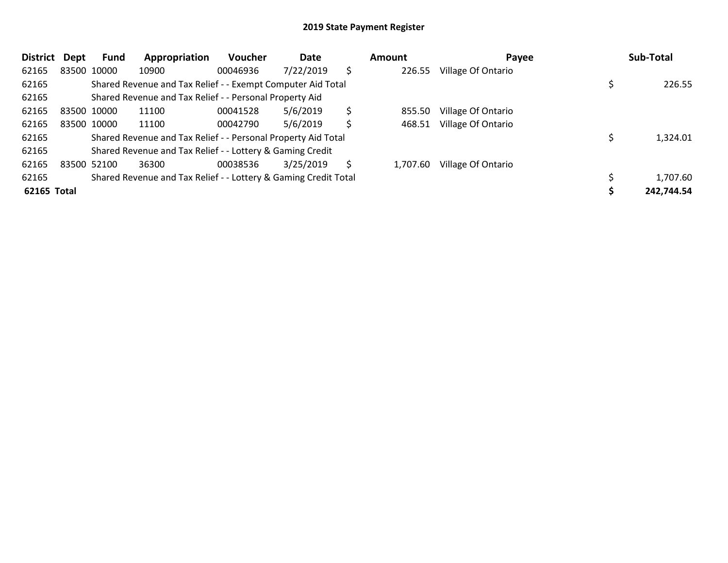| <b>District</b> | Dept | Fund        | Appropriation                                                   | <b>Voucher</b> | Date      |    | Amount   | Payee              | Sub-Total  |
|-----------------|------|-------------|-----------------------------------------------------------------|----------------|-----------|----|----------|--------------------|------------|
| 62165           |      | 83500 10000 | 10900                                                           | 00046936       | 7/22/2019 | \$ | 226.55   | Village Of Ontario |            |
| 62165           |      |             | Shared Revenue and Tax Relief - - Exempt Computer Aid Total     |                |           |    |          |                    | 226.55     |
| 62165           |      |             | Shared Revenue and Tax Relief - - Personal Property Aid         |                |           |    |          |                    |            |
| 62165           |      | 83500 10000 | 11100                                                           | 00041528       | 5/6/2019  | \$ | 855.50   | Village Of Ontario |            |
| 62165           |      | 83500 10000 | 11100                                                           | 00042790       | 5/6/2019  | \$ | 468.51   | Village Of Ontario |            |
| 62165           |      |             | Shared Revenue and Tax Relief - - Personal Property Aid Total   |                |           |    |          |                    | 1,324.01   |
| 62165           |      |             | Shared Revenue and Tax Relief - - Lottery & Gaming Credit       |                |           |    |          |                    |            |
| 62165           |      | 83500 52100 | 36300                                                           | 00038536       | 3/25/2019 | S  | 1,707.60 | Village Of Ontario |            |
| 62165           |      |             | Shared Revenue and Tax Relief - - Lottery & Gaming Credit Total |                |           |    |          |                    | 1,707.60   |
| 62165 Total     |      |             |                                                                 |                |           |    |          |                    | 242,744.54 |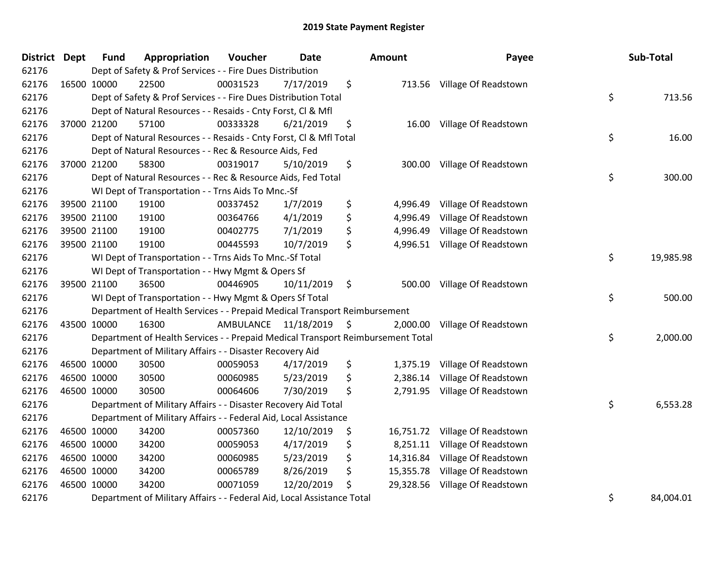| District Dept |             | <b>Fund</b> | Appropriation                                                                   | Voucher              | <b>Date</b> |      | Amount    | Payee                          | Sub-Total       |
|---------------|-------------|-------------|---------------------------------------------------------------------------------|----------------------|-------------|------|-----------|--------------------------------|-----------------|
| 62176         |             |             | Dept of Safety & Prof Services - - Fire Dues Distribution                       |                      |             |      |           |                                |                 |
| 62176         | 16500 10000 |             | 22500                                                                           | 00031523             | 7/17/2019   | \$   |           | 713.56 Village Of Readstown    |                 |
| 62176         |             |             | Dept of Safety & Prof Services - - Fire Dues Distribution Total                 |                      |             |      |           |                                | \$<br>713.56    |
| 62176         |             |             | Dept of Natural Resources - - Resaids - Cnty Forst, Cl & Mfl                    |                      |             |      |           |                                |                 |
| 62176         | 37000 21200 |             | 57100                                                                           | 00333328             | 6/21/2019   | \$   | 16.00     | Village Of Readstown           |                 |
| 62176         |             |             | Dept of Natural Resources - - Resaids - Cnty Forst, Cl & Mfl Total              |                      |             |      |           |                                | \$<br>16.00     |
| 62176         |             |             | Dept of Natural Resources - - Rec & Resource Aids, Fed                          |                      |             |      |           |                                |                 |
| 62176         | 37000 21200 |             | 58300                                                                           | 00319017             | 5/10/2019   | \$   | 300.00    | Village Of Readstown           |                 |
| 62176         |             |             | Dept of Natural Resources - - Rec & Resource Aids, Fed Total                    |                      |             |      |           |                                | \$<br>300.00    |
| 62176         |             |             | WI Dept of Transportation - - Trns Aids To Mnc.-Sf                              |                      |             |      |           |                                |                 |
| 62176         | 39500 21100 |             | 19100                                                                           | 00337452             | 1/7/2019    | \$   | 4,996.49  | Village Of Readstown           |                 |
| 62176         | 39500 21100 |             | 19100                                                                           | 00364766             | 4/1/2019    | \$   | 4,996.49  | Village Of Readstown           |                 |
| 62176         | 39500 21100 |             | 19100                                                                           | 00402775             | 7/1/2019    | \$   | 4,996.49  | Village Of Readstown           |                 |
| 62176         | 39500 21100 |             | 19100                                                                           | 00445593             | 10/7/2019   | \$   | 4,996.51  | Village Of Readstown           |                 |
| 62176         |             |             | WI Dept of Transportation - - Trns Aids To Mnc.-Sf Total                        |                      |             |      |           |                                | \$<br>19,985.98 |
| 62176         |             |             | WI Dept of Transportation - - Hwy Mgmt & Opers Sf                               |                      |             |      |           |                                |                 |
| 62176         | 39500 21100 |             | 36500                                                                           | 00446905             | 10/11/2019  | \$   | 500.00    | Village Of Readstown           |                 |
| 62176         |             |             | WI Dept of Transportation - - Hwy Mgmt & Opers Sf Total                         |                      |             |      |           |                                | \$<br>500.00    |
| 62176         |             |             | Department of Health Services - - Prepaid Medical Transport Reimbursement       |                      |             |      |           |                                |                 |
| 62176         | 43500 10000 |             | 16300                                                                           | AMBULANCE 11/18/2019 |             | - \$ | 2,000.00  | Village Of Readstown           |                 |
| 62176         |             |             | Department of Health Services - - Prepaid Medical Transport Reimbursement Total |                      |             |      |           |                                | \$<br>2,000.00  |
| 62176         |             |             | Department of Military Affairs - - Disaster Recovery Aid                        |                      |             |      |           |                                |                 |
| 62176         | 46500 10000 |             | 30500                                                                           | 00059053             | 4/17/2019   | \$   | 1,375.19  | Village Of Readstown           |                 |
| 62176         | 46500 10000 |             | 30500                                                                           | 00060985             | 5/23/2019   | \$   | 2,386.14  | Village Of Readstown           |                 |
| 62176         | 46500 10000 |             | 30500                                                                           | 00064606             | 7/30/2019   | \$   | 2,791.95  | Village Of Readstown           |                 |
| 62176         |             |             | Department of Military Affairs - - Disaster Recovery Aid Total                  |                      |             |      |           |                                | \$<br>6,553.28  |
| 62176         |             |             | Department of Military Affairs - - Federal Aid, Local Assistance                |                      |             |      |           |                                |                 |
| 62176         | 46500 10000 |             | 34200                                                                           | 00057360             | 12/10/2019  | \$   |           | 16,751.72 Village Of Readstown |                 |
| 62176         | 46500 10000 |             | 34200                                                                           | 00059053             | 4/17/2019   | \$   | 8,251.11  | Village Of Readstown           |                 |
| 62176         | 46500 10000 |             | 34200                                                                           | 00060985             | 5/23/2019   | \$   | 14,316.84 | Village Of Readstown           |                 |
| 62176         | 46500 10000 |             | 34200                                                                           | 00065789             | 8/26/2019   | \$   | 15,355.78 | Village Of Readstown           |                 |
| 62176         | 46500 10000 |             | 34200                                                                           | 00071059             | 12/20/2019  | \$   | 29,328.56 | Village Of Readstown           |                 |
| 62176         |             |             | Department of Military Affairs - - Federal Aid, Local Assistance Total          |                      |             |      |           |                                | \$<br>84,004.01 |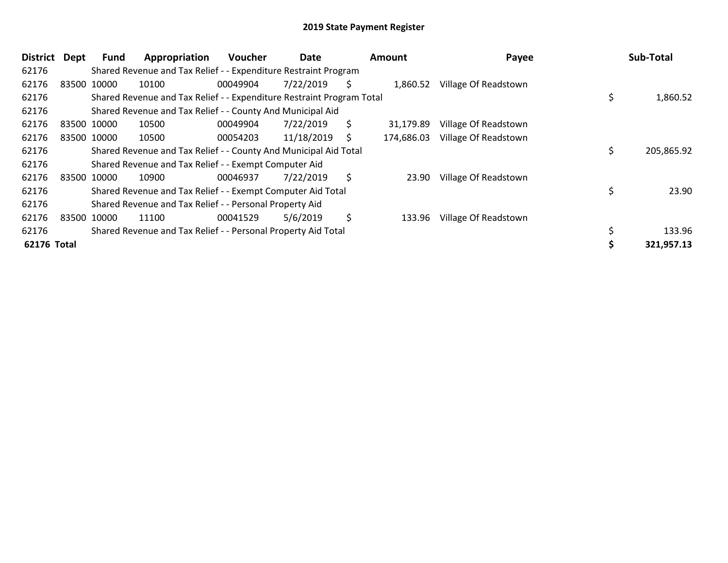| District    | Dept | Fund        | Appropriation                                                         | <b>Voucher</b> | Date       |    | Amount     | Payee                | Sub-Total      |
|-------------|------|-------------|-----------------------------------------------------------------------|----------------|------------|----|------------|----------------------|----------------|
| 62176       |      |             | Shared Revenue and Tax Relief - - Expenditure Restraint Program       |                |            |    |            |                      |                |
| 62176       |      | 83500 10000 | 10100                                                                 | 00049904       | 7/22/2019  | S  | 1,860.52   | Village Of Readstown |                |
| 62176       |      |             | Shared Revenue and Tax Relief - - Expenditure Restraint Program Total |                |            |    |            |                      | \$<br>1,860.52 |
| 62176       |      |             | Shared Revenue and Tax Relief - - County And Municipal Aid            |                |            |    |            |                      |                |
| 62176       |      | 83500 10000 | 10500                                                                 | 00049904       | 7/22/2019  | \$ | 31,179.89  | Village Of Readstown |                |
| 62176       |      | 83500 10000 | 10500                                                                 | 00054203       | 11/18/2019 | S  | 174,686.03 | Village Of Readstown |                |
| 62176       |      |             | Shared Revenue and Tax Relief - - County And Municipal Aid Total      |                |            |    |            |                      | 205,865.92     |
| 62176       |      |             | Shared Revenue and Tax Relief - - Exempt Computer Aid                 |                |            |    |            |                      |                |
| 62176       |      | 83500 10000 | 10900                                                                 | 00046937       | 7/22/2019  | \$ | 23.90      | Village Of Readstown |                |
| 62176       |      |             | Shared Revenue and Tax Relief - - Exempt Computer Aid Total           |                |            |    |            |                      | 23.90          |
| 62176       |      |             | Shared Revenue and Tax Relief - - Personal Property Aid               |                |            |    |            |                      |                |
| 62176       |      | 83500 10000 | 11100                                                                 | 00041529       | 5/6/2019   | \$ | 133.96     | Village Of Readstown |                |
| 62176       |      |             | Shared Revenue and Tax Relief - - Personal Property Aid Total         |                |            |    |            |                      | 133.96         |
| 62176 Total |      |             |                                                                       |                |            |    |            |                      | 321,957.13     |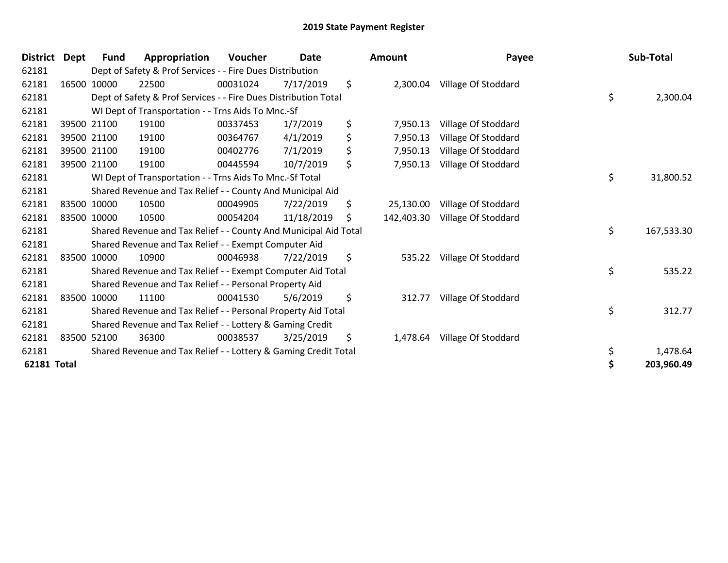| <b>District</b>    | Dept | <b>Fund</b> | Appropriation                                                    | Voucher  | <b>Date</b> | <b>Amount</b>    | Payee               | Sub-Total        |
|--------------------|------|-------------|------------------------------------------------------------------|----------|-------------|------------------|---------------------|------------------|
| 62181              |      |             | Dept of Safety & Prof Services - - Fire Dues Distribution        |          |             |                  |                     |                  |
| 62181              |      | 16500 10000 | 22500                                                            | 00031024 | 7/17/2019   | \$<br>2,300.04   | Village Of Stoddard |                  |
| 62181              |      |             | Dept of Safety & Prof Services - - Fire Dues Distribution Total  |          |             |                  |                     | \$<br>2,300.04   |
| 62181              |      |             | WI Dept of Transportation - - Trns Aids To Mnc.-Sf               |          |             |                  |                     |                  |
| 62181              |      | 39500 21100 | 19100                                                            | 00337453 | 1/7/2019    | \$<br>7,950.13   | Village Of Stoddard |                  |
| 62181              |      | 39500 21100 | 19100                                                            | 00364767 | 4/1/2019    | \$<br>7,950.13   | Village Of Stoddard |                  |
| 62181              |      | 39500 21100 | 19100                                                            | 00402776 | 7/1/2019    | \$<br>7,950.13   | Village Of Stoddard |                  |
| 62181              |      | 39500 21100 | 19100                                                            | 00445594 | 10/7/2019   | \$<br>7,950.13   | Village Of Stoddard |                  |
| 62181              |      |             | WI Dept of Transportation - - Trns Aids To Mnc.-Sf Total         |          |             |                  |                     | \$<br>31,800.52  |
| 62181              |      |             | Shared Revenue and Tax Relief - - County And Municipal Aid       |          |             |                  |                     |                  |
| 62181              |      | 83500 10000 | 10500                                                            | 00049905 | 7/22/2019   | \$<br>25,130.00  | Village Of Stoddard |                  |
| 62181              |      | 83500 10000 | 10500                                                            | 00054204 | 11/18/2019  | \$<br>142,403.30 | Village Of Stoddard |                  |
| 62181              |      |             | Shared Revenue and Tax Relief - - County And Municipal Aid Total |          |             |                  |                     | \$<br>167,533.30 |
| 62181              |      |             | Shared Revenue and Tax Relief - - Exempt Computer Aid            |          |             |                  |                     |                  |
| 62181              |      | 83500 10000 | 10900                                                            | 00046938 | 7/22/2019   | \$<br>535.22     | Village Of Stoddard |                  |
| 62181              |      |             | Shared Revenue and Tax Relief - - Exempt Computer Aid Total      |          |             |                  |                     | \$<br>535.22     |
| 62181              |      |             | Shared Revenue and Tax Relief - - Personal Property Aid          |          |             |                  |                     |                  |
| 62181              |      | 83500 10000 | 11100                                                            | 00041530 | 5/6/2019    | \$<br>312.77     | Village Of Stoddard |                  |
| 62181              |      |             | Shared Revenue and Tax Relief - - Personal Property Aid Total    |          |             |                  |                     | \$<br>312.77     |
| 62181              |      |             | Shared Revenue and Tax Relief - - Lottery & Gaming Credit        |          |             |                  |                     |                  |
| 62181              |      | 83500 52100 | 36300                                                            | 00038537 | 3/25/2019   | \$<br>1,478.64   | Village Of Stoddard |                  |
| 62181              |      |             | Shared Revenue and Tax Relief - - Lottery & Gaming Credit Total  |          |             |                  |                     | \$<br>1,478.64   |
| <b>62181 Total</b> |      |             |                                                                  |          |             |                  |                     | \$<br>203,960.49 |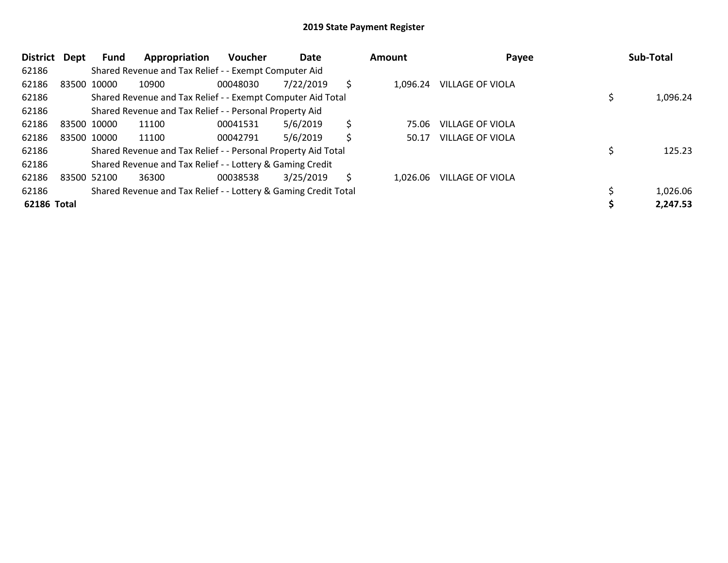| District    | Dept | <b>Fund</b> | Appropriation                                                   | <b>Voucher</b> | Date      |    | Amount   |                         | Payee | Sub-Total |
|-------------|------|-------------|-----------------------------------------------------------------|----------------|-----------|----|----------|-------------------------|-------|-----------|
| 62186       |      |             | Shared Revenue and Tax Relief - - Exempt Computer Aid           |                |           |    |          |                         |       |           |
| 62186       |      | 83500 10000 | 10900                                                           | 00048030       | 7/22/2019 | Ś  | 1.096.24 | <b>VILLAGE OF VIOLA</b> |       |           |
| 62186       |      |             | Shared Revenue and Tax Relief - - Exempt Computer Aid Total     |                |           |    |          |                         |       | 1,096.24  |
| 62186       |      |             | Shared Revenue and Tax Relief - - Personal Property Aid         |                |           |    |          |                         |       |           |
| 62186       |      | 83500 10000 | 11100                                                           | 00041531       | 5/6/2019  | \$ | 75.06    | VILLAGE OF VIOLA        |       |           |
| 62186       |      | 83500 10000 | 11100                                                           | 00042791       | 5/6/2019  | Ś  | 50.17    | VILLAGE OF VIOLA        |       |           |
| 62186       |      |             | Shared Revenue and Tax Relief - - Personal Property Aid Total   |                |           |    |          |                         |       | 125.23    |
| 62186       |      |             | Shared Revenue and Tax Relief - - Lottery & Gaming Credit       |                |           |    |          |                         |       |           |
| 62186       |      | 83500 52100 | 36300                                                           | 00038538       | 3/25/2019 | Ś  | 1.026.06 | <b>VILLAGE OF VIOLA</b> |       |           |
| 62186       |      |             | Shared Revenue and Tax Relief - - Lottery & Gaming Credit Total |                |           |    |          |                         |       | 1,026.06  |
| 62186 Total |      |             |                                                                 |                |           |    |          |                         |       | 2,247.53  |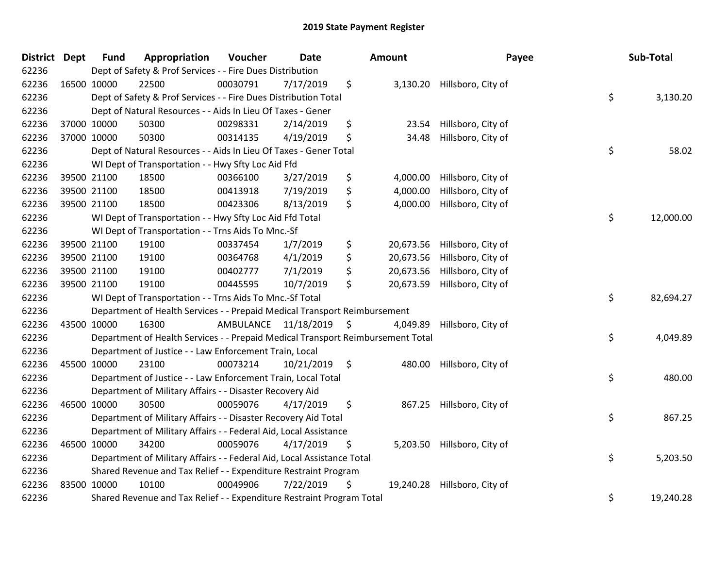| <b>District</b> | <b>Dept</b> | <b>Fund</b> | Appropriation                                                                   | Voucher  | <b>Date</b>             | Amount          | Payee              | Sub-Total       |
|-----------------|-------------|-------------|---------------------------------------------------------------------------------|----------|-------------------------|-----------------|--------------------|-----------------|
| 62236           |             |             | Dept of Safety & Prof Services - - Fire Dues Distribution                       |          |                         |                 |                    |                 |
| 62236           |             | 16500 10000 | 22500                                                                           | 00030791 | 7/17/2019               | \$<br>3,130.20  | Hillsboro, City of |                 |
| 62236           |             |             | Dept of Safety & Prof Services - - Fire Dues Distribution Total                 |          |                         |                 |                    | \$<br>3,130.20  |
| 62236           |             |             | Dept of Natural Resources - - Aids In Lieu Of Taxes - Gener                     |          |                         |                 |                    |                 |
| 62236           |             | 37000 10000 | 50300                                                                           | 00298331 | 2/14/2019               | \$<br>23.54     | Hillsboro, City of |                 |
| 62236           |             | 37000 10000 | 50300                                                                           | 00314135 | 4/19/2019               | \$<br>34.48     | Hillsboro, City of |                 |
| 62236           |             |             | Dept of Natural Resources - - Aids In Lieu Of Taxes - Gener Total               |          |                         |                 |                    | \$<br>58.02     |
| 62236           |             |             | WI Dept of Transportation - - Hwy Sfty Loc Aid Ffd                              |          |                         |                 |                    |                 |
| 62236           |             | 39500 21100 | 18500                                                                           | 00366100 | 3/27/2019               | \$<br>4,000.00  | Hillsboro, City of |                 |
| 62236           |             | 39500 21100 | 18500                                                                           | 00413918 | 7/19/2019               | \$<br>4,000.00  | Hillsboro, City of |                 |
| 62236           |             | 39500 21100 | 18500                                                                           | 00423306 | 8/13/2019               | \$<br>4,000.00  | Hillsboro, City of |                 |
| 62236           |             |             | WI Dept of Transportation - - Hwy Sfty Loc Aid Ffd Total                        |          |                         |                 |                    | \$<br>12,000.00 |
| 62236           |             |             | WI Dept of Transportation - - Trns Aids To Mnc.-Sf                              |          |                         |                 |                    |                 |
| 62236           |             | 39500 21100 | 19100                                                                           | 00337454 | 1/7/2019                | \$<br>20,673.56 | Hillsboro, City of |                 |
| 62236           |             | 39500 21100 | 19100                                                                           | 00364768 | 4/1/2019                | \$<br>20,673.56 | Hillsboro, City of |                 |
| 62236           |             | 39500 21100 | 19100                                                                           | 00402777 | 7/1/2019                | \$<br>20,673.56 | Hillsboro, City of |                 |
| 62236           |             | 39500 21100 | 19100                                                                           | 00445595 | 10/7/2019               | \$<br>20,673.59 | Hillsboro, City of |                 |
| 62236           |             |             | WI Dept of Transportation - - Trns Aids To Mnc.-Sf Total                        |          |                         |                 |                    | \$<br>82,694.27 |
| 62236           |             |             | Department of Health Services - - Prepaid Medical Transport Reimbursement       |          |                         |                 |                    |                 |
| 62236           |             | 43500 10000 | 16300                                                                           |          | AMBULANCE 11/18/2019 \$ | 4,049.89        | Hillsboro, City of |                 |
| 62236           |             |             | Department of Health Services - - Prepaid Medical Transport Reimbursement Total |          |                         |                 |                    | \$<br>4,049.89  |
| 62236           |             |             | Department of Justice - - Law Enforcement Train, Local                          |          |                         |                 |                    |                 |
| 62236           |             | 45500 10000 | 23100                                                                           | 00073214 | $10/21/2019$ \$         | 480.00          | Hillsboro, City of |                 |
| 62236           |             |             | Department of Justice - - Law Enforcement Train, Local Total                    |          |                         |                 |                    | \$<br>480.00    |
| 62236           |             |             | Department of Military Affairs - - Disaster Recovery Aid                        |          |                         |                 |                    |                 |
| 62236           |             | 46500 10000 | 30500                                                                           | 00059076 | 4/17/2019               | \$<br>867.25    | Hillsboro, City of |                 |
| 62236           |             |             | Department of Military Affairs - - Disaster Recovery Aid Total                  |          |                         |                 |                    | \$<br>867.25    |
| 62236           |             |             | Department of Military Affairs - - Federal Aid, Local Assistance                |          |                         |                 |                    |                 |
| 62236           |             | 46500 10000 | 34200                                                                           | 00059076 | 4/17/2019               | \$<br>5,203.50  | Hillsboro, City of |                 |
| 62236           |             |             | Department of Military Affairs - - Federal Aid, Local Assistance Total          |          |                         |                 |                    | \$<br>5,203.50  |
| 62236           |             |             | Shared Revenue and Tax Relief - - Expenditure Restraint Program                 |          |                         |                 |                    |                 |
| 62236           |             | 83500 10000 | 10100                                                                           | 00049906 | 7/22/2019               | \$<br>19,240.28 | Hillsboro, City of |                 |
| 62236           |             |             | Shared Revenue and Tax Relief - - Expenditure Restraint Program Total           |          |                         |                 |                    | \$<br>19,240.28 |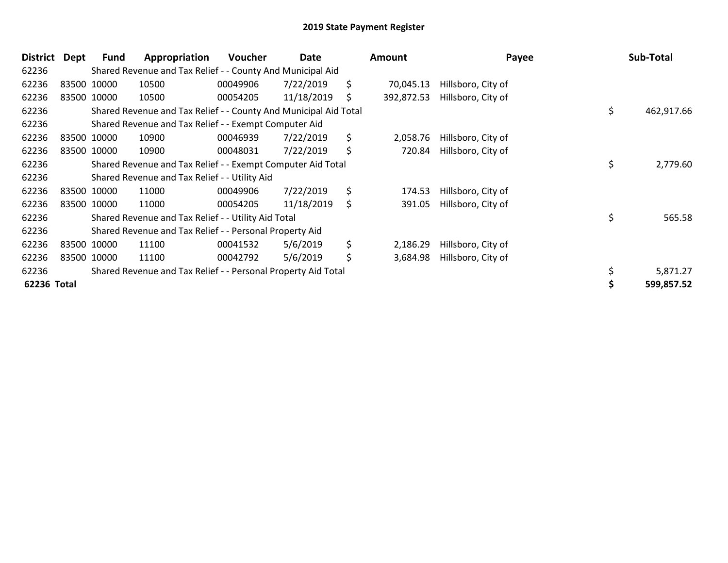| <b>District</b> | Dept        | Fund        | Appropriation                                                    | Voucher  | Date       |     | Amount     | Payee              |     | Sub-Total  |
|-----------------|-------------|-------------|------------------------------------------------------------------|----------|------------|-----|------------|--------------------|-----|------------|
| 62236           |             |             | Shared Revenue and Tax Relief - - County And Municipal Aid       |          |            |     |            |                    |     |            |
| 62236           |             | 83500 10000 | 10500                                                            | 00049906 | 7/22/2019  | \$. | 70,045.13  | Hillsboro, City of |     |            |
| 62236           |             | 83500 10000 | 10500                                                            | 00054205 | 11/18/2019 | \$  | 392,872.53 | Hillsboro, City of |     |            |
| 62236           |             |             | Shared Revenue and Tax Relief - - County And Municipal Aid Total |          |            |     |            |                    | \$. | 462,917.66 |
| 62236           |             |             | Shared Revenue and Tax Relief - - Exempt Computer Aid            |          |            |     |            |                    |     |            |
| 62236           |             | 83500 10000 | 10900                                                            | 00046939 | 7/22/2019  | \$  | 2,058.76   | Hillsboro, City of |     |            |
| 62236           | 83500 10000 |             | 10900                                                            | 00048031 | 7/22/2019  | \$  | 720.84     | Hillsboro, City of |     |            |
| 62236           |             |             | Shared Revenue and Tax Relief - - Exempt Computer Aid Total      |          |            |     |            |                    | \$  | 2,779.60   |
| 62236           |             |             | Shared Revenue and Tax Relief - - Utility Aid                    |          |            |     |            |                    |     |            |
| 62236           |             | 83500 10000 | 11000                                                            | 00049906 | 7/22/2019  | \$  | 174.53     | Hillsboro, City of |     |            |
| 62236           |             | 83500 10000 | 11000                                                            | 00054205 | 11/18/2019 | \$  | 391.05     | Hillsboro, City of |     |            |
| 62236           |             |             | Shared Revenue and Tax Relief - - Utility Aid Total              |          |            |     |            |                    | \$  | 565.58     |
| 62236           |             |             | Shared Revenue and Tax Relief - - Personal Property Aid          |          |            |     |            |                    |     |            |
| 62236           | 83500 10000 |             | 11100                                                            | 00041532 | 5/6/2019   | \$  | 2,186.29   | Hillsboro, City of |     |            |
| 62236           | 83500 10000 |             | 11100                                                            | 00042792 | 5/6/2019   | \$  | 3,684.98   | Hillsboro, City of |     |            |
| 62236           |             |             | Shared Revenue and Tax Relief - - Personal Property Aid Total    |          |            |     |            |                    |     | 5,871.27   |
| 62236 Total     |             |             |                                                                  |          |            |     |            |                    |     | 599,857.52 |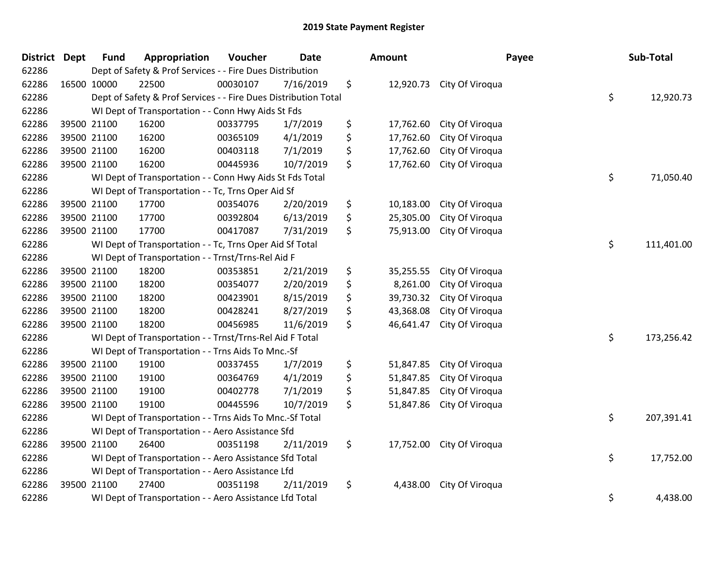| <b>District Dept</b> | <b>Fund</b> | Appropriation                                                   | Voucher  | <b>Date</b> | <b>Amount</b>   |                           | Payee | Sub-Total  |
|----------------------|-------------|-----------------------------------------------------------------|----------|-------------|-----------------|---------------------------|-------|------------|
| 62286                |             | Dept of Safety & Prof Services - - Fire Dues Distribution       |          |             |                 |                           |       |            |
| 62286                | 16500 10000 | 22500                                                           | 00030107 | 7/16/2019   | \$              | 12,920.73 City Of Viroqua |       |            |
| 62286                |             | Dept of Safety & Prof Services - - Fire Dues Distribution Total |          |             |                 |                           | \$    | 12,920.73  |
| 62286                |             | WI Dept of Transportation - - Conn Hwy Aids St Fds              |          |             |                 |                           |       |            |
| 62286                | 39500 21100 | 16200                                                           | 00337795 | 1/7/2019    | \$<br>17,762.60 | City Of Viroqua           |       |            |
| 62286                | 39500 21100 | 16200                                                           | 00365109 | 4/1/2019    | \$<br>17,762.60 | City Of Viroqua           |       |            |
| 62286                | 39500 21100 | 16200                                                           | 00403118 | 7/1/2019    | \$<br>17,762.60 | City Of Viroqua           |       |            |
| 62286                | 39500 21100 | 16200                                                           | 00445936 | 10/7/2019   | \$<br>17,762.60 | City Of Viroqua           |       |            |
| 62286                |             | WI Dept of Transportation - - Conn Hwy Aids St Fds Total        |          |             |                 |                           | \$    | 71,050.40  |
| 62286                |             | WI Dept of Transportation - - Tc, Trns Oper Aid Sf              |          |             |                 |                           |       |            |
| 62286                | 39500 21100 | 17700                                                           | 00354076 | 2/20/2019   | \$<br>10,183.00 | City Of Viroqua           |       |            |
| 62286                | 39500 21100 | 17700                                                           | 00392804 | 6/13/2019   | \$<br>25,305.00 | City Of Viroqua           |       |            |
| 62286                | 39500 21100 | 17700                                                           | 00417087 | 7/31/2019   | \$<br>75,913.00 | City Of Viroqua           |       |            |
| 62286                |             | WI Dept of Transportation - - Tc, Trns Oper Aid Sf Total        |          |             |                 |                           | \$    | 111,401.00 |
| 62286                |             | WI Dept of Transportation - - Trnst/Trns-Rel Aid F              |          |             |                 |                           |       |            |
| 62286                | 39500 21100 | 18200                                                           | 00353851 | 2/21/2019   | \$<br>35,255.55 | City Of Viroqua           |       |            |
| 62286                | 39500 21100 | 18200                                                           | 00354077 | 2/20/2019   | \$<br>8,261.00  | City Of Viroqua           |       |            |
| 62286                | 39500 21100 | 18200                                                           | 00423901 | 8/15/2019   | \$<br>39,730.32 | City Of Viroqua           |       |            |
| 62286                | 39500 21100 | 18200                                                           | 00428241 | 8/27/2019   | \$<br>43,368.08 | City Of Viroqua           |       |            |
| 62286                | 39500 21100 | 18200                                                           | 00456985 | 11/6/2019   | \$<br>46,641.47 | City Of Viroqua           |       |            |
| 62286                |             | WI Dept of Transportation - - Trnst/Trns-Rel Aid F Total        |          |             |                 |                           | \$    | 173,256.42 |
| 62286                |             | WI Dept of Transportation - - Trns Aids To Mnc.-Sf              |          |             |                 |                           |       |            |
| 62286                | 39500 21100 | 19100                                                           | 00337455 | 1/7/2019    | \$<br>51,847.85 | City Of Viroqua           |       |            |
| 62286                | 39500 21100 | 19100                                                           | 00364769 | 4/1/2019    | \$<br>51,847.85 | City Of Viroqua           |       |            |
| 62286                | 39500 21100 | 19100                                                           | 00402778 | 7/1/2019    | \$<br>51,847.85 | City Of Viroqua           |       |            |
| 62286                | 39500 21100 | 19100                                                           | 00445596 | 10/7/2019   | \$<br>51,847.86 | City Of Viroqua           |       |            |
| 62286                |             | WI Dept of Transportation - - Trns Aids To Mnc.-Sf Total        |          |             |                 |                           | \$    | 207,391.41 |
| 62286                |             | WI Dept of Transportation - - Aero Assistance Sfd               |          |             |                 |                           |       |            |
| 62286                | 39500 21100 | 26400                                                           | 00351198 | 2/11/2019   | \$              | 17,752.00 City Of Viroqua |       |            |
| 62286                |             | WI Dept of Transportation - - Aero Assistance Sfd Total         |          |             |                 |                           | \$    | 17,752.00  |
| 62286                |             | WI Dept of Transportation - - Aero Assistance Lfd               |          |             |                 |                           |       |            |
| 62286                | 39500 21100 | 27400                                                           | 00351198 | 2/11/2019   | \$<br>4,438.00  | City Of Viroqua           |       |            |
| 62286                |             | WI Dept of Transportation - - Aero Assistance Lfd Total         |          |             |                 |                           | \$    | 4,438.00   |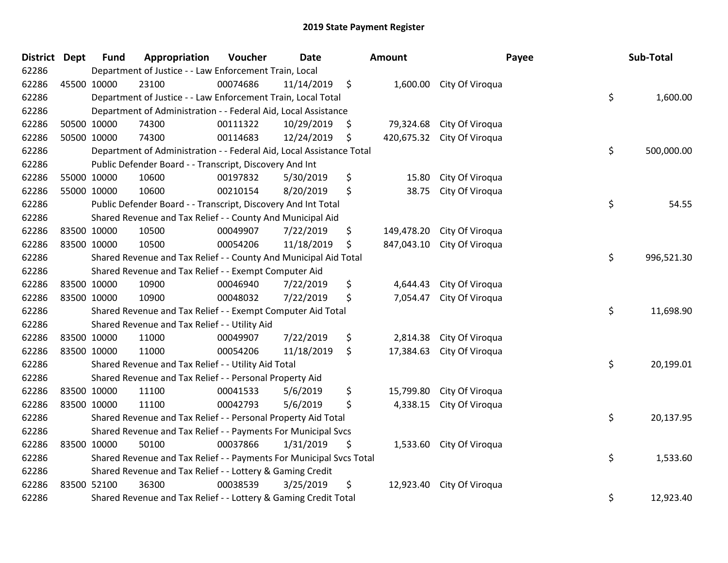| District Dept |             | <b>Fund</b>                                                               | Appropriation                                                        | Voucher  | <b>Date</b> |    | Amount    |                            | Payee     | Sub-Total  |
|---------------|-------------|---------------------------------------------------------------------------|----------------------------------------------------------------------|----------|-------------|----|-----------|----------------------------|-----------|------------|
| 62286         |             | Department of Justice - - Law Enforcement Train, Local                    |                                                                      |          |             |    |           |                            |           |            |
| 62286         | 45500 10000 |                                                                           | 23100                                                                | 00074686 | 11/14/2019  | \$ |           | 1,600.00 City Of Viroqua   |           |            |
| 62286         |             | \$<br>Department of Justice - - Law Enforcement Train, Local Total        |                                                                      |          |             |    |           |                            |           |            |
| 62286         |             | Department of Administration - - Federal Aid, Local Assistance            |                                                                      |          |             |    |           |                            |           |            |
| 62286         | 50500 10000 |                                                                           | 74300                                                                | 00111322 | 10/29/2019  | \$ | 79,324.68 | City Of Viroqua            |           |            |
| 62286         | 50500 10000 |                                                                           | 74300                                                                | 00114683 | 12/24/2019  | Ş  |           | 420,675.32 City Of Viroqua |           |            |
| 62286         |             |                                                                           | Department of Administration - - Federal Aid, Local Assistance Total |          |             |    |           |                            | \$        | 500,000.00 |
| 62286         |             |                                                                           | Public Defender Board - - Transcript, Discovery And Int              |          |             |    |           |                            |           |            |
| 62286         | 55000 10000 |                                                                           | 10600                                                                | 00197832 | 5/30/2019   | \$ | 15.80     | City Of Viroqua            |           |            |
| 62286         | 55000 10000 |                                                                           | 10600                                                                | 00210154 | 8/20/2019   | \$ | 38.75     | City Of Viroqua            |           |            |
| 62286         |             |                                                                           | Public Defender Board - - Transcript, Discovery And Int Total        |          |             |    |           |                            | \$        | 54.55      |
| 62286         |             |                                                                           | Shared Revenue and Tax Relief - - County And Municipal Aid           |          |             |    |           |                            |           |            |
| 62286         |             | 83500 10000                                                               | 10500                                                                | 00049907 | 7/22/2019   | \$ |           | 149,478.20 City Of Viroqua |           |            |
| 62286         | 83500 10000 |                                                                           | 10500                                                                | 00054206 | 11/18/2019  | \$ |           | 847,043.10 City Of Viroqua |           |            |
| 62286         |             |                                                                           | Shared Revenue and Tax Relief - - County And Municipal Aid Total     |          |             |    |           |                            | \$        | 996,521.30 |
| 62286         |             |                                                                           | Shared Revenue and Tax Relief - - Exempt Computer Aid                |          |             |    |           |                            |           |            |
| 62286         |             | 83500 10000                                                               | 10900                                                                | 00046940 | 7/22/2019   | \$ | 4,644.43  | City Of Viroqua            |           |            |
| 62286         | 83500 10000 |                                                                           | 10900                                                                | 00048032 | 7/22/2019   | \$ | 7,054.47  | City Of Viroqua            |           |            |
| 62286         |             |                                                                           | Shared Revenue and Tax Relief - - Exempt Computer Aid Total          |          |             |    |           |                            | \$        | 11,698.90  |
| 62286         |             |                                                                           | Shared Revenue and Tax Relief - - Utility Aid                        |          |             |    |           |                            |           |            |
| 62286         | 83500 10000 |                                                                           | 11000                                                                | 00049907 | 7/22/2019   | \$ | 2,814.38  | City Of Viroqua            |           |            |
| 62286         | 83500 10000 |                                                                           | 11000                                                                | 00054206 | 11/18/2019  | \$ | 17,384.63 | City Of Viroqua            |           |            |
| 62286         |             |                                                                           | Shared Revenue and Tax Relief - - Utility Aid Total                  |          |             |    |           |                            | \$        | 20,199.01  |
| 62286         |             |                                                                           | Shared Revenue and Tax Relief - - Personal Property Aid              |          |             |    |           |                            |           |            |
| 62286         |             | 83500 10000                                                               | 11100                                                                | 00041533 | 5/6/2019    | \$ | 15,799.80 | City Of Viroqua            |           |            |
| 62286         | 83500 10000 |                                                                           | 11100                                                                | 00042793 | 5/6/2019    | \$ | 4,338.15  | City Of Viroqua            |           |            |
| 62286         |             | \$<br>Shared Revenue and Tax Relief - - Personal Property Aid Total       |                                                                      |          |             |    |           |                            |           | 20,137.95  |
| 62286         |             | Shared Revenue and Tax Relief - - Payments For Municipal Svcs             |                                                                      |          |             |    |           |                            |           |            |
| 62286         | 83500 10000 |                                                                           | 50100                                                                | 00037866 | 1/31/2019   | \$ |           | 1,533.60 City Of Viroqua   |           |            |
| 62286         |             | \$<br>Shared Revenue and Tax Relief - - Payments For Municipal Svcs Total |                                                                      |          |             |    |           |                            |           | 1,533.60   |
| 62286         |             | Shared Revenue and Tax Relief - - Lottery & Gaming Credit                 |                                                                      |          |             |    |           |                            |           |            |
| 62286         | 83500 52100 |                                                                           | 36300                                                                | 00038539 | 3/25/2019   | \$ |           | 12,923.40 City Of Viroqua  |           |            |
| 62286         |             | \$<br>Shared Revenue and Tax Relief - - Lottery & Gaming Credit Total     |                                                                      |          |             |    |           |                            | 12,923.40 |            |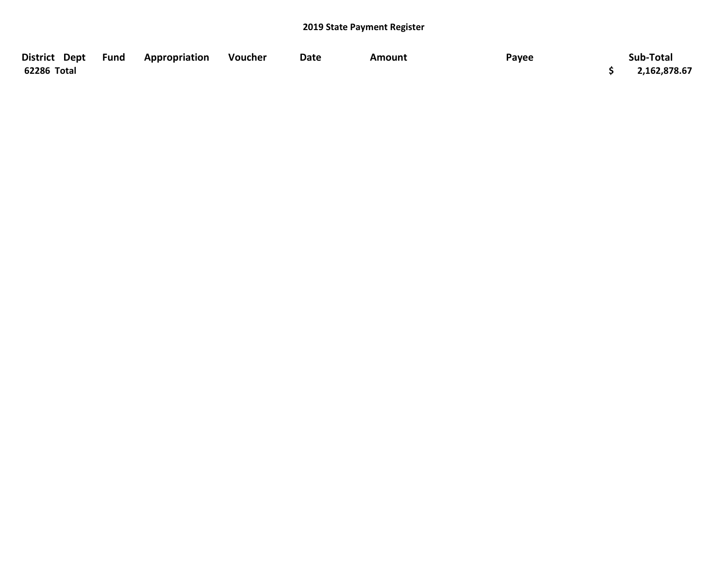| District Dept Fund | Appropriation | Voucher | Date | Amount | Payee | Sub-Total    |
|--------------------|---------------|---------|------|--------|-------|--------------|
| 62286 Total        |               |         |      |        |       | 2,162,878.67 |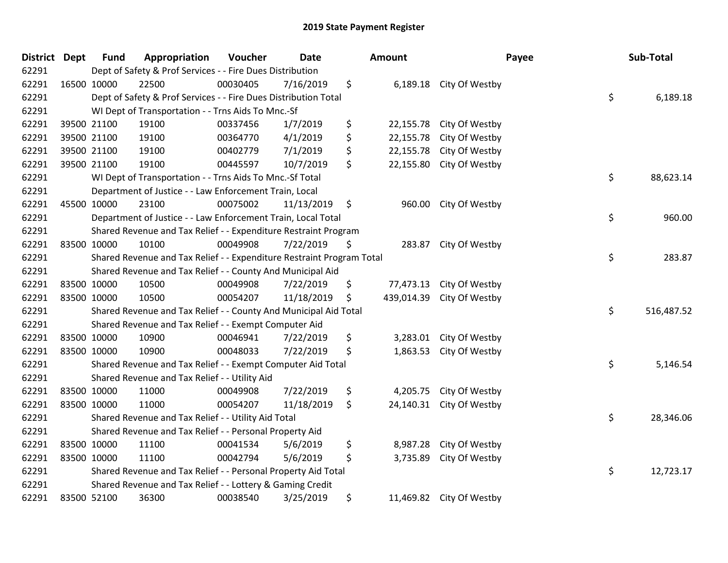| District Dept |             | <b>Fund</b>                                                           | Appropriation                                                         | Voucher  | <b>Date</b> |    | Amount     |                          | Payee | Sub-Total  |  |
|---------------|-------------|-----------------------------------------------------------------------|-----------------------------------------------------------------------|----------|-------------|----|------------|--------------------------|-------|------------|--|
| 62291         |             | Dept of Safety & Prof Services - - Fire Dues Distribution             |                                                                       |          |             |    |            |                          |       |            |  |
| 62291         |             | 16500 10000                                                           | 22500                                                                 | 00030405 | 7/16/2019   | \$ |            | 6,189.18 City Of Westby  |       |            |  |
| 62291         |             | \$<br>Dept of Safety & Prof Services - - Fire Dues Distribution Total |                                                                       |          |             |    |            |                          |       |            |  |
| 62291         |             |                                                                       | WI Dept of Transportation - - Trns Aids To Mnc.-Sf                    |          |             |    |            |                          |       |            |  |
| 62291         |             | 39500 21100                                                           | 19100                                                                 | 00337456 | 1/7/2019    | \$ | 22,155.78  | City Of Westby           |       |            |  |
| 62291         |             | 39500 21100                                                           | 19100                                                                 | 00364770 | 4/1/2019    | \$ | 22,155.78  | City Of Westby           |       |            |  |
| 62291         |             | 39500 21100                                                           | 19100                                                                 | 00402779 | 7/1/2019    | \$ | 22,155.78  | City Of Westby           |       |            |  |
| 62291         |             | 39500 21100                                                           | 19100                                                                 | 00445597 | 10/7/2019   | \$ | 22,155.80  | City Of Westby           |       |            |  |
| 62291         |             |                                                                       | WI Dept of Transportation - - Trns Aids To Mnc.-Sf Total              |          |             |    |            |                          | \$    | 88,623.14  |  |
| 62291         |             |                                                                       | Department of Justice - - Law Enforcement Train, Local                |          |             |    |            |                          |       |            |  |
| 62291         | 45500 10000 |                                                                       | 23100                                                                 | 00075002 | 11/13/2019  | \$ | 960.00     | City Of Westby           |       |            |  |
| 62291         |             |                                                                       | Department of Justice - - Law Enforcement Train, Local Total          |          |             |    |            |                          | \$    | 960.00     |  |
| 62291         |             |                                                                       | Shared Revenue and Tax Relief - - Expenditure Restraint Program       |          |             |    |            |                          |       |            |  |
| 62291         |             | 83500 10000                                                           | 10100                                                                 | 00049908 | 7/22/2019   | \$ | 283.87     | City Of Westby           |       |            |  |
| 62291         |             |                                                                       | Shared Revenue and Tax Relief - - Expenditure Restraint Program Total |          |             |    |            |                          | \$    | 283.87     |  |
| 62291         |             |                                                                       | Shared Revenue and Tax Relief - - County And Municipal Aid            |          |             |    |            |                          |       |            |  |
| 62291         |             | 83500 10000                                                           | 10500                                                                 | 00049908 | 7/22/2019   | \$ | 77,473.13  | City Of Westby           |       |            |  |
| 62291         | 83500 10000 |                                                                       | 10500                                                                 | 00054207 | 11/18/2019  | \$ | 439,014.39 | City Of Westby           |       |            |  |
| 62291         |             |                                                                       | Shared Revenue and Tax Relief - - County And Municipal Aid Total      |          |             |    |            |                          | \$    | 516,487.52 |  |
| 62291         |             |                                                                       | Shared Revenue and Tax Relief - - Exempt Computer Aid                 |          |             |    |            |                          |       |            |  |
| 62291         |             | 83500 10000                                                           | 10900                                                                 | 00046941 | 7/22/2019   | \$ | 3,283.01   | City Of Westby           |       |            |  |
| 62291         |             | 83500 10000                                                           | 10900                                                                 | 00048033 | 7/22/2019   | \$ | 1,863.53   | City Of Westby           |       |            |  |
| 62291         |             |                                                                       | Shared Revenue and Tax Relief - - Exempt Computer Aid Total           |          |             |    |            |                          | \$    | 5,146.54   |  |
| 62291         |             |                                                                       | Shared Revenue and Tax Relief - - Utility Aid                         |          |             |    |            |                          |       |            |  |
| 62291         |             | 83500 10000                                                           | 11000                                                                 | 00049908 | 7/22/2019   | \$ | 4,205.75   | City Of Westby           |       |            |  |
| 62291         |             | 83500 10000                                                           | 11000                                                                 | 00054207 | 11/18/2019  | \$ | 24,140.31  | City Of Westby           |       |            |  |
| 62291         |             | \$<br>Shared Revenue and Tax Relief - - Utility Aid Total             |                                                                       |          |             |    |            |                          |       | 28,346.06  |  |
| 62291         |             | Shared Revenue and Tax Relief - - Personal Property Aid               |                                                                       |          |             |    |            |                          |       |            |  |
| 62291         |             | 83500 10000                                                           | 11100                                                                 | 00041534 | 5/6/2019    | \$ | 8,987.28   | City Of Westby           |       |            |  |
| 62291         |             | 83500 10000                                                           | 11100                                                                 | 00042794 | 5/6/2019    | \$ | 3,735.89   | City Of Westby           |       |            |  |
| 62291         |             |                                                                       | Shared Revenue and Tax Relief - - Personal Property Aid Total         |          |             |    |            |                          | \$    | 12,723.17  |  |
| 62291         |             | Shared Revenue and Tax Relief - - Lottery & Gaming Credit             |                                                                       |          |             |    |            |                          |       |            |  |
| 62291         |             | 83500 52100                                                           | 36300                                                                 | 00038540 | 3/25/2019   | \$ |            | 11,469.82 City Of Westby |       |            |  |